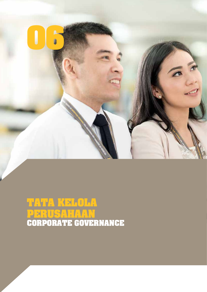

# **TATA KELOLA PERUSAHAAN CORPORATE GOVERNANCE**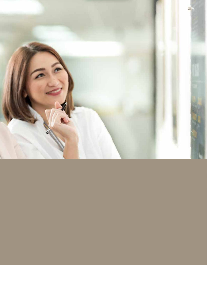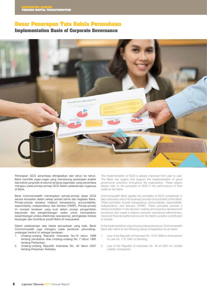# **Dasar Penerapan Tata Kelola Perusahaan**

**Implementation Basis of Corporate Governance**



Penerapan GCG senantiasa ditingkatkan dari tahun ke tahun. Bank memilliki organ-organ yang mendukung penerapan praktik tata kelola yang baik di seluruh jenjang organisasi, yang senantiasa mengacu pada prinsip-prinsip GCG dalam pelaksanaan tugasnya di Bank.

Bank Commonwealth menerapkan prinsip-prinsip dasar GCG secara konsisten dalam setiap proses bisnis dan kegiatan Bank. Prinsip-prinsip tersebut meliputi *transparency, accountability, responsibility, independency* dan *fairness* (TARIF). Prinsip-prinsip ini menjadi landasan yang kuat dalam proses pengambilan keputusan dan pengembangan usaha untuk menciptakan keseimbangan antara efektivitas operasional, peningkatan kinerja keuangan dan kontribusi positif Bank di masyarakat.

Dalam pelaksanaan tata kelola perusahaan yang baik, Bank Commonwealth juga mengacu pada peraturan perundangundangan berikut ini sebagai landasan:

- 1. Undang-undang Republik Indonesia No.10 tahun 1998 tentang perubahan atas Undang-undang No. 7 tahun 1992 tentang Perbankan;
- 2. Undang-undang Republik Indonesia No. 40 tahun 2007 tentang Perseroan Terbatas;

*The implementation of GCG is always improved from year to year. The Bank has organs that support the implementation of good governance practices throughout the organization. These organs always refer to the principles of GCG in the performance of their duties at the Bank.*

*Commonwealth Bank applies the principles of GCG consistently in each and every one of its business process and activities of the Bank. These principles include transparency, accountability, responsibility, independency and fairness (TARIF). These principles provide a strong foundation in the decision-making and business development processes that create a balance between operational effectiveness, improved financial performance and the Bank's positive contribution to society.*

*In the implementation of good corporate governance, Commonwealth Bank also refers to the following pieces of legislation as its basis:*

- *1. Law of the Republic of Indonesia No. 10 of 1998 on Amendment to Law No. 7 of 1992 on Banking;*
- *2. Law of the Republic of Indonesia No. 40 of 2007 on Limited Liability Companies;*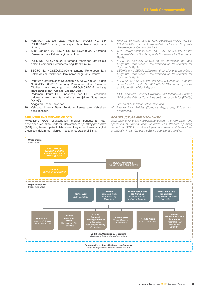- 3. Peraturan Otoritas Jasa Keuangan (POJK) No. 55/ POJK.03/2016 tentang Penerapan Tata Kelola bagi Bank Umum;
- 4. Surat Edaran OJK (SEOJK) No. 13/SEOJK.03/2017 tentang Penerapan Tata Kelola bagi Bank Umum;
- 5. POJK No. 45/POJK.03/2015 tentang Penerapan Tata Kelola dalam Pemberian Remunerasi bagi Bank Umum;
- 6. SEOJK No. 40/SEOJK.03/2016 tentang Penerapan Tata Kelola dalam Pemberian Remunerasi bagi Bank Umum;
- 7. Peraturan Otoritas Jasa Keuangan No. 6/POJK.03/2015 dan No.32/POJK.03/2016 tentang Perubahan atas Peraturan Otoritas Jasa Keuangan No. 6/POJK.03/2015 tentang Transparansi dan Publikasi Laporan Bank;
- 8. Pedoman Umum GCG Indonesia dan GCG Perbankan Indonesia oleh Komite Nasional Kebijakan *Governance* (KNKG);
- 9. Anggaran Dasar Bank; dan
- 10. Kebijakan internal Bank (Peraturan Perusahaan, Kebijakan dan Prosedur).

#### **STRUKTUR DAN MEKANISME GCG**

Mekanisme GCG dilaksanakan melalui penyusunan dan penerapan kebijakan, kode etik dan *standard operating procedure*  (SOP) yang harus dipatuhi oleh seluruh karyawan di semua tingkat organisasi dalam menjalankan kegiatan operasional Bank.

- *3. Financial Services Authority (OJK) Regulation (POJK) No. 55/ POJK.03/2016 on the Implementation of Good Corporate Governance for Commercial Banks;*
- *4. OJK Circular Letter (SEOJK) No. 13/SEOJK.03/2017 on the Implementation of Good Corporate Governance for Commercial Banks;*
- *5. POJK No. 45/POJK.03/2015 on the Application of Good Corporate Governance in the Provision of Remuneration for Commercial Banks;*
- *6. SEOJK No. 40/SEOJK.03/2016 on the Implementation of Good Corporate Governance in the Provision of Remuneration for Commercial Banks;*
- *7. POJK No. 6/POJK.03/2015 and No.32/POJK.03/2016 on the Amendment to POJK No. 6/POJK.03/2015 on Transparency and Publication of Bank Reports;*
- *8. GCG Indonesia General Guidelines and Indonesian Banking GCG by the National Committee on Governance Policy (KNKG);*
- *9. Articles of Association of the Bank; and*
- *10. Internal Bank Policies (Company Regulations, Policies and Procedures).*

#### *GCG STRUCTURE AND MECHANISM*

*GCG mechanisms are implemented through the formulation and application of policies, code of ethics and standard operating procedures (SOPs) that all employees must meet at all levels of the organization in carrying out the Bank's operational activities.* 

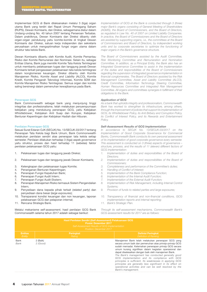Implementasi GCG di Bank dilaksanakan melalui 3 (tiga) organ utama Bank yang terdiri dari Rapat Umum Pemegang Saham (RUPS), Dewan Komisaris, dan Direksi, sebagaimana diatur dalam Undang-undang No. 40 tahun 2007 tentang Perseroan Terbatas. Dalam praktiknya, Dewan Komisaris dan Direksi dibantu oleh organ-organ pendukung yaitu komite-komite di tingkat Dewan Komisaris dan Direksi, satuan kerja independen dan sekretaris perusahaan untuk mengoptimalkan fungsi organ utama dalam struktur tata kelola Bank.

Dewan Komisaris dibantu oleh Komite Audit, Komite Pemantau Risiko dan Komite Remunerasi dan Nominasi. Selain itu, sebagai Entitas Utama, Bank juga memiliki Komite Tata Kelola Terintegrasi untuk membantu pelaksanaan tugas dan tanggung jawab Dewan Komisaris terkait pengawasan pelaksanaan tata kelola terintegrasi dalam konglomerasi keuangan. Direksi dibantu oleh Komite Manajemen Risiko, Komite *Asset and Liability* (ALCO), Komite Kredit, Komite Pengarah Teknologi Informasi, Komite SDM dan Komite Manajemen Risiko Terintegrasi. Semua organ dan komite saling bersinergi dalam pemenuhan kewajibannya pada Bank.

#### **Penerapan GCG**

Bank Commonwealth sebagai bank yang menjunjung tinggi integritas dan profesionalisme, telah melakukan penyempurnaan kebijakan yang mendukung penerapan GCG, yaitu Kebijakan *Whistleblower*, Kebijakan Anti Suap dan Korupsi, Kebijakan Benturan Kepentingan dan Kebijakan Hadiah dan Hiburan.

#### **Penilaian Penerapan GCG**

Sesuai Surat Edaran OJK (SEOJK) No. 13/SEOJK.03/2017 tentang Penerapan Tata Kelola bagi Bank Umum, Bank Commonwealth melakukan penilaian sendiri atas penerapan tata kelola setiap semester. Penilaian dilakukan terhadap 3 (tiga) aspek *governance* yaitu struktur, proses dan hasil terhadap 11 (sebelas) faktor penilaian pelaksanaan GCG yaitu:

- 1. Pelaksanaan tugas dan tanggung jawab Direksi;
- 2. Pelaksanaan tugas dan tanggung jawab Dewan Komisaris;
- 3. Kelengkapan dan pelaksanaan tugas Komite;
- 4. Penanganan Benturan Kepentingan;<br>5. Penerapan Fungsi Kepatuhan Bank:
- 5. Penerapan Fungsi Kepatuhan Bank;<br>6. Penerapan Fungsi Audit Intern:
- 6. Penerapan Fungsi Audit Intern;<br>7. Penerapan Fungsi Audit Ekstern
- 7. Penerapan Fungsi Audit Ekstern;<br>8. Penerapan Manajemen Risiko terr
- 8. Penerapan Manajemen Risiko termasuk Sistem Pengendalian Intern;
- 9. Penyediaan dana kepada pihak terkait (*related party*) dan penyediaan dana besar (*large exposures*);
- 10. Transparansi kondisi keuangan dan non keuangan, laporan pelaksanaan GCG dan pelaporan internal;
- 11. Rencana Strategis Bank.

Melalui mekanisme *self-assessment*, hasil penilaian GCG Bank Commonwealth selama tahun 2017 adalah sebagai berikut:

*Implementation of GCG at the Bank is conducted through 3 (three) major Bank's organs consisting of General Meeting of Shareholders (AGMS), the Board of Commissioners, and the Board of Directors, as regulated in Law No. 40 of 2007 on Limited Liability Companies. In practice, the Board of Commissioners and the Board of Directors are assisted by supporting organs, i.e., the committees at the Board of Commissioners and Board of Directors, by independent working units and by corporate secretaries to optimize the functioning of major organs in the Bank's governance structure.*

*The Board of Commissioners assisted by the Audit Committee, Risk Monitoring Committee and Remuneration and Nomination Committee. In addition, as a Principal Entity, the Bank also has an Integrated Governance Committee to assist in the implementation of the duties and responsibilities of the Board of Commissioners regarding the supervision of integrated governance implementation in financial conglomerates. The Board of Directors assisted by the Risk Management Committee, Asset and Liability Committee (ALCO), Credit Committee, Information Technology Steering Committee, Human Resources Committee and Integrated Risk Management Committee. All organs and committees synergize in fulfillment of their obligations to the Bank.*

#### *Application of GCG*

*As a bank that upholds integrity and professionalism, Commonwealth Bank has worked to strengthen its infrastructure, among others, through the improvement of policies that support its implementation of GCG, its Whistleblower Policy, its Anti Bribery and Corruption Policy, its Conflict of Interest Policy, and its Rewards and Entertainment Policy.*

#### *Self-Assessment Results of GCG Implementation*

*In accordance to SEOJK No. 13/SEOJK.03/2017 on the Implementation of Good Corporate Governance for Commercial Banks, Commonwealth Bank conducts its own personal assessment of its implementation of good corporate governance every semester. This assessment is conducted on 3 (three) aspects of governance – structure, process, and the results of 11 (eleven) different factors of GCG implementation:*

- *1. Implementation of duties and responsibilities of the Board of Directors;*
- *2. Implementation of duties and responsibilities of the Board of Commissioners;*
- *3. Completeness and performance of the Committee's duties;*
- *4. Handling of Conflict of Interest;*
- *5. Implementation of the Bank Compliance Function;*
- *6. Implementation of the Internal Audit Function;*
- *7. Implementation of the External Audit Function;*
- *8. Implementation of Risk Management, including Internal Control Systems;*
- *9. Provision of funds to related parties and large exposures;*
- *10. Transparency of financial and non-financial conditions, GCG implementation reports and internal reporting;*
- *11. Bank's Strategic Plan.*

*Through its self-assessment mechanisms, Commonwealth Bank's GCG assessment results for 2017 are as follows:*

| Hasil Penilaian Sendiri (Self-Assessment) Pelaksanaan GCG<br><b>Posisi: Desember 2017</b><br>Self-Assessment Results of GCG Implementation<br>Position: December 2017 |                     |                                                                                                                                                                                                                                                                                                                                                                                                                                                                                                                                                                                                         |  |  |
|-----------------------------------------------------------------------------------------------------------------------------------------------------------------------|---------------------|---------------------------------------------------------------------------------------------------------------------------------------------------------------------------------------------------------------------------------------------------------------------------------------------------------------------------------------------------------------------------------------------------------------------------------------------------------------------------------------------------------------------------------------------------------------------------------------------------------|--|--|
| <b>Entitas</b><br>Entity                                                                                                                                              | Peringkat<br>Rating | <b>Definisi Peringkat</b><br><b>Definition of Ranking</b>                                                                                                                                                                                                                                                                                                                                                                                                                                                                                                                                               |  |  |
| Bank<br>Bank                                                                                                                                                          | 2 (Baik)<br>2(Good) | Manajemen Bank telah melakukan penerapan GCG yang<br>secara umum baik dan pemenuhan atas prinsip-prinsip GCG<br>sudah memadai. Kelemahan penerapan prinsip GCG secara<br>umum kurang signifikan dalam kegiatan operasional dan<br>dapat diselesaikan dengan baik oleh manajemen Bank.<br>The Bank's management has conducted generally good<br>GCG implementation and its compliance with GCG<br>principles is sufficient. Its weaknesses in applying GCG<br>principles are generally less significant in its effect on<br>operational activities and can be well resolved by the<br>Bank's management. |  |  |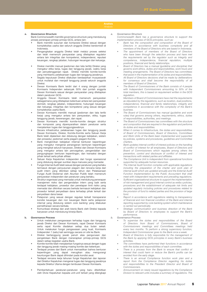#### **a.** *Governance Structure*

Bank Commonwealth memiliki *governance structure* yang mendukung proses penerapan prinsip-prinsip GCG, antara lain:

- Bank memiliki susunan dan komposisi Direksi sesuai dengan kompleksitas usaha dan seluruh anggota Direksi berdomisili di Indonesia.
- Pengangkatan anggota Direksi telah melalui proses seleksi dan telah memenuhi persyaratan yang ditetapkan regulator antara lain integritas dan kompetensi, independensi, reputasi keuangan, rangkap jabatan, hubungan keuangan dan keluarga.
- Direksi memiliki manual (pedoman dan tata tertib) Direksi yang mengatur etika kerja, tugas dan tanggung jawab, waktu kerja dan penyelenggaraan rapat. Direksi memiliki komite-komite yang membantu pelaksanaan tugas dan tanggung jawabnya.
- Segala keputusan Direksi dilakukan berdasarkan musyawarah untuk mufakat dan menjadi tanggung jawab seluruh anggota Direksi.
- Dewan Komisaris Bank terdiri dari 4 orang dengan jumlah Komisaris Independen sebanyak 50% dari jumlah anggota Dewan Komisaris sesuai dengan persyaratan yang ditetapkan dalam peraturan GCG.
- Anggota Dewan Komisaris telah memenuhi persyaratan sebagaimana yang ditetapkan ketentuan antara lain persyaratan domisili, rangkap jabatan, independensi, hubungan keuangan dan keluarga, integritas dan kompetensi yang sesuai dengan kompleksitas usaha Bank.
- Dewan Komisaris memiliki manual (pedoman dan tata tertib kerja) yang mengatur antara lain persyaratan, etika, tugas tanggung jawab, kewenangan, dan rapat.
- Dewan Komisaris memiliki komite-komite dengan struktur dan komposisi yang dipersyaratkan dalam peraturan serta menjalankan tugas dan tanggungjawabnya.
- Secara infrastruktur, pelaksanaan tugas dan tanggung jawab Dewan Komisaris, Direksi, Komite-Komite serta Satuan Kerja Bank telah dijalankan dan didukung dengan kebijakan, sistem dan prosedur, pedoman serta piagam-piagam Komite.
- Bank mengkinikan kebijakan internal benturan kepentingan yang mengatur mengenai penanganan benturan kepentingan yang mengikat seluruh karyawan, Direksi dan Dewan Komisaris yang mengatur antara lain pencegahan, pengendalian dan pengungkapan benturan kepentingan, dan transaksi dengan pihak terkait serta pihak afiliasi.
- Satuan Kerja Kepatuhan independen dari fungsi operasional yang didukung dengan sumber daya manusia yang memadai.
- Fungsi Internal Audit telah sesuai dengan peraturan yang berlaku termasuk dengan penyusunan piagam dan rencana kerja dari audit intern yang dikinikan setiap tahun dan Pelaksanaan Fungsi Audit Eksternal oleh Akuntan Publik telah memenuhi persyaratan independen dan peraturan yang berlaku.
- Struktur organisasi yang memadai untuk mendukung penerapan manajemen risiko dan pengendalian intern yang baik serta terdapat kebijakan, prosedur dan penetapan limit risiko yang memadai dan dikinikan secara berkala termasuk kebijakan dan prosedur terkait penyediaan dana terhadap pihak terkait dan penyediaan dana besar.
- Pelaporan yang sesuai dengan regulasi terkait transparansi kondisi keuangan dan non keuangan Bank serta pelaporan internal yang didukung sistem *core banking* yang dilakukan pemeliharaan secara berkala.
- Komunikasi strategi dan arah bisnis Bank oleh Direksi kepada karyawan untuk mendukung kinerja Bank.

#### **b.** *Governance Process*

- Untuk melakukan pengawasan terhadap tugas dan tanggung jawab Direksi dari Dewan Komisaris, rapat Dewan Komisaris serta rapat Komite diadakan setiap dua bulan sekali. Untuk melakukan fungsi pengawasan yang kuat, Komisaris Independen 1 (satu) kali seminggu secara *on site* ke Bank.
- Direksi bertanggung jawab penuh atas pengurusan dan pengelolaan Bank dengan menerapkan prinsip-prinsip GCG dalam setiap kegiatan usaha Bank.
- Komite-komite telah menjalankan fungsinya sesuai dengan tugas dan tanggung jawab masing-masing komite dan ketentuan.
- Terdapat proses dari Bank untuk memastikan bahwa benturan kepentingan yang dapat merugikan atau mengurangi keuntungan Bank dapat dihindari pada kondisi awal.
- Terdapat rencana kerja tahunan fungsi Kepatuhan dan laporan dari Direktur Kepatuhan mengenai tugas dan tanggung jawabnya kepada Direktur Utama dengan tembusan Dewan Komisaris.
- Pemberitahuan peraturan-peraturan yang baru diterbitkan oleh Divisi Kepatuhan kepada unit-unit terkait yang dilengkapi

#### *a. Governance Structure*

*Commonwealth Bank has a governance structure to support the implementation process of GCG principles, such as:* 

- Bank has the composition and composition of the Board of *Directors in accordance with business complexity and all members of the Board of Directors who are based in Indonesia.*
- *The appointment of members of the Board of Directors who have been through the selection process and have met the requirements set by the regulator such as integrity and competence, independence, financial reputation, multiple positions, financial and family relationships.*
- *Board of Directors has a manual (guideline and discipline) that governs work ethics, duties and responsibilities, work hours and meeting arrangements. The Board of Directors has committees that assist in the implementation of its duties and responsibilities.*
- *All Board of Directors decisions shall be made by deliberations for consensus and shall become the responsibility of all members of Board of Directors.*
- *The Board of Commissioners of the Bank consists of 4 people with Independent Commissioners amounting to 50% of the total members, this is based on requirement written in the GCG regulation.*
- *Members of Board of Commissioners have met the requirements as stipulated by the regulations, such as location, dual positions, independence, financial and family relationships, integrity and competence in accordance with the complexity of the Bank's business.*
- *The Board of Commissioners has manual (guideline and work rules) that governs among others, requirements, ethics, duties of responsibilities, authorities, and meetings.*
- *The Board of Commissioners has committees with the structure and composition that are required in the regulation and performs its duties and responsibilities.*
- *When it comes to infrastructure, the duties and responsibilities of Board of Commissioners, Board of Directors, Committees and Work Units of the Bank been implemented and supported by policies, systems and procedures, guidelines and Committee charters.*
- *Bank updates internal conflict of interest policies on the handling of conflict of interest for all employees, Board of Directors and Board of Commissioners which regulate among others the prevention, control and disclosure of conflict of interest and transactions with related parties and affiliates.*
- *The Compliance Unit is independent from operational functions supported by adequate human resources.*
- *The Internal Audit function complies with applicable regulations including the preparation of the charter and work plan of internal audit which are updated annually and the External Audit Function Implementation by the Public Accountant that shall meet with independent requirements and prevailing regulations.*
- *Sufficient organizational structure to support the implementation of risk management and good internal control as wella s policies, procedures and the establishment of adequate risk limits and updated regularly including policies and procedures related to the provision of fund to related parties and the provision of large fund.*
- *Report in accordance with regulations relating to transparency of financial and non financial condition of the Bank and internal reporting supported by core banking system which maintenance is carried out periodically.*
- *Strategic communication and business direction of the Bank by Board of Directors to employees to support the Bank's performance.*

#### *b. Governance Process*

- *To supervise the duties and responsibilities of the Board of Directors from Board of Commissioners, Board of Commissioners meetings and Committees meetings held every two months. To perform a strong supervisory function, Independent Commissioner goes to the Bank once a week.*
- *Board of Directors is fully responsible for the management of the Bank by applying GCG principles in every Bank's business activities.*
- *The committees have performed their functions in accordance with the duties and responsibilities of each committee.*
- *There is a process from the Bank to ensure that conflict of interest that could harm or reduce the Bank's profits can be avoided from the early stage.*
- *There is an annual Compliance function work plan and a report from the Compliance Director regarding his duties and responsibilities to the President Director and Board of Commissioners.*
- *Announcement on newly issued regulations by the Compliance Division to relevant units includes a summary of regulations. The*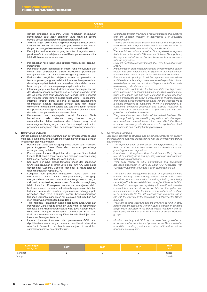dengan ringkasan peraturan. Divisi Kepatuhan melakukan pemeliharaan *data base* peraturan yang dikinikan secara berkala sesuai dengan perkembangan peraturan.

- Terdapat fungsi audit internal yang melakukan pengawasan secara independen dengan cakupan tugas yang memadai dan sesuai dengan rencana, pelaksanaan dan pemantauan hasil audit.
- Penunjukan auditor eksternal yang terdaftar di regulator sesuai peraturan OJK dan kebijakan internal Bank, penunjukan auditor telah dilakukan sesuai ketentuan.
- Pengendalian risiko Bank yang dikelola melalui Model Tiga Lini Pertahanan.
- Penerapan sistem pengendalian intern yang menyeluruh dan efektif telah dilaksanakan dalam mendukung pelaksanaan manajemen risiko dan ditata sesuai dengan tujuan bisnis.
- Evaluasi dan pengkinian kebijakan, sistem dan prosedur dan terdapat proses yang memadai untuk memastikan penyediaan dana kepada pihak terkait dan penyediaan dana dalam jumlah besar dengan tetap menerapkan prinsip kehati-hatian.
- Informasi yang tercantum di dalam laporan keuangan disusun dan disajikan secara transparan sesuai dengan prosedur, jenis dan cakupan serta telah disampaikan kepada Bank Indonesia dan instansi terkait lainnya secara tepat waktu. Transparansi informasi produk bank berserta perubahan-perubahannya disampaikan kepada nasabah dengan jelas dan mudah dimengerti. Terdapat transparansi tata cara pengaduan nasabah dan penyelesaian sengketa kepada nasabah sesuai ketentuan dan telah ditempatkan dalam situs web Bank.
- Penyusunan dan penyampaian revisi Rencana Bisnis pada ketentuan yang memperhatikan faktor eksternal dan internal yang dapat mempengaruhi kelangsungan usaha Bank, prinsip kehati-hatian, penerapan manajemen risiko, dan azas perbankan yang sehat.

#### **c.** *Governance Outcome*

Dengan adanya *governance structure* dan *governance process* yang memadai akan mendukung governance outcome yang sesuai dengan kepentingan *stakeholder* Bank.

- Pelaksanaan tugas dan tanggung jawab Direksi telah mengacu pada Anggaran Dasar Bank dan peraturan perundangundangan yang berlaku.
- Penyampaian Laporan Kepatuhan dan Laporan Pihak Terkait kepada OJK secara tepat waktu dan cakupan pelaporan yang telah sesuai dengan ketentuan yang berlaku.
- Kaji ulang oleh pihak ketiga terhadap kinerja dan kepatuhan SKAI telah dilakukan di tahun 2015 oleh RSM AAJ Associates dengan hasil "Generally Conform" dan hasil kaji ulang tersebut telah disampaikan kepada OJK.
- Kebijakan dan prosedur manajemen risiko bank telah menjabarkan cara Bank mengidentifikasi, mengkaji, mengendalikan dan memonitor risiko-risikonya, sesuai dengan visi, misi, kompleksitas, kemampuan Bank dan strategi yang telah ditetapkan. Diharapkan, kemampuan manajemen risiko bank mencukupi, masukan berkesinambungan terus dilakukan terhadap sistem dan sumber daya manusia sehingga pola perbaikan akan terus dilakukan secara berkesinambungan terhadap kerangka manajemen risiko sejalan pertumbuhan dan meningkatnya kompleksitas bisnis Bank.
- Tidak terdapat Penyediaan Dana besar (*large exposures*) dan Penyediaan Dana kepada pihak lain yang memiliki kepentingan terhadap Bank dilaksanakan secara wajar (*arm's length basis*), disesuaikan dengan kemampuan permodalan Bank dan tidak terkonsentrasi secara signifikan kepada Peminjam atau kelompok Peminjam tertentu.
- Laporan bulanan, triwulanan dan pelaksanaan GCG telah dipublikasikan sesuai dengan peraturan dan dimuat dalam situs *web* Bank. Selain itu, publikasi triwulanan juga dimuat dalam surat kabar nasional sesuai ketentuan.

*Compliance Division maintains a regular database of regulations that are updated regularly in accordance with regulatory developments.* 

- *There is an internal audit function that carries out independent supervision with adequate tasks and in accordance with the plan, implementation and monitoring of audit results.*
- *The appointment of an external auditor registered in regulator that's in accordance with FSA rules and internal Bank policies, the appointment of the auditor has been made in accordance with the regulations.*
- *Bank risk controls managed through the Three Lines of Defense Model.*
- *Implementation of a comprehensive and effective internal control system has been implemented in support of risk management implementation and arranged in line with business objectives.*
- *Evaluation and updating of policies, systems and procedures and there is an adequate process to ensure the provision of fund to related parties and the provision of large amount of fund while maintaining prudential principles.*
- *The information contained in the financial statement is prepared and presented in a transparent manner according to procedures, types and scopes and has been submitted to Bank Indonesia and other relevant agencies in a timely manner. The transparency of the bank's product information along with the changes made is clearly presented to customers. There is a transparency of customer's complaint procedure and dispute resolution to the customer in accordance with the provisions and has been published on the Bank's website.*
- *The preparation and submission of the revised Business Plan shall be guided by the prevailing regulations with due regard to external and internal factors that may affect the Bank's business continuity, prudential principles, the application of risk management, and healthy banking principles.*

#### *c. Governance Outcome*

*Adequate governance structure and governance process will support the governance outcome in accordance with the interest of the Bank's stakeholders.*

- *The implementation of the duties and responsibilities of the Board of Directors has been based on the Bank's status and prevailing laws and regulations.*
- *Submission of Compliance Report and Related Party Reports to FSA on a timely basis and reporting coverage in accordance with applicable provisions.*
- *Third party review of SKAI performance and compliance has been undertaken in 2015 by RSM AAJ Associates with "Generally Conform" result and it been submitted to FSA.*
- *The bank's risk management policies and procedures have outlined the way banks identify, review, control and monitor their risks, in accordance with the vision, mission, complexity, capability of banks and established strategies. It is expected that the Bank's risk management capability will be sufficient, provides constant input and continuously conduted on the system and human resources so that the improvement pattern will continue to be sustainable for the risk management framework and in line with the growth and the increasing complexity of the Bank's business.*
- *There are no large exposure and the provision of fund to other parties that are associated with the Bank is carried on an arm's length basis, adjusted to the Bank's capital capability and not significantly concentrated to the Borrower or certain Borrower groups.*
- *Monthly, quarterly and GCG reports have been published in accordance with the rules and posted on the Bank's website. In addition, quarterly publication is also published in national newspapers as required.*

| Keterangan<br>Description | 2017 | 2016 | 2015 | <b>Tren</b><br>Trend |
|---------------------------|------|------|------|----------------------|
| Peringkat                 |      |      |      | Stabil               |
| Rating                    |      |      |      | <b>Stable</b>        |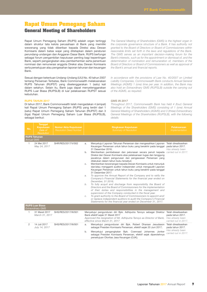# **Rapat Umum Pemegang Saham**

# **General Meeting of Shareholders**

Rapat Umum Pemegang Saham (RUPS) adalah organ tertinggi dalam struktur tata kelola perusahaan di Bank yang memiliki wewenang yang tidak diberikan kepada Direksi atau Dewan Komisaris dalam batas wajar yang ditetapkan dalam peraturan perundang-undangan dan Anggaran Dasar Bank. RUPS berfungsi sebagai forum pengambilan keputusan penting bagi kepentingan Bank, seperti pengangkatan atau pemberhentian serta penentuan nominasi dan remunerasi anggota Direksi atau Dewan Komisaris serta persetujuan atau pengesahan laporan tahunan dan keuangan Bank.

Sesuai dengan ketentuan Undang-Undang (UU) No. 40 tahun 2007 tentang Perseroan Terbatas, Bank Commonwealth melaksanakan RUPS Tahunan (RUPST) yang diselenggarakan 1 (satu) kali dalam setahun. Selain itu, Bank juga dapat menyelenggarakan RUPS Luar Biasa (RUPSLB) di luar pelaksanaan RUPST sesuai kebutuhan.

#### **RUPS TAHUN 2017**

Di tahun 2017, Bank Commonwealth telah mengadakan 4 (empat) kali Rapat Umum Pemegang Saham (RUPS) yang terdiri dari 1 (satu) Rapat Umum Pemegang Saham Tahunan (RUPST) dan 3 (tiga) Rapat Umum Pemegang Saham Luar Biasa (RUPSLB), sebagai berikut:

*The General Meeting of Shareholders (GMS) is the highest organ in the corporate governance structure of a Bank. It has authority not granted to the Board of Directors or Board of Commissioners within reasonable limits set forth in the laws and regulations of the Bank. The GMS serves as an important decision-making forum for the Bank's interests, such as for the appointment or dismissal of, and the determination of nomination and remuneration of, members of the Board of Directors or Board of Commissioners as well as approval of the Bank's annual and financial reports.*

*In accordance with the provisions of Law No. 40/2007 on Limited Liability Companies, Commonwealth Bank conducts Annual General Meetings (AGMS) 1 (one) time per year. In addition, the Bank may also hold an Extraordinary GMS (RUPSLB) outside the carrying out of the AGMS, as required.*

#### *GMS IN 2017*

*Throughout 2017, Commonwealth Bank has held 4 (four) General Meetings of the Shareholders (GMS) consisting of 1 (one) Annual General Meeting of Shareholders (AGMS) and 3 (three) Extraordinary General Meetings of the Shareholders (RUPSLB), with the following details:*

| No.               | <b>Tanggal</b><br>Keputusan<br>Date of<br>Resolution | <b>Nomor Akta Keputusan</b><br><b>Resolution Deed Number</b> | <b>Ringkasan Keputusan</b><br><b>Summary of Resolution</b>                                                                                                                                                                                                                                                                                                                                                                                                                                                                                                                                                                                                                                                                                                                                                                                                                                                                                                                                                                                                                                                                                                                                                                                                                                            | Pelaksanaan<br><i>Implementation</i>                             |
|-------------------|------------------------------------------------------|--------------------------------------------------------------|-------------------------------------------------------------------------------------------------------------------------------------------------------------------------------------------------------------------------------------------------------------------------------------------------------------------------------------------------------------------------------------------------------------------------------------------------------------------------------------------------------------------------------------------------------------------------------------------------------------------------------------------------------------------------------------------------------------------------------------------------------------------------------------------------------------------------------------------------------------------------------------------------------------------------------------------------------------------------------------------------------------------------------------------------------------------------------------------------------------------------------------------------------------------------------------------------------------------------------------------------------------------------------------------------------|------------------------------------------------------------------|
| <b>Annual GMS</b> | <b>RUPS Tahunan</b>                                  |                                                              |                                                                                                                                                                                                                                                                                                                                                                                                                                                                                                                                                                                                                                                                                                                                                                                                                                                                                                                                                                                                                                                                                                                                                                                                                                                                                                       |                                                                  |
| $\mathbf{1}$      | 24 Mei 2017<br>May 24, 2017                          | SHR/RES/2017/V/002                                           | Menyetujui Laporan Tahunan Perseroan dan mengesahkan Laporan<br>a.<br>Keuangan Perseroan untuk tahun buku yang berakhir pada tanggal<br>31 Desember 2016;<br>Memberikan pembebasan dan pelunasan secara penuh kepada carried out in 2017.<br>b.<br>Direksi dan Dewan Komisaris atas pelaksanaan tugas dan tanggung<br>jawabnya dalam pengurusan dan pengawasan Perseroan yang<br>dilakukan dalam tahun buku tersebut:<br>Memberikan kewenangan kepada Dewan Komisaris untuk menunjuk<br>C.<br>dan/atau mengganti auditor independen untuk mengaudit Laporan<br>Keuangan Perseroan untuk tahun buku yang berakhir pada tanggal<br>31 Desember 2017.<br>To approve the Annual Report of the Company and to ratify the<br>a.<br>Company's Financial Statements for the financial year ended on<br>December, 31 2016;<br>To fully acquit and discharge from responsibility the Board of<br>b.<br>Directors and the Board of Commissioners for the implementation<br>of their duties and responsibilities in the management and<br>supervision of the Company conducted in the fiscal year.<br>To grant authority to the Board of Commissioners to appoint and/<br>C.<br>or replace independent auditors to audit the Company's Financial<br>Statements for the financial year ended on December 31, 2017. | Telah direalisasikan<br>pada tahun 2017.<br>Has already been     |
|                   | <b>RUPS Luar Biasa</b><br><b>Extraordinary GMS</b>   |                                                              |                                                                                                                                                                                                                                                                                                                                                                                                                                                                                                                                                                                                                                                                                                                                                                                                                                                                                                                                                                                                                                                                                                                                                                                                                                                                                                       |                                                                  |
| 1                 | 31 Maret 2017<br>March 31, 2017                      | SHS/RES/2017/III/001                                         | Menyetujui pengunduran diri Bpk. Adhiputra Tanoyo sebagai Direktur<br>Bank efektif sejak 31 Maret 2017<br>Approved the resignation of Mr. Adhiputra Tanoyo as Director of Bank, Has already been<br>effective since March 31, 2017                                                                                                                                                                                                                                                                                                                                                                                                                                                                                                                                                                                                                                                                                                                                                                                                                                                                                                                                                                                                                                                                    | Telah direalisasikan<br>pada tahun 2017.<br>carried out in 2017. |
| $\overline{2}$    | 14 Juli 2017<br>July 14, 2017                        | SHS/RES/2017/III/001                                         | Menyetujui pengunduran diri Bpk. Robert Dharsan Jesudason Telah direalisasikan<br>a.<br>sebagai Presiden Komisaris Perseroan, efektif sejak 20 Juni 2017;<br>Menyetujui pengangkatan Bpk. Coenraad Johannes Jonker<br>b.<br>sebagai Presiden Komisaris Perseroan, efektif sejak diperolehnya<br>persetujuan Otoritas Jasa Keuangan (OJK);                                                                                                                                                                                                                                                                                                                                                                                                                                                                                                                                                                                                                                                                                                                                                                                                                                                                                                                                                             | pada tahun 2017.<br>Has already been<br>carried out in 2017.     |
|                   |                                                      |                                                              |                                                                                                                                                                                                                                                                                                                                                                                                                                                                                                                                                                                                                                                                                                                                                                                                                                                                                                                                                                                                                                                                                                                                                                                                                                                                                                       |                                                                  |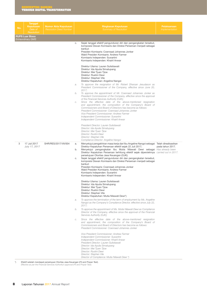| No. | <b>Tanggal</b><br>Keputusan<br>Date of<br>Resolution | <b>Nomor Akta Keputusan</b><br><b>Resolution Deed Number</b> | <b>Ringkasan Keputusan</b><br><b>Summary of Resolution</b>                                                                                                                                                                                                                                                                                                                                                                                                                                                                                                                                                                                                                                                        | Pelaksanaan<br><i>Implementation</i> |
|-----|------------------------------------------------------|--------------------------------------------------------------|-------------------------------------------------------------------------------------------------------------------------------------------------------------------------------------------------------------------------------------------------------------------------------------------------------------------------------------------------------------------------------------------------------------------------------------------------------------------------------------------------------------------------------------------------------------------------------------------------------------------------------------------------------------------------------------------------------------------|--------------------------------------|
|     | <b>RUPS Luar Biasa</b><br><b>Extraordinary GMS</b>   |                                                              |                                                                                                                                                                                                                                                                                                                                                                                                                                                                                                                                                                                                                                                                                                                   |                                      |
|     |                                                      |                                                              | Sejak tanggal efektif pengunduran diri dan pengangkatan tersebut,<br>C.<br>komposisi Dewan Komisaris dan Direksi Perseroan menjadi sebagai<br>berikut:<br>Presiden Komisaris: Coenraad Johannes Jonker<br>Wakil Presiden Komisaris: Andrew Farmer<br>Komisaris Independen: Suwartini<br>Komisaris Independen: Khairil Anwar<br>Direktur Utama: Lauren Sulistiawati                                                                                                                                                                                                                                                                                                                                                |                                      |
|     |                                                      |                                                              | Direktur: Ida Apulia Simatupang<br>Direktur: Mei Tjuen Tjioe<br>Direktur: Rustini Dewi<br>Direktur: Stephen Vile<br>Direktur Kepatuhan: Angeline Nangoi                                                                                                                                                                                                                                                                                                                                                                                                                                                                                                                                                           |                                      |
|     |                                                      |                                                              | To approve the resignation of Mr. Robert Dharsan Jesudason as<br>a.<br>President Commissioner of the Company, effective since June 20,<br>2017:<br>To approve the appointment of Mr. Coenraad Johannes Jonker as<br>b.<br>President Commissioner of the Company, effective since the approval                                                                                                                                                                                                                                                                                                                                                                                                                     |                                      |
|     |                                                      |                                                              | of the Financial Services Authority (OJK);<br>Since the effective date of the above-mentioned resignation<br>С.<br>and appointment, the composition of the Company's Board of<br>Commissioners and Board of Directors has become as follows:<br>President Commissioner: Coenraad Johannes Jonker<br>Vice President Commissioner: Andrew Farmer<br>Independent Commissioner: Suwartini<br>Independent Commissioner: Khairil Anwar                                                                                                                                                                                                                                                                                  |                                      |
|     |                                                      |                                                              | President Director: Lauren Sulistiawati<br>Director: Ida Apulia Simatupang<br>Director: Mei Tjuen Tjioe<br>Director: Rustini Dewi<br>Director: Stephen Vile<br>Compliance Director: Angeline Nangoi                                                                                                                                                                                                                                                                                                                                                                                                                                                                                                               |                                      |
| 3   | 17 Juli 2017<br>July 17, 2017                        | SHR/RES/2017/VII/004                                         | Menyetujui pengakhiran masa kerja dari Ibu Angeline Nangoi sebagai Telah direalisasikan<br>a.<br>Direktur Kepatuhan Perseroan efektif sejak 22 Juli 2017;<br>Menyetujui pengangkatan Ibu Mutia Nilawati Dewi sebagai Has already been<br>b.<br>Direktur Kepatuhan Perseroan terhitung efektif sejak diperolehnya carried out in 2017.<br>persetujuan Otoritas Jasa Keuangan (OJK);<br>Sejak tanggal efektif pengunduran diri dan pengangkatan tersebut,<br>С.<br>komposisi Dewan Komisaris dan Direksi Perseroan menjadi sebagai<br>berikut:<br>Presiden Komisaris: Coenraad Johannes Jonker<br>Wakil Presiden Komisaris: Andrew Farmer<br>Komisaris Independen: Suwartini<br>Komisaris Independen: Khairil Anwar | pada tahun 2017.                     |
|     |                                                      |                                                              | Direktur Utama: Lauren Sulistiawati<br>Direktur: Ida Apulia Simatupang<br>Direktur: Mei Tjuen Tjioe<br>Direktur: Rustini Dewi<br>Direktur: Stephen Vile<br>Direktur Kepatuhan: Mutia Nilawati Dewi*)                                                                                                                                                                                                                                                                                                                                                                                                                                                                                                              |                                      |
|     |                                                      |                                                              | To approve the termination of the term of employment by Ms. Angeline<br>a.<br>Nangoi as the Company's Compliance Director, effective since July 22,<br>2017;                                                                                                                                                                                                                                                                                                                                                                                                                                                                                                                                                      |                                      |
|     |                                                      |                                                              | To approve the appointment of Ms. Mutia Nilawati Dewi as Compliance<br>b.<br>Director of the Company, effective since the approval of the Financial<br>Services Authority (OJK);                                                                                                                                                                                                                                                                                                                                                                                                                                                                                                                                  |                                      |
|     |                                                      |                                                              | Since the effective date of the above-mentioned resignation<br>С.<br>and appointment, the composition of the Company's Board of<br>Commissioners and Board of Directors has become as follows:<br>President Commissioner: Coenraad Johannes Jonker                                                                                                                                                                                                                                                                                                                                                                                                                                                                |                                      |
|     |                                                      |                                                              | Vice President Commissioner: Andrew Farmer<br>Independent Commissioner: Suwartini<br>Independent Commissioner: Khairil Anwar<br>President Director: Lauren Sulistiawati<br>Director: Ida Apulia Simatupang<br>Director: Mei Tjuen Tjioe<br>Director: Rustini Dewi<br>Director: Stephen Vile<br>Director of Compliance: Mutia Nilawati Dewi*)                                                                                                                                                                                                                                                                                                                                                                      |                                      |

\*) Efektif setelah mendapat persetujuan Otoritas Jasa Keuangan (*Fit and Proper Test*). *Effective as per the Financial Services Authority's approval (Fit and Proper Test).*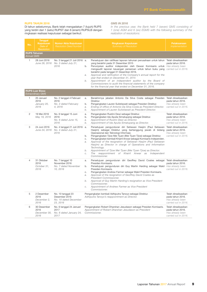#### **RUPS TAHUN 2016**

Di tahun sebelumnya, Bank telah mengadakan 7 (tujuh) RUPS yang terdiri dari 1 (satu) RUPST dan 6 (enam) RUPSLB dengan ringkasan realisasi keputusan sebagai berikut:

*GMS IN 2016*

*In the previous year, the Bank held 7 (seven) GMS consisting of 1 (one) AGM and 6 (six) EGMS with the following summary of the realization of resolutions:*

| No.               | Tanggal<br><b>Keputusan</b><br>Date of<br><b>Resolution</b> | <b>Nomor Akta Keputusan</b><br><b>Resolution Deed Number</b>                | <b>Ringkasan Keputusan</b><br><b>Summary of Resolution</b>                                                                                                                                                                                                                                                                                                                                                                                                                                                                                                                                                                                                         | Pelaksanaan<br><i><b>Implementation</b></i>                                          |  |  |
|-------------------|-------------------------------------------------------------|-----------------------------------------------------------------------------|--------------------------------------------------------------------------------------------------------------------------------------------------------------------------------------------------------------------------------------------------------------------------------------------------------------------------------------------------------------------------------------------------------------------------------------------------------------------------------------------------------------------------------------------------------------------------------------------------------------------------------------------------------------------|--------------------------------------------------------------------------------------|--|--|
| <b>Annual GMS</b> | <b>RUPS Tahunan</b>                                         |                                                                             |                                                                                                                                                                                                                                                                                                                                                                                                                                                                                                                                                                                                                                                                    |                                                                                      |  |  |
| $\mathbf{1}$      | 28 Juni 2016<br>June 28, 2016                               | No. 3 tanggal 21 Juli 2016 a.<br>No. 3 dated July 21,<br>2016               | Persetujuan dan ratifikasi laporan tahunan perusahaan untuk tahun Telah direalisasikan<br>yang berakhir pada 31 Desember 2015<br>Penunjukan auditor independen oleh Dewan Komisaris untuk Has already been<br>b.<br>mengaudit laporan keuangan perseroan untuk tahun buku yang carried out in 2016.<br>berakhir pada tanggal 31 Desember 2016.<br>Approval and ratification of the Company's annual report for the<br>a.<br>year that ended on December 31, 2015<br>Appointment of an independent auditor by the Board of<br>b.<br>Commissioners to audit the financial statements of the company<br>for the financial year that ended on December 31, 2016.       | pada tahun 2016.                                                                     |  |  |
|                   | <b>RUPS Luar Biasa</b><br>Extraordinary GMS                 |                                                                             |                                                                                                                                                                                                                                                                                                                                                                                                                                                                                                                                                                                                                                                                    |                                                                                      |  |  |
| $\mathbf{1}$      | 20 Januari<br>2016<br>January 20,<br>2016                   | No. 2 tanggal 4 Februari<br>2016<br>No. 2 dated February<br>4,2016          | Berakhirnya jabatan Antonio Da Silva Costa sebagai Presiden Telah direalisasikan<br>a.<br>Direktur.<br>Pengangkatan Lauren Sulistiawati sebagai Presiden Direktur.<br>b.<br>Ending of office of Antonio Da Silva Costa as President Director. carried out in 2016.<br>a.<br>Appointment of Lauren Sulistiawati as President Director.<br>b.                                                                                                                                                                                                                                                                                                                        | pada tahun 2016.<br>Has already been                                                 |  |  |
| $\overline{c}$    | 19 Mei 2016<br>May 19, 2016                                 | No. 6 tanggal 15 Juni<br>2016<br>No. 6 dated June 15,<br>2016               | Pengangkatan Rustini Dewi sebagai Direktur.<br>a.<br>b.<br>Pengangkatan Ida Apulia Simatupang sebagai Direktur.<br>Appointment of Rustini Dewi as Director.<br>a.<br>Appointment of Ida Apulia Simatupang as Director.<br>b.                                                                                                                                                                                                                                                                                                                                                                                                                                       | Telah direalisasikan<br>pada tahun 2016.<br>Has already been<br>carried out in 2016. |  |  |
| 3                 | 24 Juni 2016                                                | No. 4 tanggal 21 Juli 2016 a.<br>June 24, 2016 No. 4 dated July 21,<br>2016 | Persetujuan pengunduran diri Setiawan Hasjim (Paul Setiawan Telah direalisasikan<br>Hasjim) sebagai Direktur yang bertanggung jawab di bidang pada tahun 2016.<br>Operasional dan Teknologi Informasi.<br>Pengangkatan Tjioe Mei Tjuen (Mei Tjuen Tjioe) sebagai Direktur.<br>b.<br>Pengangkatan kembali Khairil Anwar sebagai Komisaris Independen.<br>C.<br>Approval of the resignation of Setiawan Hasjim (Paul Setiawan<br>a.<br>Hasjim) as Director in charge of Operations and Information<br>Technoloav.<br>Appointment of Tjioe Mei Tjuen (Mei Tjuen Tjioe) as Director.<br>b.<br>The reappointment of Khairil Anwar as Independent<br>С.<br>Commissioner. | Has already been<br>carried out in 2016.                                             |  |  |
| $\overline{4}$    | 31 Oktober<br>2016<br>October 31.<br>2016                   | No. 7 tanggal 10<br>November 2016<br>No. 7 dated November<br>10, 2016       | Persetujuan pengunduran diri Geoffrey David Coates sebagai Telah direalisasikan<br>a.<br>Presiden Komisaris.<br>Persetujuan pengunduran diri Guy Martin Harding sebagai Wakil Has already been<br>b.<br>Presiden Komisaris.<br>Pengangkatan Andrew Farmer sebagai Wakil Presiden Komisaris.<br>C.<br>Approval of the resignation of Geoffrey David Coates as<br>a.<br>President Commissioner.<br>Approval of Guy Martin Harding's resignation as Vice President<br>b.<br>Commissioner.<br>Appointment of Andrew Farmer as Vice President<br>C.<br>Commissioner.                                                                                                    | pada tahun 2016.<br>carried out in 2016.                                             |  |  |
| 5                 | 2 Desember<br>2016<br>December 2,<br>2016                   | No. 10 tanggal 23<br>Desember 2016<br>No. 10 dated December<br>23, 2016     | Pengangkatan kembali Adhiputra Tanoyo sebagai Direktur.<br>Adhiputra Tanoyo's reappointment as Director.                                                                                                                                                                                                                                                                                                                                                                                                                                                                                                                                                           | Telah direalisasikan<br>pada tahun 2016.<br>Has already been<br>carried out in 2016. |  |  |
| 6                 | 30 Desember<br>2016<br>December 30,<br>2016                 | No. 6 tanggal 24 Januari<br>2017<br>No. 6 dated January 24,<br>2017         | Pengangkatan Robert Dharshan Jesudason sebagai Presiden Komisaris.<br>Appointment of Robert Dharshan Jesudason as President<br>Commissioner.                                                                                                                                                                                                                                                                                                                                                                                                                                                                                                                       | Telah direalisasikan<br>pada tahun 2016.<br>Has already been<br>carried out in 2016. |  |  |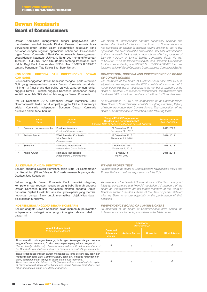# **Dewan Komisaris**

# **Board of Commissioners**

Dewan Komisaris mengemban fungsi pengawasan dan memberikan nasihat kepada Direksi. Dewan Komisaris tidak berwenang untuk terlibat dalam pengambilan keputusan yang berkaitan dengan kegiatan operasional sehari-hari. Pelaksanaan tugas Dewan Komisaris di Bank Commonwealth diselenggarakan sesuai dengan ketentuan UU No. 40 Tahun 2007 tentang Perseroan Terbatas, POJK No. 55/POJK.03/2016 tentang Penerapan Tata Kelola Bagi Bank Umum dan SEOJK No. 13/SEOJK.03/2017 tentang Penerapan Tata Kelola Bagi Bank Umum.

#### **KOMPOSISI, KRITERIA DAN INDEPENDENSI DEWAN KOMISARIS**

Susunan keanggotaan Dewan Komisaris mengacu pada ketentuan OJK yang mensyaratkan bahwa Dewan Komisaris terdiri dari minimum 3 (tiga) orang dan paling banyak sama dengan jumlah anggota Direksi. Jumlah anggota Komisaris Independen paling sedikit berjumlah 50% dari jumlah anggota Dewan Komisaris.

Per 31 Desember 2017, komposisi Dewan Komisaris Bank Commonwealth terdiri dari 4 (empat) anggota, 2 (dua) di antaranya adalah Komisaris Independen. Susunan Dewan Komisaris diuraikan dalam tabel berikut:

*The Board of Commissioners assumes supervisory functions and advises the Board of Directors. The Board of Commissioners is not authorized to engage in decision-making relating to day-to-day operations. The execution of the duties of the Board of Commissioners at Commonwealth Bank is held in accordance with the provisions of Law No. 40/2007 on Limited Liability Companies, POJK No. 55/ POJK.03/2016 on the Implementation of Good Corporate Governance for Commercial Banks, and SEOJK No. 13/SEOJK.03/2017 on the Implementation of Good Corporate Governance for Commercial Banks.* 

#### *COMPOSITION, CRITERIA AND INDEPENDENCE OF BOARD OF COMMISSIONERS*

*The members of the Board of Commissioners shall refer to OJK stipulations that require that the BOC consists of a minimum of 3 (three) persons and is at most equal to the number of members of the Board of Directors. The number of Independent Commissioners shall be at least 50% of the total members of the Board of Commissioners.*

*As of December 31, 2017, the composition of the Commonwealth Bank Board of Commissioners consists of 4 (four) members, 2 (two) of whom are Independent Commissioners. The composition of the Board of Commissioners is described in the following table:*

| No. | <b>Nama</b><br><b>Name</b>                  | Jabatan<br>Position                                               | <b>Tanggal Efektif Pengangkatan</b><br>Berdasarkan Persetujuan OJK<br>Effective Date of Appointment Based on OJK Approval | Periode Jabatan<br><b>Period of Office</b> |
|-----|---------------------------------------------|-------------------------------------------------------------------|---------------------------------------------------------------------------------------------------------------------------|--------------------------------------------|
|     | Coenraad Johannes Jonker Presiden Komisaris | President Commissioner                                            | 22 Desember 2017<br>December 22, 2017                                                                                     | 2017-2020                                  |
|     | Andrew Farmer                               | Wakil Presiden Komisaris<br><b>Vice President</b><br>Commissioner | 23 Desember 2016<br>December 23, 2016                                                                                     | 2016-2019                                  |
|     | Suwartini                                   | Komisaris Independen<br>Independent Commissioner                  | 7 November 2012<br>November 7, 2012                                                                                       | 2015-2018                                  |
|     | Khairil Anwar                               | Komisaris Independen<br>Independent Commissioner                  | 6 Mei 2013<br>May 6, 2013                                                                                                 | 2015-2018                                  |

#### **UJI KEMAMPUAN DAN KEPATUTAN**

Seluruh anggota Dewan Komisaris telah lulus Uji Kemampuan dan Kepatutan (*Fit and Proper Test*) serta memenuhi persyaratan Otoritas Jasa Keuangan.

Seluruh anggota Dewan Komisaris Bank memiliki integritas, kompetensi dan reputasi keuangan yang baik. Seluruh anggota Dewan Komisaris bukan merupakan mantan anggota Direksi dan/atau Pejabat Eksekutif Bank atau pihak-pihak yang memiliki hubungan dengan Bank untuk memastikan objektivitas dalam pelaksanaan fungsinya.

#### **Independensi Anggota Dewan Komisaris**

Seluruh anggota Dewan Komisaris telah memenuhi persyaratan independensi, sebagaimana yang dituangkan dalam tabel di bawah ini.

#### *FIT AND PROPER TEST*

*All members of the Board of Commissioners have passed the Fit and Proper Test and meet the requirements of the OJK.*

*All members of the Board of Commissioners of the Bank have good integrity, competence and financial reputation. All members of the Board of Commissioners are not former members of the Board of Directors and/or Executive Officers of the Bank or parties affiliated*  with the Bank to ensure objectivity in the performance of their *functions.*

#### *independence BOARD OF COMMISSIONERS*

*All members of the Board of Commissioners have fulfilled the independence requirements, as outlined in the table below.*

| <b>Aspek Independensi</b>                                                                                                                                                                                                                                                                                                                                                                                                           | <b>Komisaris</b><br>Commissioner      |                      |                  |               |
|-------------------------------------------------------------------------------------------------------------------------------------------------------------------------------------------------------------------------------------------------------------------------------------------------------------------------------------------------------------------------------------------------------------------------------------|---------------------------------------|----------------------|------------------|---------------|
| <b>Independence Aspect</b>                                                                                                                                                                                                                                                                                                                                                                                                          | Coenraad<br>Johannes<br><b>Jonker</b> | <b>Andrew Farmer</b> | <b>Suwartini</b> | Khairil Anwar |
| Tidak memiliki hubungan keluarga, hubungan keuangan dengan sesama<br>anggota Dewan Komisaris, Direksi maupun pemegang saham pengendali.<br>Has no family relationship, financial relationship with fellow members of<br>the Board of Commissioners, Board of Directors or controlling shareholder.                                                                                                                                  |                                       |                      |                  |               |
| Tidak terdapat kepemilikan saham mencapai 5% (lima persen) atau lebih dari<br>modal disetor pada Bank Commonwealth, bank lain, lembaga keuangan non-<br>bank, dan perusahaan lainnya di dalam atau di luar Indonesia.<br>There is no ownership interest of 5% (five percent) or more of paid-in capital<br>at Commonwealth Bank, other banks, non-banks financial institutions, and<br>other companies inside or outside Indonesia. |                                       |                      |                  |               |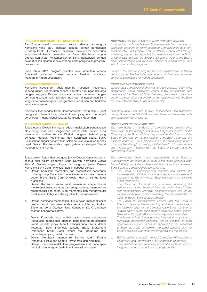#### **PROGRAM ORIENTASI BAGI KOMISARIS BARU**

Bank Commonwealth memberikan program orientasi bagi anggota Komisaris yang baru diangkat sebagai bentuk pengenalan terhadap Bank. Orientasi ini dilakukan melalui sesi pertemuan yang disertai dengan presentasi dari Dewan Komisaris maupun Direksi, kunjungan ke kantor-kantor Bank, perkenalan dengan pejabat eksekutif atau kepala cabang, serta pengenalan programprogram lain.

Pada tahun 2017, program orientasi telah diberikan kepada Coenraad Johannes Jonker sebagai Presiden Komisaris mengganti Robert Jesudason.

#### **KOMISARIS INDEPENDEN**

Komisaris Independen tidak memiliki hubungan keuangan, kepengurusan, kepemilikan saham dan/atau hubungan keluarga dengan anggota Dewan Komisaris lainnya dan/atau dengan pemegang saham mayoritas atau hubungan lainnya dengan Bank yang dapat mempengaruhi pengambilan keputusan dan tindakan secara independen.

Komisaris Independen Bank Commonwealth terdiri dari 2 (dua) orang yaitu Suwartini dan Khairil Anwar yang telah memenuhi persyaratan independensi sebagai Komisaris Independen.

#### **TUGAS DAN TANGGUNG JAWAB**

Tugas utama Dewan Komisaris adalah melakukan pengawasan atas pengurusan dan pengelolaan usaha oleh Direksi, serta memberikan arahan kepada Direksi mengenai hal-hal yang berkaitan dengan kepentingan dan kelanjutan usaha Bank. Pelaksanaan fungsi pengawasan salah satunya dilakukan melalui rapat Dewan Komisaris dan rapat gabungan dengan Direksi maupun komite-komite.

Tugas pokok, fungsi dan tanggung jawab Dewan Komisaris diatur secara rinci dalam Pedoman Kerja Dewan Komisaris (*Board Manual*). Secara singkat, tugas dan tanggung jawab Dewan Komisaris Bank Commonwealth adalah sebagai berikut:

- Dewan Komisaris memantau dan memastikan penerapan prinsip-prinsip *Good Corporate Governance* dalam semua aspek bisnis Bank Commonwealth dan di semua level organisasi.
- b. Dewan Komisaris secara aktif memantau kinerja Direksi melaksanakan segala tugas dan tanggung jawab, memberikan rekomendasi dan saran, juga memantau dan mengevaluasi pelaksanaan kebijakan strategis Bank Commonwealth.
- c. Dewan Komisaris memastikan Direksi telah menindaklanjuti temuan audit dan rekomendasi Auditor Internal, Auditor Eksternal, serta Otoritas Jasa Keuangan (OJK) dan/atau otoritas pengawas lainnya.
- d. Dewan Komisaris tidak terlibat dalam proses perumusan keputusan operasional, dengan pengecualian persetujuan kredit kepada pihak terkait sebagaimana diatur dalam ketentuan Bank Indonesia tentang Batas Maksimum Pemberian Kredit Bank Umum atau peraturan dan perundangan yang berlaku lainnya.
- e. Dewan Komisaris membentuk Komite Audit, Komite Pemantau Risiko dan Komite Remunerasi dan Nominasi.
- f. Dewan Komisaris melakukan pengawasan atas penerapan tata kelola terintegrasi pada konglomerasi keuangan.

#### *ORIENTATION PROGRAM FOR NEW COMMISSIONERS*

*As stated in the Board Manual, Commonwealth Bank provides an orientation program for newly-appointed Commissioners as a form of introduction to the Bank. This orientation is conducted through a meeting session accompanied by presentations from the Board of Commissioners and the Board of Directors, visits to the Bank's office, introductions with executive officers or branch heads, and introduction of other programs*

 *In 2017, the orientation program has been handed over to Robert Jesudason as President Commissioner and Coenraad Johannes Jonker as a substitute for Robert Jesudason.* 

#### *INDEPENDENT COMMISSIONER*

*Independent Commissioner shall not have any financial relationship, stewardship, share ownership and/or family relationships with members of the Board of Commissioners, the Board of Directors and/or the controlling shareholder or any relationship with the Bank that may affect its ability to act independently.*

*Commonwealth Bank has 2 (two) Independent Commissioners, namely Suwartini and Khairil Anwar, who have met the requirements as Independent Commissioner.*

#### *DUTIES AND RESPONSIBILITIES*

*The main duties of the Board of Commissioners are the direct supervision of the management and management policies of the Company by the Board of Directors, as well as the direction of the Board of Directors on matters relating to the Bank's interests and business continuity. The implementation of the supervisory function is conducted through a meeting of the Board of Commissioners and through joint meetings with the Board of Directors and the committees under it.* 

*The main duties, functions and responsibilities of the Board of Commissioners are regulated in detail in the Board Manual's Work Manual. Briefly, the duties and responsibilities of the Commonwealth Bank Board of Commissioners are as follows:*

- *a. The Board of Commissioners monitors and ensures the implementation of Good Corporate Governance principles in all aspects of the Commonwealth Bank business and at all levels of the organization.*
- *b. The Board of Commissioners is actively monitoring the performance of the Board of Directors performing all duties and responsibilities, providing recommendations and advice, as well as monitoring and evaluating the implementation of Commonwealth Bank strategic policies.*
- *c. The Board of Commissioners ensures that the Board of Directors discusses the audit findings and recommendations of the Internal Auditor of the Commonwealth Bank, the External Auditor, as well as the audit results and reviews of the Financial Services Authority (FSA) and/or other regulatory authorities.*
- *d. The Board of Commissioners is not involved in the process of formulating operational decisions, with the exception of credit approvals to related parties as stipulated in the provisions of Bank Indonesia concerning the Legal Lending Limit for Commercial Banks or other prevailing laws and regulations.*
- *e. BOC is required to establish an Audit Committee, Risk Monitoring Committee, and Remuneration and Nomination Committee.*
- *f. The Board of Commissioners supervises the implementation of integrated governance in financial conglomeration.*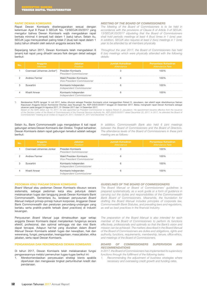#### **RAPAT DEWAN KOMISARIS**

Rapat Dewan Komisaris diselenggarakan sesuai dengan ketentuan Ayat 8 Pasal 3 SEOJK No. 13/SEOJK.03/2017 yang mengatur bahwa Dewan Komisaris wajib mengadakan rapat berkala minimal 4 (empat) kali dalam 1 (satu) tahun. Selain itu, SEOJK juga mensyaratkan paling tidak 2 (dua) kali rapat dalam 1 (satu) tahun dihadiri oleh seluruh anggota secara fisik.

Sepanjang tahun 2017, Dewan Komisaris telah mengadakan 6 (enam) kali rapat yang dihadiri secara fisik dengan detail sebagai berikut:

#### *MEETING OF THE BOARD OF COMMISSIONERS*

*The Meeting of the Board of Commissioners is to be held in accordance with the provisions of Clause 8 of Article 3 of SEOJK. 13/SEOJK.03/2017 stipulating that the Board of Commissioners shall hold periodic meetings at least 4 (four) times in 1 (one) year. In addition, SEOJK also requires at least 2 (two) meetings in 1 (one) year to be attended by all members physically.*

*Throughout the year 2017, the Board of Commissioners has held 6 (six) meetings which were physically attended with the following details:*

| No. | <b><i><u>Member</u></i></b> | ıhatan<br>Position                                      | Jumlah Kehadiran<br>Attendance | <b>Persentase Kehadiran</b><br>Attendance Rate |
|-----|-----------------------------|---------------------------------------------------------|--------------------------------|------------------------------------------------|
|     | Coenraad Johannes Jonker*)  | Presiden Komisaris<br>President Commissioner            |                                | በበባ%                                           |
|     | Andrew Farmer               | Wakil Presiden Komisaris<br>Vice President Commissioner |                                | nn%                                            |
|     | Suwartini                   | Komisaris Independen<br>Independent Commissioner        |                                | በበ%                                            |
|     | Khairil Anwar               | Komisaris Independen<br>Independent Commissioner        |                                |                                                |

Berdasarkan RUPS tanggal 14 Juli 2017, beliau ditunjuk sebagai Presiden Komisaris untuk menggantikan Robert D. Jesudason, dan efektif sejak diterbitkannya Salinan<br>Keputusan Anggota Dewan Komisioner Otoritas Jasa Keuangan N

*Commissioners' meeting as an invitee on August 24, 2017, October 31, 2017 and December 14, 2017.*

Selain itu, Bank Commonwealth juga mengadakan 6 kali rapat gabungan antara Dewan Komisaris dan Direksi. Tingkat kehadiran Dewan Komisaris dalam rapat gabungan tersebut adalah sebagai berikut:

*In addition, Commonwealth Bank also held 6 joint meetings between the Board of Commissioners and the Board of Directors. The attendance levels of the Board of Commissioners in these joint meeting are as follows:*

| No. | Member                   | labatan<br>Position                                     | Jumlah Kehadiran<br>Attendance | <b>Persentase Kehadiran</b><br>Attendance Rate |
|-----|--------------------------|---------------------------------------------------------|--------------------------------|------------------------------------------------|
|     | Coenraad Johannes Jonker | Presiden Komisaris<br>President Commissioner            |                                | 100%                                           |
|     | <b>Andrew Farmer</b>     | Wakil Presiden Komisaris<br>Vice President Commissioner |                                | 1በበ%                                           |
|     | Suwartini                | Komisaris Independen<br>Independent Commissioner        |                                | በበባ⁄ለ                                          |
|     | Khairil Anwar            | Komisaris Independen<br>Independent Commissioner        |                                | 1በበ%                                           |

#### **PEDOMAN ATAU PIAGAM DEWAN KOMISARIS**

*Board Manual* atau pedoman Dewan Komisaris disusun secara sistematis, sebagai pedoman kerja atau petunjuk dalam melaksanakan tugas dan tanggung jawab Dewan Komisaris Bank Commonwealth. Sementara itu, landasan penyusunan *Board Manual* meliputi prinsip-prinsip hukum korporasi, Anggaran Dasar Bank Commonwealth dan peraturan perundang-undangan yang berlaku serta praktik-praktik terbaik (*best practices*) di industri keuangan.

Penyusunan *Board Manual* juga dimaksudkan agar setiap anggota Dewan Komisaris dapat menjalankan fungsinya secara efektif, profesional, dan optimal sehingga visi dan misi Bank dapat tercapai. Adapun hal-hal yang diuraikan dalam *Board Manual* Dewan Komisaris adalah tugas dan kewajiban, hak dan wewenang, fungsi, persyaratan, keanggotaan, masa jabatan, etika jabatan, serta rapat Dewan Komisaris.

#### **PENGAWASAN DAN REKOMENDASI DEWAN KOMISARIS**

Di tahun 2017, Dewan Komisaris telah melaksanakan fungsi pengawasannya melalui pemenuhan tugas-tugas berikut ini:

Merekomendasikan penyesuaian strategi bisnis apabila diperlukan dan mengawasi tingkat pertumbuhan kredit dan pendanaan.

#### *GUIDELINES OF THE BOARD OF COMMISSIONERS*

*The Board Manual or Board of Commissioners' guidelines is prepared systematically, as a work guide or a form of guidance in carrying out the duties and responsibilities of the Commonwealth Bank Board of Commissioners. Meanwhile, the foundation for drafting the Board Manual includes principles of corporate law, Commonwealth Bank Statutes, and prevailing laws and regulations, as well as best practices in the financial industry.*

*The preparation of the Board Manual is also intended for each member of the Board of Commissioners to perform its functions effectively, professionally and optimally so that the Bank's vision and mission can be achieved. The matters described in the Board Manual of the Board of Commissioners are duties and obligations, rights and authority, functions, requirements, membership, tenure, office ethics, and meetings of the Board of Commissioners.*

#### *BOARD OF COMMISSIONERS SUPERVISION AND RECOMMENDATIONS*

*In 2017, the Board of Commissioners has implemented its supervisory functions through the fulfillment of the following tasks:*

*1. Recommending the adjustment of business strategies where necessary and overseeing credit growth and funding rates.*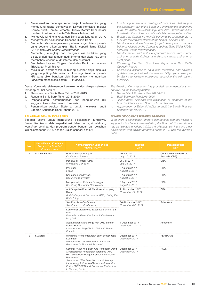- 2. Melaksanakan beberapa rapat kerja komite-komite yang mendukung tugas pengawasan Dewan Komisaris melalui Komite Audit, Komite Pemantau Risiko, Komite Remunerasi dan Nominasi serta Komite Tata Kelola Terintegrasi.
- 3. Mengevaluasi kinerja keuangan Bank sepanjang tahun 2017.
- 4. Mengevaluasi pelaksanaan Rencana Bisnis Bank.
- 5. Memantau dan mengevaluasi perkembangan bisnis/proyek yang sedang dikembangkan Bank, seperti Tyme Digital KIOSK dan *Data Center Transformation*.
- 6. Memantau, mengkaji dan mengevaluasi tindakan yang disetujui dari hasil temuan audit internal dan eksternal, serta membahas rencana audit internal dan eksternal.
- 7. Membahas Laporan Tingkat Kesehatan Bank dan Laporan Triwulanan Profil Risiko.
- 8. Melakukan pembahasan di bidang sumber daya manusia yang meliputi *update* terkait struktur organisasi dan proyek HR yang dikembangkan oleh Bank untuk memudahkan karyawan mengakses sistem HR (*Sidekick*).

Dewan Komisaris telah memberikan rekomendasi dan persetujuan terhadap hal-hal berikut:<br>1. Revisi rencana Bisni

- 1. Revisi rencana Bisnis Bank Tahun 2017-2019<br>2. Bencana Bisnis Bank Tahun 2018-2020
- 2. Rencana Bisnis Bank Tahun 2018-2020
- Pengangkatan, pemberhentian dan pengunduran diri anggota Direksi dan Dewan Komisaris
- 4. Penunjukkan Auditor Eksternal untuk melakukan audit Laporan Keuangan Bank Tahnun 2017.

#### **PELATIHAN DEWAN KOMISARIS**

Sebagai upaya untuk mendukung pelaksanaan fungsinya, Dewan Komisaris telah berpartisipasi dalam berbagai pelatihan, *workshop*, seminar, dan program pengembangan dan pelatihan lain selama tahun 2017, dengan uraian sebagai berikut:

- *2. Conducting several work meetings of committees that support the supervisory task of the Board of Commissioners through the Audit Committee, Risk Monitoring Committee, Remuneration and Nomination Committee, and Integrated Governance Committee.*
- *3. Evaluate the Company's financial performance throughout 2017.*
- *4. Evaluate the implementation of the Bank's Business Plan.*
- *5. Monitor and evaluate business/project developments that are being developed by the Company, such as Tyme Digital KIOSK and Data Center Transformation.*
- *6. Monitor, review and evaluate approved actions from internal and external audit findings, and discuss internal and external audit plans.*
- *7. Discussing the Bank Soundness Report and Risk Profile Quarterly Report.*
- *8. Conducting discussions on human resources, and covering updates on organizational structure and HR projects developed by Banks to facilitate employees accessing the HR system (Sidekick).*

*The Board of Commissioners has provided recommendations and approval on the following matters:*

- *1. Revised Bank Business Plan 2017-2019*
- *2. Bank Business Plan 2018-2020*
- *3. Appointment, dismissal and resignation of members of the Board of Directors and Board of Commissioners*
- *4. Appointment of External Auditor to audit the Bank's Financial Statement of Year 2017.*

#### *BOARD OF COMMISSIONERS TRAINING*

*In an effort to continuously improve competence and add insight to support its functional implementation, the Board of Commissioners has participated in various trainings, workshops, seminars and other development and training programs during 2017, with the following details:*

| No. | Nama Dewan Komisaris<br>Name of the Board of<br><b>Commissioners</b> | Nama Pelatihan yang Diikuti<br><b>Training Activity</b>                                                                                                                                                                                                                                                    | <b>Tanggal</b><br>Date                  | Penyelenggara<br>Host                                                                                                                                         |
|-----|----------------------------------------------------------------------|------------------------------------------------------------------------------------------------------------------------------------------------------------------------------------------------------------------------------------------------------------------------------------------------------------|-----------------------------------------|---------------------------------------------------------------------------------------------------------------------------------------------------------------|
| 1   | <b>Andrew Farmer</b>                                                 | Benturan Kepentingan<br>Conflicts of Interest                                                                                                                                                                                                                                                              | 20 Juli 2017<br>July 20, 2017           | Commonwealth Bank of<br>Australia (CBA)<br><b>CBA</b><br>CBA<br><b>CBA</b><br><b>CBA</b><br>CBA<br>Salesforce<br>Accenture<br><b>PERBANAS</b><br><b>FKDKP</b> |
|     |                                                                      | Perilaku di Tempat Kerja<br><b>Workplace Conduct</b>                                                                                                                                                                                                                                                       | 28 Juli 2017<br>July 28, 2017           |                                                                                                                                                               |
|     |                                                                      | Penipuan<br>Fraud                                                                                                                                                                                                                                                                                          | 3 Agustus 2017<br>August 3, 2017        |                                                                                                                                                               |
|     |                                                                      | Keamanan dan Privasi<br><b>Security and Privacy</b>                                                                                                                                                                                                                                                        | 8 Agustus 2017<br>August 8, 2017        |                                                                                                                                                               |
|     |                                                                      | Menyelesaikan Keluhan Pelanggan<br><b>Resolving Customer Complaints</b>                                                                                                                                                                                                                                    | 8 Agustus 2017<br>August 8, 2017        |                                                                                                                                                               |
|     |                                                                      | Anti Suap dan Korupsi: Melakukan Hal yang<br>Benar<br>Anti-Bribery and Corruption (ABC): Doing the<br>Right thing                                                                                                                                                                                          | 21 November 2017<br>November 21, 2017   |                                                                                                                                                               |
|     |                                                                      | San Francisco Conference<br>San Francisco Conference                                                                                                                                                                                                                                                       | 6-8 November 2017<br>November 6-8, 2017 |                                                                                                                                                               |
|     |                                                                      | Konferensi Dreamforce Executive Summit, 6-8<br>Nov<br>Dreamforce Executive Summit Conference<br>Nov. 6-8                                                                                                                                                                                                   |                                         |                                                                                                                                                               |
|     |                                                                      | Acara Makan Siang MegaTech 2050 dengan<br>Daniel Franklin<br>Luncheon on MegaTech 2050 with Daniel<br>Franklin                                                                                                                                                                                             | 1 Desember 2017<br>December 1, 2017     |                                                                                                                                                               |
| 2   | Suwartini                                                            | Workshop "Pengembangan SDM Sektor Jasa<br>Keuangan"<br>Workshop on "Development of Human<br>Resources in Financial Services"                                                                                                                                                                               | Desember 2017<br>December 2017          |                                                                                                                                                               |
|     |                                                                      | Seminar "Arah Kebijakan Anti Pencucian Uang<br>& Pencegahan Pendanaan Terorisme (APU<br>PPT) serta Perlindungan Konsumen di Sektor<br>Perbankan"<br>Seminar on "The Direction of Anti Money<br>Laundering & Counter-Terrorism Prevention<br>Policy (APU PPT) and Consumer Protection<br>in Banking Sector" | Desember 2017<br>December 2017          |                                                                                                                                                               |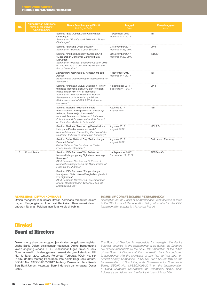| No. | <b>Nama Dewan Komisaris</b><br>Name of the Board of<br><b>Commissioners</b> | Nama Pelatihan yang Diikuti<br><b>Training Activity</b>                                                                                                                                                                                                              | <b>Tanggal</b><br>Date                  | Penyelenggara<br><b>Host</b> |
|-----|-----------------------------------------------------------------------------|----------------------------------------------------------------------------------------------------------------------------------------------------------------------------------------------------------------------------------------------------------------------|-----------------------------------------|------------------------------|
|     |                                                                             | Seminar "Eco Outlook 2018 with Fintech<br>Challenges"<br>Seminar on "Eco Outlook 2018 with Fintech<br>Challenges"                                                                                                                                                    | 1 Desember 2017<br>December 1, 2017     | <b>IBI</b>                   |
|     |                                                                             | Seminar "Banking Cyber Security"<br>Seminar on "Banking Cyber Security"                                                                                                                                                                                              | 23 November 2017<br>November 23, 2017   | <b>LPPI</b>                  |
|     |                                                                             | Seminar "Political Economy Outlook 2018<br>"Masa Depan Consumer Banking di Era<br>Disruption"<br>Seminar on "Political Economy Outlook 2018<br>on The Future of Consumer Banking in the<br>Era of Disruption"                                                        | 22 November 2017<br>November 22, 2017   | <b>INDEEF</b>                |
|     |                                                                             | Refreshment Methodology Assessment bagi<br>Asesor<br>Refreshment Methodology of Assessment for<br>Assessors                                                                                                                                                          | 1 November 2017<br>November 1, 2017     | <b>IBI</b>                   |
|     |                                                                             | Seminar "Penilaian Mutual Evaluation Review<br>terhadap Indonesia oleh APG dan Penilaian<br>Risiko Tindak PPA PPT di Indonesia"<br>Seminar on "Mutual Evaluation Review<br>Assessment of Indonesia by APG and<br>Risk Assessment of PPA PPT Actions in<br>Indonesia" | 1 September 2017<br>September 1, 2017   | LPPI                         |
|     |                                                                             | Seminar Nasional "Mismatch antara<br>Pendidikan dan Pekerjaan serta Dampaknya<br>terhadap Pasar Kerja di Indonesia"<br>National Seminar on "Mismatch between<br>Education and Employment and Its Impact<br>on the Labor Market in Indonesia"                         | Agustus 2017<br>August 2017             | <b>ISEI</b>                  |
|     |                                                                             | Seminar Nasional "Mendorong Peran Industri<br>Hulu pada Perekonomian Indonesia"<br>National Seminar "Promoting the Role of the<br>Upstream Industry in Indonesian Economy"                                                                                           | Agustus 2017<br>August 2017             | <b>ISEI &amp; BI</b>         |
|     |                                                                             | Seminar Swiss National Day "Perkembangan<br>Ekonomi Swiss"<br>Swiss National Day Seminar on "Swiss<br><b>Economic Development"</b>                                                                                                                                   | Agustus 2017<br>August 2017             | Switzerland Embassy          |
| 3   | Khairil Anwar                                                               | Seminar IBEX Perbanas"Visi Perbankan<br>Nasional Menyongsong Digitalisasi Lembaga<br>Keuangan"<br>IBEX Perbanas Seminar on "A Vision of<br>National Banking Facing the Digitalization of<br>Financial Institutions"                                                  | 19 September 2017<br>September 19, 2017 | <b>PERBANAS</b>              |
|     |                                                                             | Seminar IBEX Perbanas "Pengembangan<br>Manajemen Risiko dalam Rangka Menghadapi<br>Era Digitalisasi"<br><b>IBEX Perbanas Seminar on "Development</b><br>of Risk Management in Order to Face the<br>Digitalization Era"                                               |                                         |                              |

#### **REMUNERASI DEWAN KOMISARIS**

Uraian mengenai remunerasi Dewan Komisaris tercantum dalam bagian Pengungkapan Informasi Kebijakan Remunerasi dalam Laporan Tahunan Pelaksanaan Tata Kelola di bab ini.

#### *BOARD OF COMMISSIONERS REMUNERATION*

*Description on the Board of Commissioners' remuneration is listed in the "Disclosure of Remuneration Policy Information" in the CGC Implementation chapter in this Annual Report.*

# **Direksi Board of Directors**

Direksi merupakan penanggung jawab atas pengelolaan kegiatan usaha Bank. Dalam pelaksanaan tugasnya, Direksi bertanggung jawab langsung kepada RUPS. Pelaksanaan tugas Direksi di Bank Commonwealth diselenggarakan sesuai dengan ketentuan UU No. 40 Tahun 2007 tentang Perseroan Terbatas, POJK No. 55/ POJK.03/2016 tentang Penerapan Tata Kelola Bagi Bank Umum, SEOJK No. 13/SEOJK.03/2017 tentang Penerapan Tata Kelola Bagi Bank Umum, ketentuan Bank Indonesia dan Anggaran Dasar Bank.

*The Board of Directors is responsible for managing the Bank's business activities. In the performance of its duties, the Directors are directly responsible to the GMS. Implementation of the duties of the Board of Directors at Commonwealth Bank is conducted in accordance with the provisions of Law No. 40 Year 2007 on Limited Liability Companies, POJK No. 55/POJK.03/2016 on the Implementation of Good Corporate Governance for Commercial Banks, SEOJK No. 13/SEOJK.03/2017 on the Implementation of Good Corporate Governance for Commercial Banks, Bank Indonesia's provisions, and the Bank's Articles of Association.*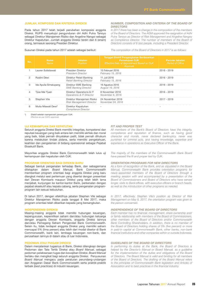#### **JUMLAH, KOMPOSISI DAN KRITERIA DIREKSI**

Pada tahun 2017 telah terjadi perubahan komposisi anggota Direksi. RUPS menyetujui pengunduran diri Adhi Putra Tanoyo sebagai Direktur Manajemen Risiko dan Angeline Nangoi sebagai Direktur Kepatuhan. Jumlah anggota Direksi terdiri dari 6 (enam) orang, termasuk seorang Presiden Direktur.

Susunan Direksi pada tahun 2017 adalah sebagai berikut:

#### **NUMBER, COMPOSITION AND CRITERIA OF THE BOARD OF** *DIRECTORS*

*In 2017 there has been a change in the composition of the members of the Board of Directors. The AGM approved the resignation of Adhi Putra Tanoyo as Director of Risk Management and Angeline Nangoy as Compliance Director. The number of members of the Board of Directors consists of 6 (six) people, including a President Director.* 

*The composition of the Board of Directors in 2017 is as follows:*

| No. | <b>Nama</b><br><b>Name</b> | Jabatan<br>Position                                       | Tanggal Efektif Pengangkatan Berdasarkan<br><b>Persetujuan OJK</b><br>Effective Date of Appointment Based on OJK<br>Approval | <b>Periode Jabatan</b><br><b>Period of Office</b> |
|-----|----------------------------|-----------------------------------------------------------|------------------------------------------------------------------------------------------------------------------------------|---------------------------------------------------|
|     | Lauren Sulistiawati        | Presiden Direktur<br><b>President Director</b>            | 15 Februari 2016<br>February 15, 2016                                                                                        | $2016 - 2019$                                     |
| 2   | Rustini Dewi               | Direktur Retail Banking<br><b>Retail Banking Director</b> | 11 Juli 2016<br>February 15, 2016                                                                                            | $2016 - 2019$                                     |
| 3   | Ida Apulia Simatupang      | Direktur SME Banking<br><b>SME Banking Director</b>       | 16 Agustus 2016<br>August 16, 2016                                                                                           | $2016 - 2019$                                     |
| 4   | Tjioe Mei Tjuen            | Direktur Operations & IT<br>Operations & IT Director      | 8 November 2016<br>November 8, 2016                                                                                          | $2016 - 2019$                                     |
| 5   | Stephen Vile               | Direktur Manajemen Risiko<br>Risk Management Director     | 24 November 2016<br>November 24, 2016                                                                                        | $2017 - 2018$                                     |
| 6   | Mutia Nilawati Dewi*       | Direktur Kepatuhan<br>Compliance Director                 |                                                                                                                              |                                                   |

\*) Efektif setelah memperoleh persetujuan OJK.

*Effective as per OJK's approval.*

#### **UJI KEMAMPUAN DAN KEPATUTAN**

Seluruh anggota Direksi Bank memiliki integritas, kompetensi dan reputasi keuangan yang baik antara lain memiliki akhlak dan moral yang baik, tidak pernah dinyatakan pailit, tidak pernah dihukum karena melakukan tindak pidana, serta memiliki pengetahuan, keahlian dan pengalaman di bidang operasional sebagai Pejabat Eksekutif Bank.

Mayoritas anggota Direksi Bank Commonwealth telah lulus uji kemampuan dan kepatutan oleh OJK.

#### **PROGRAM ORIENTASI BAGI DIREKSI BARU**

Sebagai bentuk pengenalan terhadap Bank, dan sebagaimana ditetapkan dalam *Board Manual*, Bank Commonwealth memberikan program orientasi bagi anggota Direksi yang baru diangkat melalui sesi pertemuan yang disertai dengan presentasi dari Dewan Komisaris maupun Direksi yang telah lebih lama menjabat, kunjungan ke kantor-kantor Bank, perkenalan dengan pejabat eksekutif atau kepala cabang, serta pengenalan programprogram lain sesuai kebutuhan.

Di tahun 2017, dengan efektifnya jabatan Stephen Vile sebagai Direktur Manajemen Risiko pada tanggal 8 Mei 2017, maka program orientasi telah diberikan kepada yang bersangkutan.

#### **INDEPENDENSI DIREKSI**

Masing-masing anggota tidak memiliki hubungan keuangan, kepengurusan, kepemilikan saham dan/atau hubungan keluarga dengan anggota Dewan Komisaris, anggota Direksi lainnya dan/atau Pemegang Saham Pengendali Bank Commonwealth. Selain itu, tidak terdapat anggota Direksi yang memiliki saham mencapai 5% (lima persen) atau lebih dari modal disetor di Bank Commonwealth, bank lain, lembaga keuangan non-bank, dan perusahaan lainnya di dalam atau di luar Indonesia.

#### **PEDOMAN ATAU PIAGAM DIREKSI**

Dalam menjalankan tugasnya di Bank, Direksi dilengkapi dengan Pedoman dan Tata Tertib Direksi atau *Board Manual*, sebagai pedoman pelaksanaan tugas dan kewajiban Direksi. *Board Manual* berlaku dan mengikat bagi seluruh anggota Direksi. Penyusunan *Board Manual* mengacu pada peraturan perundang-undangan dan Anggaran Dasar Bank Commonwealth serta praktik-praktik terbaik (*best practices*) di industri keuangan.

#### *FIT AND PROPER TEST*

*All members of the Bank's Board of Directors have the integrity, competence and reputation of finance, such as having good character and morals, never declared bankruptcy, never was punished for criminal acts, and having knowledge, expertise and experience in operations as Executive Officer of the Bank.*

*The majority of the members of the Commonwealth Bank Board have passed the fit and proper test by OJK.*

#### *ORIENTATION PROGRAMS FOR NEW DIRECTORS*

*As a form of recognition of the Bank, and as stipulated in the Board Manual, Commonwealth Bank provides orientation programs for newly-appointed members of the Board of Directors through a meeting session with and accompanied by a presentation of the Board of Commissioners and Board of Directors who have served longer, visits to Bank offices, with executive officers or branch heads, as well as the introduction of other programs as needed.*

*In 2017, effectively, Stephen Vile's position as Director of Risk Management on May 8, 2017, the orientation program was given to the person concerned.*

#### *INDEPENDENCE OF THE BOARD OF DIRECTORS*

*Each member has no financial, management, share ownership and/ or family relationship with members of the Board of Commissioners, other members of the Board of Directors and/or Commonwealth Bank Controlling Shareholders. In addition, there is no member of the Board of Directors holding shares of 5% (five percent) or more in paid-in capital at Commonwealth Bank, other banks, non-bank financial institutions and other companies within or outside Indonesia.*

#### *GUIDELINES OF THE BOARD OF DIRECTORS*

*In performing its duties at the Bank, the Board of Directors is helped by the Director's Manual or Board Manual, as a guideline for the implementation of the duties and obligations of the Board of Directors. The Board Manual is valid and binding for all members of the Board of Directors. The drafting of the Board Manual refers to the principles of Commonwealth Bank legislation and Articles of Association and to best practices in the financial industry.*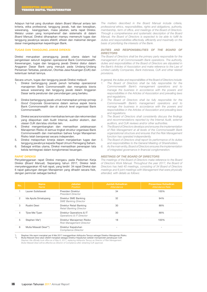Adapun hal-hal yang diuraikan dalam *Board Manual* antara lain kriteria, etika profesional, tanggung jawab, hak dan kewajiban, wewenang, keanggotaan, masa jabatan, serta rapat Direksi. Melalui uraian yang komprehensif dan sistematis di dalam *Board Manual*, Direksi diharapkan mampu memenuhi tugas dan tanggung jawabnya secara efektif, efisien dan maksimal dengan dasar mengedepankan kepentingan Bank.

#### **TUGAS DAN TANGGUNG JAWAB DIREKSI**

Direksi merupakan penanggung jawab utama dalam hal pengelolaan seluruh kegiatan operasional Bank Commonwealth. Kewenangan, tugas dan tanggung jawab Direksi diatur dalam Anggaran Dasar Bank yang merujuk pada Undang-Undang Perseroan Terbatas, peraturan, Otoritas Jasa Keuangan (OJK) dan ketentuan terkait lainnya.

Secara umum, tugas dan tanggung jawab Direksi meliputi:

- 1. Direksi bertanggung jawab penuh terhadap operasional manajemen Bank Commonwealth dan mengelola bisnis sesuai wewenang dan tanggung jawab dalam Anggaran Dasar serta peraturan dan perundangan yang berlaku.
- 2. Direksi bertanggung jawab untuk menerapkan prinsip-prinsip *Good Corporate Governance* dalam semua aspek bisnis Bank Commonwealth dan di seluruh level organisasi Bank Commonwealth.
- 3. Direksi secara konsisten membahas temuan dan rekomendasi yang dilaporkan oleh Audit Internal, auditor ekstern, dan ulasan OJK dan/atau otoritas lain.
- 4. Direksi mengembangkan dan memastikan pelaksanaan Manajemen Risiko di semua tingkat struktur organisasi Bank Commonwealth dan memastikan bahwa fungsi Manajemen Risiko telah beroperasi secara independen.
- 5. Direksi melaporkan kinerja dalam menjalankan tugas dan tanggung jawabnya kepada Rapat Umum Pemegang Saham.
- 6. Sebagai entitas utama, Direksi memastikan penerapan tata kelola terintegrasi dalam konglomerasi keuangan.

#### **RAPAT DIREKSI**

Penyelenggaraan rapat Direksi mengacu pada Pedoman Kerja Direksi (*Board Manual*). Sepanjang tahun 2017, Direksi telah menyelenggarakan 40 kali rapat, yang terdiri 34 rapat Direksi dan 6 rapat gabungan dengan Manajemen yang dihadiri secara fisik, dengan perincian sebagai berikut:

*The matters described in the Board Manual include criteria, professional ethics, responsibilities, rights and obligations, authority, membership, term of office, and meetings of the Board of Directors. Through a comprehensive and systematic description of the Board Manual, the Board of Directors is expected to be able to fulfill its duties and responsibilities effectively, efficiently and maximally on the basis of prioritizing the interests of the Bank.*

#### **DUTIES AND RESPONSIBILITIES OF THE BOARD OF** *DIRECTORS*

*The Board of Directors shall be the primary party responsible for the management of all Commonwealth Bank operations. The authority, duties and responsibilities of the Board of Directors are stipulated in the Bank's Articles of Association and make reference to the Law of Limited Liability Companies, Bank Indonesia, OJK and other related provisions.*

*In general, the duties and responsibilities of the Board of Directors include:*

- *1. The Board of Directors shall be fully responsible for the Commonwealth Bank's management operations and to manage the business in accordance with the powers and responsibilities in the Articles of Association and prevailing laws and regulations.*
- *2. The Board of Directors shall be fully responsible for the Commonwealth Bank's management operations and to manage the business in accordance with the powers and responsibilities in the Articles of Association and prevailing laws and regulations.*
- *3. The Board of Directors shall consistently discuss the findings and recommendations reported by the Internal Audit, external auditors, and OJK reviews and/or other authorities.*
- *4. The Board of Directors develops and ensures the implementation of Risk Management at all levels of the Commonwealth Bank organizational structure and ensures that the Risk Management function has operated independently.*
- *5. The Board of Directors shall report its performance of its duties and responsibilities to the General Meeting of Shareholders.*
- *6. As the main entity, Board of Directors ensures the implementation of integrated governance in financial conglomeration.*

#### *MEETINGS OF THE BOARD OF DIRECTORS*

*The meetings of the Board of Directors make reference to the Board of Directors Work Manual. Throughout the year 2017, the Board of Directors has held 40 meetings, consisting of 34 Board of Directors meetings and 6 joint meetings with Management that were physically attended, with details as follows:*

| No. | <b>Nama</b><br><b>Name</b> | Jabatan<br>Position                                          | Jumlah Kehadiran<br>Attendance | <b>Presentase Kehadiran</b><br>Attendance Rate |
|-----|----------------------------|--------------------------------------------------------------|--------------------------------|------------------------------------------------|
|     | Lauren Sulistiawati        | Presiden Direktur<br><b>President Director</b>               | 34                             | 100%                                           |
| 2   | Ida Apulia Simatupang      | Direktur SME Banking<br><b>SME Banking Director</b>          | 32                             | 94%                                            |
| 3   | Rustini Dewi               | Direktur Retail Banking<br><b>Retail Banking Director</b>    | 30                             | 88%                                            |
| 4   | Tjioe Mei Tjuen            | Direktur Operations & IT<br>Operations & IT Director         | 30                             | 88%                                            |
| 5   | Stephen Vile*)             | Direktur Manajemen Risiko<br><b>Risk Management Director</b> | 18                             | 1 በበ%                                          |
| 6   | Mutia Nilawati Dewi**)     | Direktur Kepatuhan<br>Compliance Director                    |                                |                                                |

Stephen Vile resmi menjabat per 8 Mei 2017 menggantikan Adhiputra Tanoyo sebagai Direktur Manajemen Risiko. \*\*) Mutia Nilawati Dewi akan efektif menjabat sebagai Direktur Kepatuhan setelah memperoleh persetujuan OJK<br>Stephen Vile officially took office as of May 8, 2017, replacing Adhiputra Tanoyo as Director of Risk Management.

*Mutia Nilawati Dewi will be effective as Director of Compliance after obtaining OJK approval.*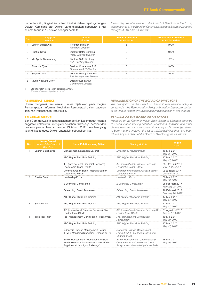Sementara itu, tingkat kehadiran Direksi dalam rapat gabungan Dewan Komisaris dan Direksi yang diadakan sebanyak 6 kali selama tahun 2017 adalah sebagai berikut:

*Meanwhile, the attendance of the Board of Directors in the 6 (six) joint meetings of the Board of Commissioners and Board of Directors throughout 2017 are as follows:* 

|                | Anggota<br>Member     | Jabatan<br>Position                                          | Jumlah Kehadiran<br>Attendance | <b>Presentase Kehadiran</b><br>Attendance Rate |
|----------------|-----------------------|--------------------------------------------------------------|--------------------------------|------------------------------------------------|
|                | Lauren Sulistiawati   | Presiden Direktur<br><b>President Director</b>               | ี                              | 100%                                           |
| 2              | Rustini Dewi          | Direktur Retail Banking<br><b>Retail Banking Director</b>    | h                              | በበባ%                                           |
| 3              | Ida Apulia Simatupang | Direktur SME Banking<br><b>SME Banking Director</b>          | h                              | 83%                                            |
| $\overline{4}$ | Tjioe Mei Tjuen       | Direktur Operations & IT<br>Operations & IT Director         | ี                              | <u>በሀገላማ</u>                                   |
| 5              | Stephen Vile          | Direktur Manajemen Risiko<br><b>Risk Management Director</b> |                                | 66%                                            |
| 6              | Mutia Nilawati Dewi*  | Direktur Kepatuhan<br>Compliance Director                    |                                |                                                |

\*) Efektif setelah memperoleh persetujuan OJK. *Effective after obtaining OJK approval.*

**REMUNERASI DIREKSI** Uraian mengenai remunerasi Direksi dijelaskan pada bagian Pengungkapan Informasi Kebijakan Remunerasi dalam Laporan Tahunan Pelaksanaan Tata Kelola.

#### **PELATIHAN DIREKSI**

Bank Commonwealth senantiasa memberikan kesempatan kepada anggota Direksi untuk mengikuti pelatihan, *workshop*, seminar dan program pengembangan lainnya. Di tahun 2017, pelatihan yang telah diikuti anggota Direksi antara lain sebagai berikut:

#### *REMUNERATION OF THE BOARD OF DIRECTORS*

*The description on the Board of Directors' remuneration policy is contained in the Remuneration Policy Information Disclosure section of the Annual Report on Governance Implementation in this chapter.*

#### *TRAINING OF THE BOARD OF DIRECTORS*

*Members of the Commonwealth Bank Board of Directors continue to attend various training activities, workshops, seminars and other development programs to hone skills and expand knowledge related to Bank matters. In 2017, the list of training activities that have been followed by members of the Board of Directors goes as follows:*

| No.            | <b>Nama Direksi</b><br>Name of the Board of<br><b>Directors</b> | Nama Pelatihan yang Diikuti                                                                                               | <b>Training Activity</b>                                                                                             | <b>Tanggal</b><br>Date                |
|----------------|-----------------------------------------------------------------|---------------------------------------------------------------------------------------------------------------------------|----------------------------------------------------------------------------------------------------------------------|---------------------------------------|
| 1              | Lauren Sulistiawati                                             | Managemen Keadaaan Darurat                                                                                                | <b>Emergency Management</b>                                                                                          | 16 Mei 2017<br>May 16, 2017           |
|                |                                                                 | ABC Higher Risk Role Training                                                                                             | <b>ABC Higher Risk Role Training</b>                                                                                 | 17 Mei 2017<br>May 17, 2017           |
|                |                                                                 | IFS (International Financial Services)<br>Leadership Team Offsite                                                         | IFS (International Financial Services)<br>Leadership Team Offsite                                                    | 25 - 26 Juli 2017<br>July 25-26, 2017 |
|                |                                                                 | Commonwealth Bank Australia Senior<br>Leadership Forum                                                                    | Commonwealth Bank Australia Senior<br>Leadership Forum                                                               | 25 Oktober 2017<br>October 25, 2017   |
| 2              | <b>Rustini Dewi</b>                                             | Leadership Forum                                                                                                          | Leadership Forum                                                                                                     | 30 Mei 2017<br>May 30, 2017           |
|                |                                                                 | E-Learning: Compliance                                                                                                    | E-Learning: Compliance                                                                                               | 28 Februari 2017<br>February 28, 2017 |
|                |                                                                 | E-Learning: Fraud Awareness                                                                                               | E-Learning: Fraud Awareness                                                                                          | 28 Februari 2017<br>February 28, 2017 |
|                |                                                                 | ABC Higher Risk Role Training                                                                                             | <b>ABC Higher Risk Role Training</b>                                                                                 | 17 Mei 2017<br>May 17, 2017           |
| 3              | Stephen Vile                                                    | ABC Higher Risk Role Training                                                                                             | <b>ABC Higher Risk Role Training</b>                                                                                 | 17 Mei 2017<br>May 17, 2017           |
|                |                                                                 | IFS (International Financial Services) Risk<br>Leader Team Offsite                                                        | IFS (International Financial Services) Risk<br>Leader Team Offsite                                                   | 31 Agustus 2017<br>August 31, 2017    |
| $\overline{4}$ | Tjioe Mei Tjuen                                                 | Risk Management Certification Refreshment                                                                                 | <b>Risk Management Certification</b><br>Refreshment                                                                  | 19 Mei 2017<br>May 19, 2017           |
|                |                                                                 | ABC Higher Risk Role Training                                                                                             | ABC Higher Risk Role Training                                                                                        | 17 Mei 2017<br>May 17, 2017           |
|                |                                                                 | Indonesia Change Management Forum<br>(ICMF)-Managing Disruption: Change or Die                                            | Indonesia Change Management<br>Forum(ICMF) - Managing Disruption:<br>Change or Die                                   |                                       |
|                |                                                                 | <b>BSMR Refreshment "Memahami Analisis</b><br>Kredit Komersial Secara Komprehensif dan<br>Bagaimana Memitigasi Risikonya" | <b>BSMR Refreshment "Understanding</b><br>Comprehensive Commercial Credit<br>Analysis and How to Mitigate the Risks" | 16 Mei 2017<br>May 16, 2017           |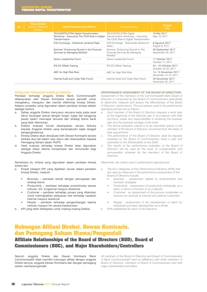| No. | Nama Direksi<br><b>Board of Directors</b><br><b>Member</b> | Nama Pelatihan yang Diikuti                                                                                    | <b>Training Activity</b>                                                                                       | <b>Tanggal</b><br>Date                      |
|-----|------------------------------------------------------------|----------------------------------------------------------------------------------------------------------------|----------------------------------------------------------------------------------------------------------------|---------------------------------------------|
|     |                                                            | <b>TELKOMTELSTRA Digital Transformation</b><br>Workshop - Executing The CIOS Role In Digital<br>Transformation | <b>TELKOMTELSTRA Digital</b><br>Transformation Workshop - Executing<br>The CIOS Role In Digital Transformation | 19 Mei 2017<br>May 19, 2017                 |
|     |                                                            | ICIO Exchange - Direktorat Jenderal Pajak                                                                      | ICIO Exchange - Directorate General of<br>Taxes                                                                | 8 Agustus 2017<br>August 8, 2017            |
|     |                                                            | Seminar "Enhancing Growth in the Financial<br>Services by Managing Mobility"                                   | Seminar "Enhancing Growth In The<br><b>Financial Services By Managing</b><br>Mobility"                         | 26 September 2017<br>September 26, 2017     |
|     |                                                            | Senior Leadership Forum                                                                                        | Senior Leadership Forum                                                                                        | 17 Oktober 2017<br>October 17, 2017         |
|     |                                                            | <b>IFS ES Offsite Training</b>                                                                                 | <b>IFS ES Offsite Training</b>                                                                                 | 24 - 25 Oktober 2017<br>October 24-25, 2017 |
|     |                                                            | ABC for High Risk Role                                                                                         | ABC for High Risk Role                                                                                         | 14-15 November 2017<br>November 14-15, 2017 |
|     |                                                            | Internal Audit and Cyber Risk Forum                                                                            | Internal Audit and Cyber Risk Forum                                                                            | 30 November 2017<br>November 30, 2017       |

#### **PENILAIAN TERHADAP KINERJA DIREKSI**

Penilaian terhadap anggota Direksi Bank Commonwealth dilaksanakan oleh Dewan Komisaris secara periodik untuk mengetahui, mengukur dan menilai efektivitas kinerja Direksi. Adapun prosedur yang digunakan dalam penilaian kinerja adalah sebagai berikut:

- a. Setiap anggota Direksi menyusun rencana kerja pada awal tahun keuangan sesuai dengan fungsi, tugas dan tanggung jawab dalam mencapai rencana dan strategi bisnis bank yang telah ditentukan.
- b. Kriteria evaluasi formal disampaikan secara terbuka kepada Anggota Direksi yang bersangkutan sejak tanggal pengangkatannya.
- c. Kinerja Direksi akan dievaluasi oleh Dewan Komisaris secara berkala dua kali dalam satu tahun dan disampaikan kepada Pemegang Saham dalam RUPS.
- d. Hasil evaluasi terhadap kinerja Direksi akan digunakan sebagai dasar skema kompensasi dan remunerasi bagi Anggota Direksi.

Sementara itu, kriteria yang digunakan dalam penilaian kinerja antara lain:

- a. Empat kategori KPI yang dijadikan ukuran dalam penilaian kinerja Direksi, meliputi:
	- *Business* penilaian terkait dengan pencapaian dan strategi bisnis
	- *Productivity* penilaian terhadap produktivitas secara individu, tim, fungsional maupun direktorat
	- *Customer*  penilaian terhadap proses yang dilakukan untuk meningkatkan pelayanan kita terhadap nasabah internal maupun eksternal
	- *People* penilaian terhadap pengembangan talenta individu maupun tim secara keseluruhan.
- b. KPI yang telah ditetapkan untuk masing-masing Direksi.

#### *PERFORMANCE ASSESSMENT OF THE BOARD OF DIRECTORS*

*Assessment of the members of the Commonwealth Bank Board of Directors is conducted by the Board of Commissioners periodically to determine, measure and assess the effectiveness of the Board of Directors' performance. The procedures used in the performance appraisal process are as follows:*

- *a. Each member of the Board of Directors prepares a work plan at the beginning of the financial year in accordance with their functions, duties and responsibilities in achieving the business plan and the business strategy of the bank.*
- *b. The formal evaluation criteria is to be submitted openly to the member of the Board of Directors concerned from the dates of their appointment.*
- *c. The performance of the Board of Directors shall be regularly reviewed by the Board of Commissioners twice a year and submitted to the Shareholders at the GMS.*
- *d. The results of the performance evaluation of the Board of Directors will be used as the basis of compensation and remuneration schemes for the members of the Board of Directors.*

*Meanwhile, the criteria used in performance appraisal are:*

- *a. The four categories of Key Performance Indicators (KPIs) that are used as measures in the performance assessment of the Board of Directors include:*
	- *Business assessment related to achievements and business strategies*
	- *Productivity assessment of productivity individually, as a team, in terms of function or as a director*
	- *Customer an assessment of the process undertaken to improve our services to internal and external customers*
	- *People assessment of the development of talent for individuals and team development as a whole.*
- *b. KPIs established for each of the Directors.*

# **Hubungan Afiliasi Direksi, Dewan Komisaris, dan Pemegang Saham Utama/Pengendali**

# **Affiliate Relationships of the Board of Directors (BOD), Board of Commissioners (BOC), and Major Shareholders/Controllers**

Seluruh anggota Direksi dan Dewan Komisaris Bank Commonwealth tidak memiliki hubungan afiliasi dengan anggota Direksi lainnya, anggota Dewan Komisaris dan dengan pemegang saham utama/pengendali.

*All members of the Board of Directors and Board of Commissioners of Bank Commonwealth have no affiliations with other members of Board of Directors, members of Board of Commissioners and with major shareholders/controllers.*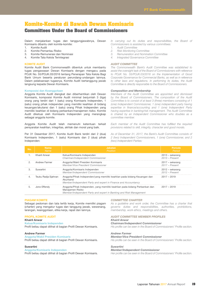# **Komite-Komite di Bawah Dewan Komisaris**

# **Committees Under the Board of Commissioners**

Dalam menjalankan tugas dan tanggungjawabnya, Dewan Komisaris dibantu oleh komite-komite:<br>1. Komite Audit

- 1. Komite Audit<br>2. Komite Pema
- 2. Komite Pemantau Risiko
- 3. Komite Remunerasi dan Nominasi<br>4. Komite Tata Kelola Terintegrasi 4. Komite Tata Kelola Terintegrasi
- 

#### **KOMITE AUDIT**

Komite Audit Bank Commonwealth dibentuk untuk membantu tugas pengawasan Dewan Komisaris dengan mengacu pada POJK No. 55/POJK.03/2016 tentang Penerapan Tata Kelola Bagi Bank Umum beserta peraturan perundang-undangan lainnya. Dalam pelaksanaan tugasnya, Komite Audit bertanggung jawab langsung kepada Dewan Komisaris.

#### **Komposisi dan Keanggotaan**

Anggota Komite Audit diangkat dan diberhentikan oleh Dewan Komisaris, komposisi Komite Audit minimal berjumlah 3 (tiga) orang yang terdiri dari 1 (satu) orang Komisaris Independen, 1 (satu) orang pihak independen yang memiliki keahlian di bidang keuangan/akutansi dan 1 (satu) orang Pihak Independen yang memiliki keahlian di bidang perbankan/manajemen risiko. Komite Audit diketuai oleh Komisaris Independen yang merangkap sebagai anggota komite.

Anggota Komite Audit telah memenuhi ketentuan terkait persyaratan keahlian, integritas, akhlak dan moral yang baik.

Per 31 Desember 2017, Komite Audit Bank terdiri dari 2 (dua) Komisaris Independen, 1 (satu) Komisaris dan 2 (dua) pihak Independen:

*In carrying out its duties and responsibilities, the Board of Commissioners is assisted by various committees:*

- *1. Audit Committee*
- *2. Risk Monitoring Committee*
- *3. Remuneration and Nomination Committee*
- *4. Integrated Governance Committee*

#### *AUDIT COMMITTEE*

*The Commonwealth Bank's Audit Committee was established to assist the oversight task of the Board of Commissioners with reference to POJK No. 55/POJK.03/2016 on the Implementation of Good Corporate Governance for Commercial Banks, as well as in reference to other laws and regulations. In performing its duties, the Audit Committee is directly responsible to the Board of Commissioners.*

#### *Composition and Membership*

*Members of the Audit Committee are appointed and dismissed by the Board of Commissioners. The composition of the Audit Committee is to consist of at least 3 (three) members consisting of 1 (one) Independent Commissioner, 1 (one) independent party having expertise in finance/accounting and 1 (one) Independent Party having expertise in banking/risk management. The Audit Committee is chaired by an Independent Commissioner who doubles as a committee member.*

*Each member of the Audit Committee has fulfilled the required provisions related to skill, integrity, character and good morals.* 

*As of December 31, 2017, the Bank's Audit Committee consists of 2 (two) Independent Commissioners, 1 (one) Commissioner, and 2 (two) Independent Parties:*

| Nο. | <b>Nama</b><br><b>Name</b> | Jabatan<br>Position                                                                                                                                                  | Periode<br>Period                     |
|-----|----------------------------|----------------------------------------------------------------------------------------------------------------------------------------------------------------------|---------------------------------------|
|     | Khairil Anwar              | Ketua/Komisaris Independen<br>Chairman/Independent Commissioner                                                                                                      | 2013 – sekarang<br>$2013$ – Present   |
| 2.  | <b>Andrew Farmer</b>       | Anggota/Wakil Presiden Komisaris<br>Member/Vice President Commissioner                                                                                               | 2017 – sekarang<br>$2017 - Present$   |
| З   | Suwartini                  | Anggota/Komisaris Independen<br>Member/Independent Commissioner                                                                                                      | $2012 - sekarang$<br>$2012$ – Present |
| 4.  | Teuku Radja Sjahnan        | Anggota/Pihak Independen/yang memiliki keahlian pada bidang Keuangan dan<br>Akuntansi<br>Member/Independent Party and expert in Finance and Accountancy              | $2017 - 2019$                         |
| 5.  | Jono Effendy               | Anggota/Pihak Independen, yang memiliki keahlian pada bidang Perbankan dan<br>Manaiemen Risiko<br>Member/Independent Party and expert in Banking and Risk Management | $2017 - 2019$                         |

#### **PIAGAM KOMITE**

Sebagai pedoman dan tata tertib kerja, Komite memiliki piagam (*charter*) yang mengatur tugas dan tanggung jawab, wewenang, larangan, keanggotaan, etika kerja, rapat dan lainnya.

#### **PROFIL KOMITE AUDIT**

**Khairil Anwar**

#### **Ketua/Komisaris Independen**

Profil beliau dapat dilihat di bagian Profil Dewan Komisaris.

#### **Andrew Farmer**

**Anggota/Wakil Presiden Komisaris** Profil beliau dapat dilihat di bagian Profil Dewan Komisaris.

#### **Suwartini**

**Anggota/Komisaris Independen** Profil beliau dapat dilihat di bagian Profil Dewan Komisaris.

#### *COMMITTEE CHARTER*

*As a guideline and work order, the Committee has a charter that governs duties and responsibilities, authorities, prohibitions, membership, work ethics, meetings and others.*

#### *AUDIT COMMITTEE MEMBER PROFILES*

#### *Khairil Anwar Chairman/Independent Commissioner His profile can be seen in the Board of Commissioners' Profile section.*

*Andrew Farmer*

#### *Member/Vice President Commissioner*

*His profile can be seen in the Board of Commissioners' Profile section.*

#### *Suwartini*

#### *Member/Independent Commissioner*

*Her profile can be seen in the Board of Commissioners' Profile section.*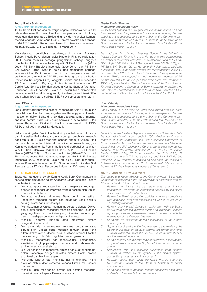#### **Teuku Radja Sjahnan**

#### **Anggota/Pihak Independen**

Teuku Radja Sjahnan adalah warga negara Indonesia berusia 49 tahun dan memiliki dasar keahlian dan pengalaman di bidang keuangan dan akuntansi. Beliau ditunjuk dan diangkat kembali menjadi anggota Komite Audit Bank Commonwealth pada tanggal 3 Mei 2013 melalui Keputusan Direksi PT Bank Commonwealth No.BOD/RES/2017/III/001 tanggal 13 Maret 2017.

Menyelesaikan pendidikan terakhirnya di London Business School, Inggris Raya, dengan gelar Master in Finance pada tahun 2000, beliau memiliki berbagai pengalaman sebagai anggota Komite Audit di beberapa bank seperti PT Bank BNI Tbk (2001- 2009), PT Bank Barclays Indonesia (2009-2010), dan PT Bank BNI Syariah (2012). Saat ini beliau juga memegang berbagai jabatan di luar Bank, seperti pendiri dan pengelola situs web JariUngu.com, konsultan DPD-RI dalam bidang hasil audit Badan Pemeriksa Keuangan (BPK), anggota komite audit independen PT Commonwealth Life, anggota komite audit independen PT Cardig Aero Services Tbk dan anggota Komite Standar Akuntansi Keuangan Bank Indonesia. Selain itu, beliau telah memperoleh beberapa sertifikasi di bidang audit, di antaranya sertifikasi CISA pada tahun 1994 dan sertifikasi BSMR (level 2) pada tahun 2011.

#### **Jono Effendy**

#### **Anggota/Pihak Independen**

Jono Effendy adalah warga negara Indonesia berusia 44 tahun dan memiliki dasar keahlian dan pengalaman di bidang perbankan dan manajemen risiko. Beliau ditunjuk dan diangkat kembali menjadi anggota Komite Audit Bank Commonwealth pada Maret 2013 melalui Keputusan Direksi PT Bank Commonwealth No.BOD/ RES/2017/III/001 tanggal 13 Maret 2017.

Beliau meraih gelar Pendidikan terakhirnya yaitu Master in Finance dari Universitas Pelita Harapan Jakarta dengan predikat *cum laude* pada tahun 2001. Selain menjabat sebagai anggota Komite Audit dan Komite Pemantau Risiko di Bank Commonwealth, anggota Komite Audit dan Komite Pemantau Risiko di berbagai perusahaan lain, PT Bank Barclays Indonesia (2010-2011), PT BII Finance Center (2012-2014), PT Commonwealth Life (2014-2017), PT BFI Finance Indonesia Tbk (2015-sekarang), dan Bank BNP Paribas Indonesia (2007-sekarang). Selain itu beliau juga menduduki jabatan Komisaris Independen PT Commonwealth Life dan Staf Pengajar pada PT Kiran Resources Indonesia (2004-sekarang).

#### **TUGAS DAN TANGGUNG JAWAB**

Tugas dan tanggung jawab Komite Audit Bank Commonwealth sebagaimana ditetapkan dalam Anggaran Dasar Bank dan Piagam Komite Audit meliputi:

- 1. Meninjau laporan keuangan Bank dan transparansi keuangan dengan mengandalkan informasi yang diberikan oleh Direksi dan auditor eksternal.
- 2. Meninjau kebijakan akuntansi Bank untuk memastikan kepatuhan terhadap hukum dan peraturan yang berlaku sekaligus standar akuntansinya.
- 3. Meninjau, memeriksa dan membahas bersama dengan Direksi dan auditor ekstenal mengenai masalah pelaporan keuangan yang signifikan dan penilaian yang dilakukan sehubungan dengan persiapan penyusunan laporan keuangan.
- 4. Meninjau adanya jaminan atas efektivitas sistem pengendalian internal.
- 5. Mengawasi dan mengevaluasi rencana perbaikan yang dibuat oleh Direksi pada masalah temuan audit yang dikemukakan oleh auditor internal, auditor eksternal, Otoritas Jasa Keuangan dan/atau regulator lain yang relevan.
- 6. Meninjau, mengawasi dan mengevaluasi kemandirian, efektivitas, lingkup pekerjaan, rencana audit tahunan dari auditor internal dan eksternal.
- 7. Diskusi dengan dan menerima jaminan dari auditor eksternal dalam kaitannya dengan kualitas sistem Bank, proses akuntansi dan hasil keuangan.
- 8. Menerima laporan dan meninjau hal-hal signifikan yang diajukan oleh auditor eksternal kepada Direksi atau senior manajemen.
- 9. Meninjau dan melaporkan semua hal penting mengenai materi akuntansi kepada Dewan Komisaris.

#### *Teuku Radja Sjahnan Member/Independent Party*

*Teuku Radja Sjahnan is a 49 year old Indonesian citizen and has basic expertise and experience in finance and accounting. He was appointed and reappointed as a member of the Commonwealth Bank Audit Committee on May 3, 2013 through the Decision of the Board of Directors of PT Bank Commonwealth No.BOD/RES/2017/ III/001 dated March 13, 2017.*

*He graduated from London Business School in the UK with a Master's Degree in Finance in 2000. He has extensive experience as a member of the Audit Committee at several banks such as PT Bank BNI Tbk (2001-2009), PT Bank Barclays Indonesia (2009- 2010), and PT Bank BNI Syariah (2012). He currently holds various positions outside the Bank, such as the founder and manager of the JariUngu. com website, a DPD-RI consultant in the audit of the Supreme Audit Agency (BPK), an independent audit committee member of PT Commonwealth Life, an independent audit committee member of PT Cardig Aero Services Tbk and as member of the Committee on Financial Accounting Standards of Bank Indonesia. In addition, he has obtained several certifications in the audit field, including a CISA certification in 1994 and a BSMR certification (level 2) in 2011.*

# *Jono Effendy*

#### *Member/Independent Party*

*Jono Effendy is a 44 year old Indonesian citizen and has basic expertise and experience in banking and risk management. He was appointed and reappointed as a member of the Commonwealth Bank Audit Committee in March 2013 through the Decision of the Board of Directors of PT Bank Commonwealth No.BOD/RES/2017/ III/001 dated March 13, 2017.*

*He holds his last Master's Degree in Finance from Universitas Pelita Harapan Jakarta with a cum laude in 2001. Besides serving as a member of Audit Committee and Risk Monitoring Committee at Commonwealth Bank, he has also served as a member of the Audit Committees and Risk Monitoring Committees in other companies, such as PT Bank Barclays Indonesia (2010-2011), PT BII Finance Center (2012 -2014), PT Commonwealth Life (2014-2017), PT BFI Finance Indonesia Tbk (2015-present), and Bank BNP Paribas Indonesia (2007-present). In addition he also holds the position of Independent Commissioner of PT Commonwealth Life and as a lecturer at PT Kiran Resources Indonesia (2004-present).*

#### *DUTIES AND RESPONSIBILITIES*

*The duties and responsibilities of the Commonwealth Bank Audit Committee as stipulated in the Bank's Articles of Association and the Charter of the Audit Committee include:*

- *1. Review the Bank's financial statements and financial transparency by relying on information provided by the Board of Directors and external auditors.*
- *2. Review the Bank's accounting policies to ensure compliance with applicable laws and regulations as well as to ensure its accounting standards.*
- *3. Review, examine and discuss in conjunction with the Board of Directors and the external auditor on significant financial reporting issues and assessments made in connection with the preparation of the financial statements.*
- *4. Reviewing the assurance of the effectiveness of the internal control system.*
- *5. Supervise and evaluate the improvement plans made by the Board of Directors on the audit findings presented by internal auditors, external auditors, the Financial Services Authority and/ or other relevant regulators.*
- *6. Review, monitor and evaluate the independence, effectiveness, scope of work, annual audit plan of internal and external auditors.*
- *7. Discussions with and receiving guarantees from external auditors in relation to the quality of the Bank's system, accounting processes and financial results.*
- *8. Receive reports and review significant matters submitted by external auditors to the Board of Directors or senior management.*
- *9. Review and report all important matters concerning accounting materials to the Board of Commissioners.*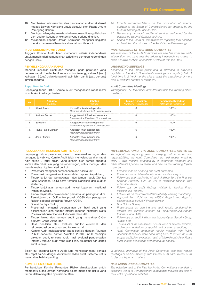- 10. Memberikan rekomendasi atas pencalonan auditor eksternal kepada Dewan Komisaris untuk disetujui oleh Rapat Umum Pemegang Saham.
- 11. Meninjau adanya layanan tambahan non-audit yang dilakukan oleh auditor keuangan eksternal yang sedang ditunjuk.
- 12. Melaporkan kepada Dewan Komisaris mengenai kegiatan mereka dan memelihara risalah rapat Komite Audit.

#### **INDEPENDENSI KOMITE AUDIT**

Anggota Komite Audit telah memenuhi kriteria independensi untuk menghindari kemungkinan terjadinya benturan kepentingan dengan Bank.

#### **penyelenggaraan RAPAT**

Menurut kebijakan Bank dan mengacu pada peraturan yang berlaku, rapat Komite Audit secara rutin diselenggarakan 1 (satu) kali dalam 2 (dua) bulan dengan dihadiri lebih dari ½ (satu per dua) jumlah anggota.

#### **Rapat Komite Audit**

Sepanjang tahun 2017, Komite Audit mengadakan rapat resmi Komite Audit sebagai berikut:

- 10. Provide recommendations on the nomination of external *auditors to the Board of Commissioners for approval by the General Meeting of Shareholders.*
- *11. Review any non-audit additional services performed by the designated external financial auditors.*
- *12. Report to the Board of Commissioners regarding their activities and maintain the minutes of the Audit Committee meetings.*

#### *INDEPENDENCE OF THE AUDIT COMMITTEE*

*The members of the Audit Committee are also free from any party intervention, and have met the following independence criteria to avoid possible conflicts or conflicts of interest with the Bank.*

#### *ORGANIZING MEETINGS*

*According to the Bank's policy and in reference to prevailing regulations, the Audit Committee's meetings are regularly held 1 (one) time in 2 (two) months with at least the attendance of more than ½ (half) the number of members.* 

#### *Audit Committee Meetings*

*Throughout 2017, the Audit Committee has held the following official meetings:*

| No. | Member              | Jabatan<br>Position                                                    | Jumlah Kehadiran<br><b>Number of Attendance</b> | <b>Persentase Kehadiran</b><br>Attendance Percentage |
|-----|---------------------|------------------------------------------------------------------------|-------------------------------------------------|------------------------------------------------------|
|     | Khairil Anwar       | Ketua/Komisaris Independen<br>Chairman/Independent Commissioner        |                                                 | 100 <sup>%</sup>                                     |
|     | Andrew Farmer       | Anggota/Wakil Presiden Komisaris<br>Member/Vice President Commissioner |                                                 | 1በበ%                                                 |
|     | Suwartini           | Anggota/Komisaris Independen<br>Member/Independent Commissioner        |                                                 | 100 <sup>%</sup>                                     |
|     | Teuku Radja Sjahnan | Anggota/Pihak Independen<br>Member/Independent Party                   |                                                 | በበበ%                                                 |
| 5.  | Jono Effendv        | Anggota/Pihak Independen<br>Member/Independent Party                   |                                                 | nn%                                                  |

#### **PELAKSANAAN KEGIATAN KOMITE AUDIT**

Sepanjang tahun pelaporan, dalam melaksanakan tugas dan tanggung jawabnya, Komite Audit telah menyelenggarakan rapat rutin setiap 2 (dua) bulan, yang dihadiri oleh semua anggota komite dan pihak lain yang berkepentingan, untuk meninjau dan mendiskusikan topik/materi berikut:

- Presentasi mengenai perencanaan dan hasil audit,
- Presentasi mengenai audit internal dan laporan kepatuhan,<br>• Tindak lanjut dan pengawasan atas temuan audit Otorita Tindak lanjut dan pengawasan atas temuan audit Otoritas Jasa Keuangan (OJK) serta temuan signifikan dari auditor
- eksternal, Tindak lanjut atas temuan audit terkait Laporan Investigasi
- Penipuan Medis,
- Tindak lanjut atas pelaksanaan pemantauan peringatan dini,
- Persetujuan dari OJK untuk proyek KIOSK dan penugasan Rajesh sebagai penasihat Proyek KIOSK,
- Survei Budaya Risiko,
- Presentasi mengenai perencanaan dan hasil audit yang dilaksanakan oleh auditor internal maupun eksternal (yaitu PricewaterhouseCoopers Indonesia dan OJK),
- Tindak lanjut atas temuan audit yang mencakup *Cyber Security Group Audit*, dan
- Hasil penilaian atau evaluasi auditor eksternal, dan rekomendasi penunjukan auditor eksternal,
- Komite Audit melaksanakan rapat berkala dengan Akuntan Publik dan/atau Kantor Akuntan Publik untuk meninjau cakupan audit, rencana audit, hasil evaluasi pengendalian internal, temuan audit yang signifikan, akuntansi dan aspek audit lainnya.

Selain itu, anggota Komite Audit juga menggelar rapat berkala atau rapat *ad-hoc* dengan Audit Internal dan Audit Eksternal untuk membahas hal-hal penting.

#### **KOMITE PEMANTAU RISIKO**

Pembentukan Komite Pemantau Risiko dimaksudkan untuk membantu tugas Dewan Komisaris dalam mengelola risiko yang timbul dalam kegiatan operasional Bank.

#### *IMPLEMENTATION OF THE AUDIT COMMITTEE'S ACTIVITIES*

*Throughout the reporting year, in carrying out its duties and responsibilities, the Audit Committee has held regular meetings every 2 (two) months, attended by all committee members and other interested parties, to review and discuss the following topics/ materials:*

- *• Presentations on planning and audit outcomes,*
- *• Presentations on internal audits and compliance reports,*
- *• Follow-ups and monitoring of audit findings from the Financial Services Authority (OJK) as well as significant findings from external auditors,*
- *• Follow ups on audit findings related to Medical Fraud Investigation Reports,*
- *• Follow-ups on the implementation of early warning monitoring,*
- *• Approval from OJK for the KIOSK Project and Rajesh's assignment as a KIOSK Project advisor,*
- *• Risk Culture Survey,*
- *• Presentations on planning and audit results conducted by internal and external auditors (ie PricewaterhouseCoopers Indonesia and OJK),*
- *• Follow-ups on audit findings that include Cyber Security Group Audits, and*
- *• The results of the assessment or evaluation of external auditors, and recommendations of appointment of external auditors,*
- *• Audit Committee conducted regular meeting with Public Accountant and/or Public Accounting Firm, to review the audit scope, audit plan, evaluation result of internal control significant audit finding, accounting and other audit aspect.*

*In addition, members of the Audit Committee also hold regular meetings or ad-hoc meetings with Internal Audit and External Audit to discuss important matters.*

#### *RISK MONITORING COMMITTEE*

*The establishment of the Risk Monitoring Committee is intended to assist the Board of Commissioners in managing the risks that arise in the Bank's operational activities.*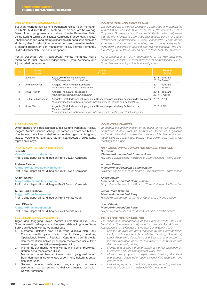#### **KOMPOSISI DAN KEANGGOTAAN**

Susunan keanggotaan Komite Pemantau Risiko telah mematuhi POJK No. 55/POJK.03/2016 tentang Penerapan Tata Kelola bagi Bank Umum yang mengatur bahwa Komite Pemantau Risiko paling kurang terdiri dari 1 (satu) Komisaris Independen; 1 (satu) Pihak Independen yang memiliki keahlian di bidang keuangan dan akutansi; dan 1 (satu) Pihak Independen yang memiliki keahlian di bidang perbankan dan manajemen risiko. Komite Pemantau Risiko diketuai oleh Komisaris Independen.

Per 31 Desember 2017, keanggotaan Komite Pemantau Risiko terdiri dari 2 (dua) Komisaris Independen, 1 (satu) Komisaris, dan 2 (dua) pihak Independen:

#### *COMPOSITION AND MEMBERSHIP*

*The composition of the Risk Monitoring Committee is in compliance with POJK No. 55/POJK.03/2016 on the Implementation of Good Corporate Governance for Commercial Banks, which stipulates that the Risk Monitoring Committee shall at least consist of 1 (one) Independent Commissioner; 1 (one) Independent Party having expertise in finance and accounting; and 1 (one) Independent Party having expertise in banking and risk management. The Risk Monitoring Committee is chaired by an Independent Commissioner.*

*As of December 31, 2017, membership of the Risk Monitoring Committee consists of 2 (two) Independent Commissioner, 1 (one) Commissioner, and 2 (two) Independent parties:*

| No. | <b>Nama</b><br><b>Name</b> | Jabatan<br>Position                                                                                                                                                                                | <b>Periode</b><br>Period            |
|-----|----------------------------|----------------------------------------------------------------------------------------------------------------------------------------------------------------------------------------------------|-------------------------------------|
|     | Suwartini                  | Ketua (Komisaris Independen)<br>Chief/Independent Commissioner                                                                                                                                     | 2012 – sekarang<br>$2012$ – Present |
| 2   | <b>Andrew Farmer</b>       | Anggota (Wakil Presiden Komisaris)<br>Member/Vice President Commissioner                                                                                                                           | 2017 – sekarang<br>$2017 - Present$ |
| 3   | Khairil Anwar              | Anggota (Komisaris Independen)<br>Member/Independent Commissioner                                                                                                                                  | 2013 – sekarang<br>$2013$ – Present |
| 4.  |                            | Teuku Radia Siahnan Anggota (Pihak Independen), yang memiliki keahlian pada bidang Keuangan dan Akuntansi 2017 – 2019<br>Member/Independent Commissioner with expertise in Finance and Accountancy |                                     |
| 5   | Jono Effendv               | Anggota (Pihak Independen), yang memiliki keahlian pada bidang Perbankan dan<br>Manajemen Risiko<br>Member/Independent Commissioner with expertise in Banking and Risk Management                  | $2017 - 2019$                       |

#### **PIAGAM KOMITE**

Untuk mendukung pelaksanaan tugas Komite Pemantau Risiko, Piagam Komite disusun sebagai pedoman dan tata tertib kerja Komite yang berisikan hal-hal seperti uraian tugas dan tanggung jawab, wewenang, larangan, aturan keanggotaan, etika kerja, rapat dan lainnya.

#### **PROFIL KOMITE PEMANTAU RISIKO**

#### **Suwartini**

**Ketua/Komisaris Independen** Profil beliau dapat dilihat di bagian Profil Dewan Komisaris

#### **Andrew Farmer**

**Anggota/Wakil Presiden Komisaris** Profil beliau dapat dilihat di bagian Profil Dewan Komisaris

#### **Khairil Anwar**

**Anggota/Komisaris Independen** Profil beliau dapat dilihat di bagian Profil Dewan Komisaris

#### **Teuku Radja Sjahnan**

**Anggota/Pihak Independen** Profil beliau dapat dilihat di bagian Profil Komite Audit

#### **Jono Effendy**

**Anggota/Pihak Independen** Profil beliau dapat dilihat di bagian Profil Komite Audit

#### **TUGAS DAN TANGGUNG JAWAB**

Tugas dan tanggung jawab Komite Pemantau Risiko Bank Commonwealth sebagaimana ditetapkan dalam Anggaran Dasar Bank dan Piagam Komite Audit meliputi:

- 1. Memantau delapan area risiko yang dikelola oleh Bank Commonwealth, yaitu Risiko Kredit, Pasar, Likuiditas, Operasional, Hukum, Reputasi, Kepatuhan dan Strategis, dan memastikan bahwa penerapan manajemen risiko telah sesuai dengan kebijakan manajemen risiko;
- 2. Memantau dan menilai kinerja Komite Manajemen Risiko dan Satuan Kerja Manajemen Risiko;
- 3. Memantau perkembangan kasus hukum yang melibatkan Bank dan menilai risiko terkait, seperti risiko hukum, reputasi dan kepatuhan;
- 4. Secara berkala melaporkan kegiatannya, termasuk pemberian nasihat tentang hal-hal yang menjadi perhatian Dewan Komisaris.

#### *COMMITTEE CHARTER*

*To support the implementation of the duties of the Risk Monitoring Committee, it has structured Committee Charter as a guideline and work order that contains items such as job descriptions and responsibilities, powers, restrictions, membership rules, work ethics, meetings and others.*

#### *RISK MONITORING COMMITTEE MEMBER PROFILES Suwartini*

#### *Chairman/Independent Commissioner*

*Her profile can be seen in the Board of Commissioners' Profile section* 

#### *Andrew Farmer*

*Member/Vice President Commissioner*

*His profile can be seen in the Board of Commissioners' Profile section*

#### *Khairil Anwar*

*Member/Independent Commissioner*

*His profile can be seen in the Board of Commissioners' Profile section* 

#### *Teuku Radja Sjahnan*

*Member/Independent Party His profile can be seen in the Audit Committee's Profile section* 

#### *Jono Effendy*

*Member/Independent Party His profile can be seen in the Audit Committee's Profile section* 

#### *DUTIES AND RESPONSIBILITIES*

*The duties and responsibilities of the Commonwealth Bank Risk Monitoring Committee as stipulated in the Bank's Articles of Association and the Charter of the Audit Committee include:*

- *1. Monitor the eight risk areas managed by the Commonwealth Bank, which are Credit Risk, Market, Liquidity, Operational, Legal, Reputation, Compliance and Strategic, and ensure that the implementation of risk management is in compliance with risk management policies;*
- *2. Monitor and assess the performance of the Risk Management Committee and Risk Management Work Unit;*
- *3. Monitor the progress of legal cases involving the Bank and assess related risks, such as legal risk, reputation and compliance;*
- *4. Periodically report on its activities, including providing advice on matters of concern to the Board of Commissioners.*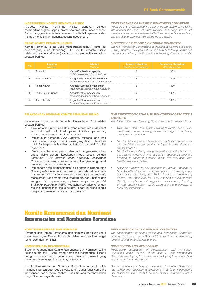#### **INDEPENDENSI KOMITE PEMANTAU RISIKO**

Anggota Komite Pemantau Risiko diangkat dengan mempertimbangkan aspek profesionalisme dan independensi. Seluruh anggota komite telah memenuhi kriteria idependensi dan mampu menjalankan tugasnya secara independen.

#### **RAPAT KOMITE PEMANTAU RISIKO**

Komite Pemantau Risiko wajib mengadakan rapat 1 (satu) kali setiap 2 (dua) bulan. Sepanjang 2017, Komite Pemantau Risiko telah melaksanakan 6 (enam) kali rapat dengan rincian kehadiran sebagai berikut:

#### *INDEPENDENCE OF THE RISK MONITORING COMMITTEE*

*Members of the Risk Monitoring Committee are appointed by taking into account the aspect of professionalism and independence. All members of the committee have fulfilled the criterion of independency and are able to carry out their duties independently.* 

#### *MEETINGS OF THE RISK MONITORING COMMITTEE*

*The Risk Monitoring Committee is to convene a meeting once every 2 (two) months. Throughout 2017, the Risk Monitoring Committee has conducted 6 (six) meetings with the following attendance details:*

| No. | Anggota<br>Member   | Jabatan<br><b>Position</b>                                             | Jumlah Kehadiran<br><b>Number of Attendance</b> | <b>Persentase Kehadiran</b><br>Attendance Rate |
|-----|---------------------|------------------------------------------------------------------------|-------------------------------------------------|------------------------------------------------|
|     | Suwartini           | Ketua/Komisaris Independen<br>Chief/Independent Commissioner           |                                                 | 1በበ%                                           |
|     | Andrew Farmer       | Anggota/Wakil Presiden Komisaris<br>Member/Vice President Commissioner |                                                 | 1በበ%                                           |
|     | Khairil Anwar       | Anggota/Komisaris Independen<br>Member/Independent Commissioner        |                                                 | 1በበ%                                           |
|     | Teuku Radja Sjahnan | Anggota/Pihak Independen<br>Member/Independent Commissioner            |                                                 | በበባ%                                           |
| 5.  | Jono Effendv        | Anggota/Pihak Independen<br>Member/Independent Commissioner            |                                                 | 1በበ%                                           |

#### **PELAKSANAAN KEGIATAN KOMITE PEMANTAU RISIKO**

Pelaksanaan tugas Komite Pemantau Risiko Tahun 2017 adalah sebagai berikut:

- Tinjauan atas Profil Risiko Bank yang mencakup 8 (delapan) jenis risiko yaitu risiko kredit, pasar, likuiditas, operasional, hukum, kepatuhan, strategi dan reputasi.
- Pemantauan terhadap *Risk Appetite*, toleransi dan limit risiko sesuai dengan metrik risiko yang telah ditetapkan untuk 8 (delapan) jenis risiko dan ketahanan modal ("capital resilience").
- Pemantauan terhadap permodalan Bank dengan mengaitkan tingkat risiko dengan kecukupan modal sesuai dengan ketentuan ICAAP (*Internal Capital Adequacy Assessment Process*) untuk mengantisipasi potensi kerugian yang dapat timbul dari aktivitas usaha Bank.
- Pembahasan terkait manajemen risiko antara lain pengkinian *Risk Appetite Statement*, penyempurnaan tata kelola komite manajemen risiko (*risk management governance committees*), manajemen kredit macet (*Non-Performing Loan*), insiden dan kerugian risiko operasional, implementasi perhitungan *Net Stable Funding Ratio* (NSFR), kepatuhan terhadap ketentuan regulasi, penanganan kasus hukum/ litigasi, publikasi media dan penanganan terhadap keluhan nasabah.

#### *IMPLEMENTATION OF THE RISK MONITORING COMMITTEE'S ACTIVITIES*

*The duties of the Risk Monitoring Committee of 2017 are as follows:*

- *• Overview of Bank Risk Profiles covering 8 (eight) types of risks: credit risk, market, liquidity, operational, legal, compliance, strategy and reputation.*
- *• Monitor Risk Appetite, tolerance and risk limits in accordance with predetermined risk metrics for 8 (eight) types of risk and capital resilience.*
- *• Monitor Bank capital by linking risk level to capital adequacy in accordance with ICAAP (Internal Capital Adequacy Assessment Process) to anticipate potential losses that may arise from Bank's business activities.*
- *• Discussion related to risk management include updating of Risk Appetite Statement, improvement on risk management governance committee, Non-Performing Loan management, incident and operational risk loss, Net Stable Funding Ratio (NSFR), compliance with regulatory requirements, handling of legal cases/litigation, media publications and handling of customer complaints.*

# **Komite Remunerasi dan Nominasi**

**Remuneration and Nomination Committee**

#### **KOMITE Remunerasi dan Nominasi**

Pembentukan Komite Remunerasi dan Nominasi bertujuan untuk membantu tugas Dewan Komisaris dalam menjalankan fungsi remunerasi dan nominasi.

#### **KOMPOSISI DAN KEANGGOTAAN**

Susunan keanggotaan Komite Remunerasi dan Nominasi paling kurang terdiri dari 1 (satu) orang Komisaris Independen; 1 (satu) orang Komisaris dan 1 (satu) orang Pejabat Eksekutif yang membawahkan fungsi Sumber Daya Manusia.

Komite Remunierasi dan Nominasi Bank Commonwealth telah memenuhi persyaratan regulasi yaitu terdiri dari 2 (dua) Komisaris Independen dan 1 (satu) Pejabat Eksekutif yang membawahkan fungsi Sumber Daya Manusia.

#### *Remuneration and Nomination Committee*

*The establishment of Remuneration and Nomination Committee aims to assist the duties of Board of Commissioners in performing remuneration and nomination function.*

#### *COMPOSITION AND MEMBERSHIP*

*Membership composition of Remuneration and Nomination Committee should consist of at least 1 (one) Independent Commissioner; 1 (one) Commissioner and 1 (one) Executive Officer in charge of Human Resources.*

*Commonwealth Bank Remuneration and Nomination Committee*  has fulfilled the regulatory requirements of 2 (two) Independent *Commissioners and 1 (one) Executive Officer in charge of Human Resources.*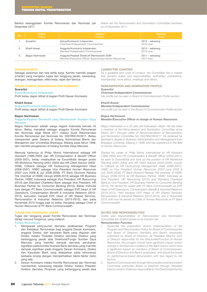Berikut keanggotaan Komite Remunerasi dan Nominasi per Desember 2017.

*Below are the Remuneration and Nomination Committee members as of December 2017.*

| No. | <b>Nama</b><br><b>Name</b> | Jabatan<br>Position                                                                             | <b>Periode</b><br>Period          |
|-----|----------------------------|-------------------------------------------------------------------------------------------------|-----------------------------------|
|     | Suwartini                  | Ketua/Komisaris Independen<br>Chairman/Independent Commissioner                                 | 2012 – sekarang<br>$2012$ -now    |
|     | Khairil Anwar              | Anggota/Komisaris Independen<br>Member/Independent Commissioner                                 | 2013 – sekarang<br>$2013 - now$   |
|     | Bagus Harimawan            | Anggota/Pejabat Eksekutif Membawahi SDM<br>Member/Executive Officer Supervising Human Resources | $2011 -$ sekarang<br>$2011 - now$ |

#### **PIAGAM KOMITE**

Sebagai pedoman dan tata tertib kerja, Komite memiliki piagam (*charter*) yang mengatur tugas dan tanggung jawab, wewenang, larangan, keanggotaan, etika kerja, rapat dan lainnya.

#### **PROFIL KOMITE REMUNERASI DAN NOMINASI Suwartini**

### **Ketua/Komisaris Independen**

Profil beliau dapat dilihat di bagian Profil Dewan Komisaris

#### **Khairil Anwar**

**Anggota/Komisaris Independen**

Profil beliau dapat dilihat di bagian Profil Dewan Komisaris

#### **Bagus Harimawan**

#### **Anggota/Pejabat Eksekutif yang Membawahi Sumber Daya Manusia**

Bagus Harimawan adalah warga negara Indonesia berusia 42 tahun. Beliau menjabat sebagai anggota Komite Remunerasi dan Nominasi sejak Maret 2011 melalui Surat Rekomendasi Komite Remunerasi dan Nominasi No. 002/RNC/III/2011. Beliau memperoleh gelar Sarjana di bidang Administrasi Bisnis dan Manajemen dari Universitas Brawijaya, Malang pada tahun 1998, dan memiliki pengalaman di bidang Sumber Daya Manusia.

Memulai kariernya di Philip Morris International sebagai HR *Assistant* (1999-2000) dan HR *Compensation & Benefit Officer* (2000-2001), beliau melanjutkan ke ExxonMobil dengan posisi HR *Workforce Planning* (2001-2004) dan HR *Client Advisor* (2005- 2006), Citibank sebagai HR *Outsourcing Management Head* (2006-2007), HSBC sebagai *Vice President Human Resources* (2007-Juni 2008 & Juli 2008-2009), PT Bank Ekonomi Raharja Tbk (member of HSBC Group) (2009-2010) sebagai HR *Business Partner*, HSBC Indonesia sebagai *Vice President*, HR *Resourcing* (2010) dan *Standard Chartered* Bank sebagai *Vice President*, HR *Business Partner for Consumer Banking* (2010). Beliau memulai karir dengan PT Bank Commonwealth sebagai EVP, *Head of* HR *Operations*, *Compensation Benefit & Industrial Relations* (2010- 2012), kemudian menjadi EVP, *Head of* HR *Shared Services*, *Remuneration & Industrial Relations* (2013-2015), dan pada November 2015 hingga saat ini beliau menjabat sebagai *Chief of Human Resources* di PT Bank Commonwealth.

#### **TUGAS DAN TANGGUNG JAWAB**

Tugas dan tanggung jawab Komite Remunerasi dan Nominasi dibagi menurut fungsinya, yang meliputi:

#### **Fungsi Remunerasi**

- 1. Mengawasi penyusunan dan/atau pelaksanaan Program dan Kebijakan Remunerasi bagi anggota Dewan Komisaris, anggota Direksi, dan karyawan Bank yang diajukan oleh Direksi melalui Presiden Direktur dan/atau Direktur yang bertanggung jawab atas Direktorat/Fungsi Sumber Daya Manusia, yang memiliki dampak dan/atau perubahan signifikan pada kondisi finansial Bank dan/atau yang memiliki dampak signifikan pada Anggota Dewan Komisaris, Direksi dan Karyawan Bank yang didasarkan pada remunerasi berbasis kinerja dengan memperhatikan faktor-faktor risiko yang ada.
- 2. Dewan Komisaris melalui Komite Remunerasi dan Nominasi memberikan wewenang kepada Direksi melalui Presiden Direktur dan/atau Pimpinan yang bertanggung jawab atas

#### *COMMITTEE CHARTER*

*As a guideline and code of conduct, the Committee has a charter that governs duties and responsibilities, authorities, prohibitions, membership, work ethics, meetings and others.*

#### *REMUNERATION AND NOMINATION PROFILE Suwartini*

#### *Chairman/Independent Commissioner*

*Her profile can be seen in Board of Commissioners Profile section* 

#### *Khairil Anwar*

#### *Member/Independent Commissioner*

*His profile can be seen in the Board of Commissioners Profile section* 

#### *Bagus Harimawan Member/Executive Officer in charge of Human Resources*

*Bagus Harimawan is a 42 year old Indonesian citizen. He has been a member of the Remuneration and Nomination Committee since March 2011 through Letter of Recommendation of Remuneration and Nomination Committee No. 002/RNC/III/2011. He obtained his Bachelor's degree in Business Administration and Management from Brawijaya University, Malang in 1998, and has experience in the field of Human Resources.*

*Started his career at Philip Morris International as HR Assistant (1999-2000) and HR Compensation & Benefit Officer (2000-2001), he went to ExxonMobil and took up the position of HR Workforce Planning (2001-2004) and HR Client Advisor (2005-2006), moved to Citibank as HR Outsourcing Management Head (2006-2007), HSBC as Vice President Human Resources (2007-June 2008 & July 2008-2009), PT Bank Ekonomi Raharja Tbk (member of HSBC Group) (2009-2010) as HR Business Partner, HSBC Indonesia as Vice President, HR Resourcing (2010) and Standard Chartered Bank as Vice President, HR Business Partner for Consumer Banking (2010). He started his career with PT Bank Commonwealth as EVP, Head of HR Operations, Compensation Benefit & Industrial Relations (2010-2012), then became EVP, Head of HR Shared Services, Remuneration & Industrial Relations (2013-2015), and in November 2015 until now he served as Chief of Human Resources at PT Bank Commonwealth.*

#### *DUTIES AND RESPONSIBILITIES*

*Duties and responsibilities of Remuneration and Nomination Committee are divided based on its function are:*

#### *Remuneration Function*

- *1. Supervise the preparation and/or implementation of the Program and Remuneration Policy for Board of Commissioners and Board of Directors members and Bank's employees submitted by Board of Directors via President Director and/ or Director responsible for the Directorate/Function of Human Resources, the prorgam should have significant impact and/or change in the financial condition of the Bank and/or which have a significant impact on members of Board of Commissioners, Board of Directors and Bank's employees and should be based on performance-based remuneration with due regard to risk factors.*
- *2. Board of Commissioners through Remuneration and Nomination Committee authorizes Board of Directors through President Director and/or Chairman responsible for the Directorate/Human*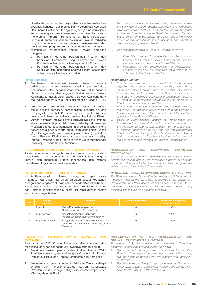Direktorat/Fungsi Sumber Daya Manusia untuk melakukan evaluasi, menyusun dan memastikan Program dan Kebijakan Remunerasi Bank memiliki daya saing dengan industri sejenis serta menerapkan asas kesetaraan dan keadilan dalam menerapkan Program Remunerasi di Bank berbasiskan kinerja, di antaranya dengan melakukan tinjauan terhadap program remunerasi secara berkala, menyesuaikan dan meningkatkan program-program remunerasi dan manfaat.

- 3. Memberikan rekomendasi kepada Dewan Komisaris mengenai:
	- a. Penyusunan dan/atau pelaksanaan Program dan Kebijakan Remunerasi bagi Direksi dan Dewan Komisaris untuk disampaikan kepada RUPS; dan
	- b. Penyusunan dan/atau pelaksanaan Program dan Kebijakan Remunerasi bagi pegawai secara keseluruhan untuk disampaikan kepada Direksi.

#### **Fungsi Nominasi**

- 1. Memberikan rekomendasi kepada Dewan Komisaris terkait dengan sistem, prosedur, pemilihan, pengangkatan, penggantian, dan pengangkatan kembali untuk anggota Dewan Komisaris dan anggota Direksi kepada Dewan Komisaris, termasuk calon anggota Dewan Komisaris dan/ atau calon anggota Direksi untuk disampaikan kepada RUPS.
- 2. Memberikan rekomendasi kepada Dewan Komisaris terkait dengan pemilihan, pengangkatan, penggantian, dan pengangkatan kembali Pihak Independen untuk dilakukan tinjauan lebih lanjut, untuk ditetapkan dan diangkat oleh Direksi.
- 3. Dewan Komisaris melalui Komite Remunerasi dan Nominasi akan melakukan tinjauan lebih lanjut terhadap rekomendasi Presiden Direktur atas pemaparan mengenai tinjauan kinerja secara berkala dari Direktur-Direktur dan Manajemen Puncak (*Top Management*) yang berada pada 1 (satu) tingkat di bawah Presiden Direktur selama masa penugasan tiap-tiap individu tersebut di Bank dan akan menyusun rekomendasi lebih lanjut kepada Dewan Komisaris.

#### **INDEPENDENSI KOMITE REMUNERASI DAN NOMINASI**

Aspek independensi anggota komite sangat penting dalam menjalankan fungsi remunerasi dan nominasi. Seluruh anggota komite telah memenuhi kriteria idependensi dan mampu menjalankan tugasnya secara independen.

#### **RAPAT KOMITE REMUNERASI DAN NOMINASI**

Komite Remunerasi dan Nominasi mengadakan rapat berkala 4 (empat) kali dalam 12 bulan dan/atau sesuai kebutuhan sebagaimana yang tercantum dalam Charter dan Kebijakan Komite Remunerasi dan Nominasi. Sepanjang 2017, Komite Remunerasi dan Nominasi melaksanakan 6 (enam) kali rapat dengan rincian kehadiran sebagai berikut:

*Resources Function to conduct evaluation, prepare and ensure the Bank Remuneration Program and Policy have competitive value with similar industries and apply the principle of equality and fairness in implementing the Bank's Remuneration Program based on performance, among others by conducting regular review of remuneration programs, adjusting and upgrading remuneration programs and benefits.*

- *3. Give recommendations to Board of Commissioners on:*
	- *a. Formulation and/or implementation of Remuneration Program and Policy for Board of Directors and Board of Commissioners to be submitted to the GMS; and*
	- *b. Preparation and/or implementation of Remuneration Program and Policy for employees as a whole to be submitted to the Board of Directors.*

#### *Nomination Function*

- *1. Provide recommendations to Board of Commissioners regarding the system, procedure, selection, appointment, reimbursement and reappointment for members of Board of Commissioners and members of the Board of Directors to the Board of Commissioners, including prospective members of Board of Commissioners and/or candidates for Board of Directors to be submitted to the GMS*
- *2. Provide recommendations to Board of Commissioners regarding the election, appointment, replacement and re-appointment of Independent Parties for further review, to be determined and appointed by the Board of Directors.*
- *3. Board of Commissioners through the Remuneration and Nomination Committee shall conduct a follow-up review on the President Director recommendation of the presentation of periodic performance reviews from the top Management Directors who are 1 (one) level under the President Director during the assignment of each individual in the Bank and will make more recommendations for Board of Commissioners.*

#### *REMUNERATION AND NOMINATION COMMITTEE INDEPENDENCY*

*The independence aspect of committee members is very important in carrying out the remuneration and nomination function. All members of the committee have fulfilled the criteria of independency and are able to carry out their duties independently.* 

#### *REMUNERATION AND NOMINATION COMMITTEE Meeting*

*The Remuneration and Nomination Committee held 4 (four) periodic meetings within 12 months and/or as required in the Charter and Remuneration and Nomination Committee Policy. Throughout 2017, the Remuneration and Nomination Committee conducted 6 (six) meetings with the following attendance details:*

| TNO) | Member          | abatan<br>Position                                                                    | Jumlah Kehadiran<br>Total | <b>Presentase Kehadiran</b><br>Attendance Rate |
|------|-----------------|---------------------------------------------------------------------------------------|---------------------------|------------------------------------------------|
|      | Suwartini       | Ketua/Komisaris Independen<br>Chief/Independent Commissioner                          |                           | 1በበ%                                           |
|      | Khairil Anwar   | Anggota/Komisaris Independen<br>Member/Independent Commissioner                       |                           | nn%                                            |
|      | Bagus Harimawan | Anggota/Pejabat Eksekutif Membawahi SDM<br>Member/Executive Officer Supervising Human |                           | $00\%$                                         |

#### **PELAKSANAAN KEGIATAN KOMITE REMUNERASI DAN NOMINASI**

Selama tahun 2017, Komite Remunerasi dan Nominasi telah melaksanakan tugas dan tanggung jawabnya sebagai berikut:

- 1. Merekomendasikan pengangkatan Andrew Farmer, Wakil Presiden Komisaris, sebagai anggota Komite Audit, Komite Pemantau Risiko, dan Komite Remunerasi dan Nominasi;
- 2. Menerima surat pengunduran diri Adhiputra Tanoyo sebagai Direktur dan merekomendasikan Lauren Sulistiawati, Presiden Direktur, sebagai *acting Risk Director* sampai Steve Vile bergabung di Bank;

#### *IMPLEMENTATION OF THE REMUNERATION AND NOMINATION COMMITTEE ACTIVITIES*

*Throughout 2017, Remuneration and Nomination Committee performed its duties and responsibilities as follows:*

- *1. Recommended the appointment of Andrew Farmer, Vice President Commissioner, as a member of the Audit Committee, Risk Monitoring Committee, and Remuneration and Nomination Committee;*
- *2. Received Adhiputra Tanoyo's resignation letter as Director and recommended Lauren Sulistiawati, President Director, as acting Risk Director until Steve Vile joins the Bank;*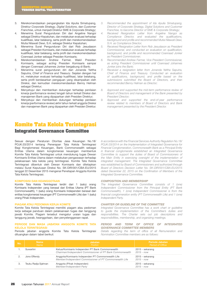- 3. Merekomendasikan pengangkatan Ida Apulia Simatupang, Direktur *Corporate Strategy*, *Digital Solutions*, dan *Customer Franchise*, untuk menjadi Direktur SME & *Corporate Strategy*;
- 4. Menerima Surat Pengunduran Diri dari Angeline Nangoi sebagai Direktur Kepatuhan, dan melakukan evaluasi terhadap kualifikasi, latar belakang, serta profil dan merekomendasikan Mutia Nilawati Dewi, S.H. sebagai Direktur Kepatuhan;
- 5. Menerima Surat Pengunduran Diri dari Rob Jesudason sebagai Presiden Komisaris, dan melakukan evaluasi terhadap kualifikasi, latar belakang, serta profil dan merekomendasikan Coenraad Jonker sebagai Presiden Komisaris;
- 6. Merekomendasikan Andrew Farmer, Wakil Presiden Komisaris, sebagai *acting* Presiden Komisaris sampai dengan Coenraad Johannes Jonker bergabung di Bank;
- 7. Menerima surat pengunduran diri dari Jonanda Yattha Saputra, *Chief of Finance and Treasury*. Sejalan dengan hal ini, melakukan evaluasi terhadap kualifikasi, latar belakang, serta profil berdasarkan pengajuan yang disampaikan oleh Direksi, dan kemudian merekomendasikan Benny Helman sebagai Direktur;
- 8. Menyetujui dan memberikan dukungan terhadap penilaian kinerja (*performance review*) tengah tahun terkait Direksi dan manajemen Bank yang dipaparkan oleh Presiden Direktur;
- 9. Menyetujui dan memberikan dukungan terhadap penilaian kinerja (*performance review*) akhir tahun terkait anggota Direksi dan manajemen Bank yang dipaparkan oleh Presiden Direktur.
- *3. Recommended the appointment of Ida Apulia Simatupang, Director of Corporate Strategy, Digital Solutions and Customer Franchise, to become Director of SME & Corporate Strategy;*
- *4. Received Resignation Letter from Angeline Nangoi as Compliance Director, and evaluated the qualifications, background and profile and recommended Mutia Nilawati Dewi, S.H. as Compliance Director;*
- *5. Received Resignation Letter from Rob Jesudason as President Commissioner, and conducted an evaluation on qualification, background, and profile and recommended Coenraad Jonker as President Commissioner;*
- *6. Recommended Andrew Farmer, Vice President Commissioner, as acting President Commissioner until Coenraad Johannes Jonker joins the Bank;*
- *7. Received a resignation letter from Jonanda Yattha Saputra, Chief of Finance and Treasury. Conducted an evaluation of qualifications, background, and profile based on the submissions submitted the Board of Directors, and then recommended Benny Helman as Director;*
- *8. Approved and supported the mid-term performance review of Board of Directors and management of the Bank presented by President Director;*
- *9. Approved and supported the end-of-year performance review related to members of Board of Directors and Bank management presented by the President Director.*

# **Komite Tata Kelola Terintegrasi**

## **Integrated Governance Committee**

Sesuai dengan Peraturan Otoritas Jasa Keuangan No.18/ POJK.03/2014 tentang Penerapan Tata Kelola Terintegrasi Bagi Konglomerasi Keuangan, Bank Commonwealth sebagai Entitas Utama dalam konglomerasi keuangan membentuk Komite Tata Kelola Terintegrasi untuk mendukung tugas Dewan Komisaris Entitas Utama dalam melakukan pengawasan terhadap pelaksanaan tata kelola yang terintegrasi. Komite Tata Kelola Terintegrasi dibentuk oleh Dewan Komisaris dan ditetapkan melalui Surat Keputusan Direksi No. SK-DIR/001/CBA-EU/2015 tanggal 22 Desember 2015 mengenai Penetapan Anggota Komite Tata Kelola Terintegrasi.

#### **KOMPOSISI DAN KEANGGOTAAN**

Komite Tata Kelola Terintegrasi terdiri dari 1 (satu) orang Komisaris Independen yang berasal dari Entitas Utama (PT Bank Commonwealth), 1 (satu) orang Komisaris Independen berasal dari entitas konglomerasi keuangan (PT Commonwealth Life) dan 1 (satu) orang Pihak Independen.

#### **PIAGAM ATAU PEDOMAN KERJA KOMITE**

Komite Tata Kelola Terintegrasi memiliki piagam atau pedoman kerja sebagai panduan dalam pelaksanaan tugas dan tanggung jawab Komite. Piagam tersebut mengatur uraian tugas dan tanggung jawab, keanggotaan, dan penyelenggaraan rapat.

#### **PERIODE DAN MASA JABATAN ANGGOTA KOMITE TATA KELOLA TERINTEGRASI**

Periode jabatan anggota Komite Tata Kelola Terintegrasi dituangkan dalam tabel berikut:

*In accordance with the Financial Services Authority Regulation No.18/ POJK.03/2014 on the Implementation of Integrated Governance for Financial Conglomeration, Commonwealth Bank as a Principal Entity in financial conglomerate established an Integrated Governance Committee to support the duties of Board of Commissioners of the Main Entity in exercising oversight of the implementation of integrated management. The Integrated Governance Committee was established by Board of Commissioners and authorized through Board of Directors Decision Letter No. SK-DIR/001/CBA-EU/2015 dated December 22, 2015 on the Confimation of Members of the Integrated Governance Committee.*

#### *Composition and Membership*

*The Integrated Governance Committee consists of 1 (one) Independent Commissioner from the Principal Entity (PT Bank Commonwealth), 1 (one) Independent Commissioner is from the financial conglomeration entity (PT Commonwealth Life) and 1 (one) Independent Party.*

#### *CHARTER OR GUIDELINE OF THE COMMITTEE*

*Integrated Governance Committee has a work chart or guideline to guide the implementation of the Committee's duties and responsibilities. The Charter sets out job descriptions and responsibilities, membership, and organizing meetings.*

#### *PERIOD AND TERM OF OFFICE OF INTEGRATED GOVERNANCE COMMITTEE MEMBERS*

*Details regarding the term of office of all Remuneration and Nomination Committee members are as follows:*

| Nο. | <b>Nama</b><br><b>Name</b> | Jabatan<br>Position                                                                                          | <b>Periode Jabatan</b><br><b>Period of Office</b> |
|-----|----------------------------|--------------------------------------------------------------------------------------------------------------|---------------------------------------------------|
|     | Suwartini                  | Ketua/Komisaris Independen PT Bank Commonwealth<br>Chairman/Independent Commissioner of PT Bank Commonwealth | 2015 - sekarang<br>2015 - now                     |
|     | Jono Effendv               | Anggota/Komisaris Independen PT Commonwealth Life<br>Member/Independent Commissioner of PT Commonwealth Life | 2015 - sekarang<br>$2015 - now$                   |
|     | Teuku Radja Sjahnan        | Anggota (Pihak Independen)<br>Member/Independent Party                                                       | 2015 - sekarang<br>$2015 - now$                   |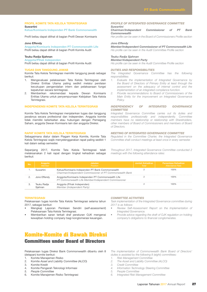#### **PROFIL KOMITE TATA KELOLA TERINTEGRASI Suwartini**

**Ketua/Komisaris Independen PT Bank Commonwealth**

Profil beliau dapat dilihat di bagian Profil Dewan Komisaris

#### **Jono Effendy**

**Anggota/Komisaris Independen PT Commonwealth Life** Profil beliau dapat dilihat di bagian Profil Komite Audit

#### **Teuku Radja Sjahnan**

**Anggota/Pihak Independen** Profil beliau dapat dilihat di bagian Profil Komite Audit

#### **TUGAS DAN TANGGUNG JAWAB**

Komite Tata Kelola Terintegrasi memiliki tanggung jawab sebagai berikut:

- 1. Mengevaluasi pelaksanaan Tata Kelola Terintegrasi oleh Direksi Entitas Utama paling sedikit melalui penilaian kecukupan pengendalian intern dan pelaksanaan fungsi kepatuhan secara terintegrasi.
- 2. Memberikan rekomendasi kepada Dewan Komisaris Entitas Utama untuk penyempurnaan Kebijakan Tata Kelola Terintegrasi.

#### **INDEPENDENSI KOMITE TATA KELOLA TERINTEGRASI**

Komite Tata Kelola Terintegrasi menjalankan tugas dan tanggung jawabnya secara profesional dan independen. Anggota komite tidak memiliki keterkaitan atau hubungan dengan Pemegang Saham, anggota Dewan Komisaris lain dan anggota Direksi.

#### **RAPAT KOMITE TATA KELOLA TERINTEGRASI**

Sebagaimana diatur dalam Piagam Kerja Komite, Komite Tata Kelola Terintegrasi wajib menyelenggarakan rapat paling sedikit 1 kali dalam setiap semester.

Sepanjang 2017, Komite Tata Kelola Terintegrasi telah melaksanakan 2 kali rapat dengan tingkat kehadiran sebagai berikut:

#### *PROFILE OF INTEGRATED GOVERNANCE COMMITTEE Suwartini*

*Chairman/Independent Commissioner of PT Bank Commonwealth* 

*Her profile can be seen in the Board of Commissioners Profile section* 

#### *Jono Effendy*

*Member/Independent Commissioner of PT Commonwealth Life His profile can be seen in the Audit Committee Profile section* 

#### *Teuku Radja Sjahnan*

*Member/Independent Party His profile can be seen in the Audit Committee Profile section* 

*DUTIES AND RESPONSIBILITIES* 

*The Integrated Governance Committee has the following responsibilities:*

- *1. Evaluate the implementation of Integrated Governance by the Board of Directors of Primary Entity at least through the assessment on the adequacy of internal control and the implementation of an integrated compliance function.*
- *2. Provide recommendations to Board of Commissioners of the Main Entity for the improvement on Integrated Governance Policy.*

#### *INDEPENDENCY OF INTEGRATED GOVERNANCE COMMITTEE*

*Integrated Governance Committee carries out its duties and responsibilities professionally and independently. Committee members have no relationship or relationship with Shareholders, other members of Board of Commissioners and members of Board of Directors.*

#### *MEETING OF INTEGRATED GOVERNANCE COMMITTEE*

*Regulated in the Committee Charter, the Integrated Governance Committee shall conduct meetings at least once in every semester.* 

*Throughout 2017, Integrated Governance Committee conducted 2 meetings with the following attendance rates:*

| No. | Member       | ahatan<br><b>Position</b>                                                                                    | ⊾lumlah Kehadiran.<br>Total | <b>Persentase Kehadiran</b><br>Attendance Rate |
|-----|--------------|--------------------------------------------------------------------------------------------------------------|-----------------------------|------------------------------------------------|
|     |              | Ketua/Komisaris Independen PT Bank Commonwealth<br>Chairman/Independent Commissioner of PT Commonwealth Bank |                             | 1በበ%                                           |
|     | Jono Effendy | Anggota/Komisaris Independen PT Commonwealth Life<br>PT Commonwealth Life Member/Independent Commissioner    |                             | 1 በበ%                                          |
|     | Ieuku Radia  | Anggota (Pihak Independen)<br>Member (Independent Party)                                                     |                             | በበባራ                                           |

#### **TERINTEGRASI**

Pelaksanaan tugas komite Tata Kelola Terintegrasi selama tahun 2017, sebagai berikut:

- Mengkaji Laporan Penilaian Sendiri (*self-assessment*) Pelaksanaan Tata Kelola Terintegrasi.
- Memberikan saran terkait draf peraturan OJK mengenai kewajiban *holding company* bagi konglomerasi keuangan.

#### *COMMITTEE ACTIVITIES*

*Task implementation of the Integrated Governance committee during 2017 is as follows:*

- *• Review Self-Assessment Report on the Implementation of Integrated Governance.*
- *• Provide advice regarding the draft of OJK regulation on holding company's obligations to financial conglomerates.*

# **Komite-Komite di Bawah Direksi**

# **Committees under Board of Directors**

Pelaksanaan tugas Direksi Bank Commonwealth dibantu oleh 8 (delapan) komite berikut:

- 1. Komite Manajemen Risiko
- 2. Komite *Asset and Liability Committee* (ALCO)
- 3. Komite Kredit<br>4 Komite Penga
- 4. Komite Pengarah Teknologi Informasi<br>5. People Committee
- *5. People Committee*
- 6. Komite Manajemen Risiko Terintegrasi

*The implementation of Commonwealth Bank Board of Directors' duties is assisted by the following 8 (eight) committees: 1. Risk Management Committee* 

- *2. The Asset and Liability Committee (ALCO)*
- *3. Credit Committee*
- *4. Information Technology Steering Committee*
- 
- *5. People Committee*
- *6. Integrated Risk Management Committee*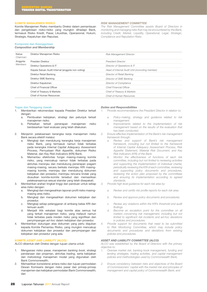#### **KOMITE MANAJEMEN RISIKO**

Komite Manajemen Risiko membantu Direksi dalam pemantauan dan pengelolaan risiko-risiko yang mungkin dihadapi Bank, termasuk Risiko Kredit, Pasar, Likuiditas, Operasional, Hukum, Strategis, Kepatuhan dan Reputasi.

#### *Risk Management Committee*

*The Risk Management Committee assists Board of Directors in monitoring and managing risks that may be encountered by the Bank, including Credit, Market, Liquidity, Operational, Legal, Strategic, Compliance and Reputation Risks.*

#### **Komposisi dan Keanggotaan** *Composition and Membership*

| Ketua:<br>Chairman:  | Direktur Manajemen Risiko                         | <b>Risk Management Director</b>                |
|----------------------|---------------------------------------------------|------------------------------------------------|
| Anggota:<br>Members: | Presiden Direktur                                 | <b>President Director</b>                      |
|                      | Direktur Operations & IT                          | Director of Operations & IT                    |
|                      | Kepala Satuan Audit Internal (anggota non-voting) | Head of Internal Audit Unit (nonvoting member) |
|                      | Direktur Retail Banking                           | <b>Director of Retail Banking</b>              |
|                      | Direktur SME Banking                              | Director of SME Banking                        |
|                      | Direktur Kepatuhan                                | <b>Director of Compliance</b>                  |
|                      | Chief of Financial Officer                        | <b>Chief Financial Officer</b>                 |
|                      | Chief of Treasury & Markets                       | Chief of Treasury & Markets                    |
|                      | Chief of Human Resources                          | Chief of Human Resources                       |

#### **Tugas dan Tanggung Jawab**

- 1. Memberikan rekomendasi kepada Presiden Direktur terkait dengan:
	- a. Pembuatan kebijakan, strategi dan petunjuk terkait manajemen risiko.
	- b. Perbaikan terkait penerapan manajemen risiko berdasarkan hasil evaluasi yang telah dilakukan.
- 2. Menjamin pelaksanaan kerangka kerja manajemen risiko Bank secara efektif melalui:
	- a. Mengkaji dan mendukung kerangka kerja manajemen risiko Bank, yang termasuk namun tidak terbatas pada kerangka *Internal Capital Adequacy Assessment Process,* Pernyataan *Risk Appetite*, dokumen Risiko Material, dan Key *Risk Indicators* (KRI) Bank.
	- b. Memantau efektivitas fungsi masing-masing komite risiko, yang mencakup namun tidak terbatas pada aktivitas meninjau dan mendukung penerapan piagam masing-masing, secara berkala meninjau KRI masingmasing komite, meninjau dan mendukung dokumen kebijakan dan prosedur, meninjau rencana tindak yang diusulkan komite-komite tersebut dan memastikan pelaksanaannya sesuai standar yang telah disepakati.
- 3. Memberikan arahan tingkat tinggi dan panduan untuk setiap area risiko dengan:
	- a. Mengkaji dan mengesahkan laporan profil risiko masingmasing area risiko.
	- b. Mengkaji dan mengesahkan dokumen kebijakan dan prosedur.
	- c. Mengkaji setiap pelanggaran di ambang batas KRI dan temuan audit.
	- d. Menjadi titik eskalasi bagi komite atas semua hal yang terkait manajemen risiko, yang meliputi namun tidak terbatas pada insiden risiko yang signifikan dan penyimpangan *ad-hoc* dalam kebijakan dan prosedur.
- 4. Memberikan dukungan atas dokumen yang perlu diajukan kepada Komite Pemantau Risiko, yang mungkin mencakup dokumen kebijakan dan prosedur dan penyimpangan dari kebijakan dan prosedur yang ada.

#### **KOMITE** *ASSET AND LIABILITY* **(ALCO)**

ALCO dibentuk oleh Direksi dengan tujuan utama untuk:

- 1. Mengawasi risiko pasar, manajemen *banking book*, strategi pendanaan dan pinjaman, aktivitas *trading*, serta kebijakan dan metodologi manajemen modal yang digunakan oleh Bank Commonwealth;
- 2. Memastikan konsistensi antara risiko dan tujuan permodalan Dewan Komisaris dengan risiko pasar dan prinsip-prinsip manajemen dan kebijakan permodalan Bank Commonwealth; dan

#### *Duties and Responsibilities*

- *1. Provide recommendations the President Director in relation to:*
	- *a. Policy-making, strategy and guidance related to risk management.*
	- *b. Improvements related to the implementation of risk management based on the results of the evaluation that has been conducted.*
- *2. Ensure effective implementation of the Bank's risk management framework through:*
	- *a. Review and support of Bank's risk management framework, including but not limited to the framework of Internal Capital Adequacy Assessment Process, Risk Appetite Statement, Material Risk Document, and Key Risk Indicators (KRI) of the Bank.*
	- *b. Monitor the effectiveness of functions of each risk committee, including but not limited to reviewing activities and supporting the implementation of individual charter, periodically reviewing the KRI of each committee, reviewing and supporting policy documents and procedures, reviewing the action plan proposed by the committees and ensuring its implementation according to agreed standards.*
- *3. Provide high level guidance for each risk area by:*
	- *a. Review and certify risk profile reports for each risk area.*
	- *b. Review and approve policy documents and procedures.*
	- *c. Review any violations within the KRI's threshold and audit findings.*
	- *d. Become an escalation point for the committee on all matters concerning risk management, including but not limited to significant risk incidents and ad-hoc deviations in policies and procedures.*
- *4. Provide support for documents that need to be submitted to Risk Monitoring Committee, which may include policy documents and procedures and deviations from existing policies and procedures.*

#### *ASSET AND LIABILITY COMMITTEE (ALCO)*

*ALCO was established by the Board of Directors with the primary objective to:*

- *1. Oversee market risk, banking book management, funding and lending strategies, trading activities, and capital management policies and methodologies used by Commonwealth Bank;*
- *2. Ensure consistency between risks and objectives of the Board of Commissioners' capital with the market risk and principles of management and capital policy of Commonwealth Bank; and*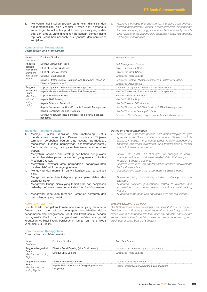- 3. Menyetujui hasil kajian produk yang telah dianalisis dan direkomendasikan oleh *Product Owner* dan pemangku kepentingan terkait untuk produk baru, produk yang sudah ada dan produk yang dihentikan berkenaan dengan risiko reputasi, kebutuhan nasabah, *risk appetite*, dan peraturan/ kebijakan.
- *3. Approve the results of product review that have been analyzed and recommended by Product Owner and relevant stakeholders for new products, existing products and discontinued products with respect to reputational risk, customer needs, risk appetite, and regulations/policies.*

#### **Komposisi dan Keanggotaan** *Composition and Membership*

#### Ketua: *Chairman:* Presiden Direktur *President Director* Anggota dengan Hak Suara *Members with Voting Rights* Direktur Manajemen Risiko *Risk Management Director* Chief of Treasury & Markets *Chief of Treasury & Markets*  Chief of Financial Officer *Chief of Financial Officer* Direktur Retail Banking *Director of Retail Banking*  Direktur Strategi, Digital Solutions, and Customer Franchise *Director of Strategy, Digital Solutions, and Customer Franchise* Direktur Operations & IT *Director of Operations & IT* Anggota tanpa Hak Suara *Members without Voting Rights* Kepala Liquidity & Balance Sheet Management *Chairman of Liquidity & Balance Sheet Management* Kepala *Market and Balance Sheet Risk Management Head of Market and Balance Sheet Risk Management*  Kepala Wholesale Banking *Head of Wholesale Banking*  Kepala SME Banking *Head of SME Banking* Kepala Sales and Distribution *Head of Sales and Distribution*  Kepala Consumer Liabilities Products & Wealth Management *Head of Consumer Liabilities Products & Wealth Management* Kepala Consumer Lending Products *Head of Consumer Lending Products* Direktur Kepatuhan (atau pengganti yang ditunjuk) sebagai pengamat *Director of Compliance (or appointed replacement) as observer*

#### **Tugas dan Tanggung Jawab**

- 1. Meninjau usulan kebijakan dan metodologi untuk mendapatkan persetujuan Dewan Komisaris. Tinjauan termasuk perubahan bauran atau sasaran permodalan, manajemen likuiditas, pembiayaan, penempatan/investasi, *funds transfer pricing*, risiko pasar baik *traded* maupun *nontraded*.
- 2. Menyetujui sasaran dan strategi perubahan pengelolaan modal dan risiko pasar *non-traded* yang menjadi otoritas Presiden Direktur.
- 3. Menyetujui investasi atas permodalan dan/persyaratan dividen oleh/untuk pemegang saham.
- 4. Mengawasi dan menjamin bahwa kualitas aset senantiasa baik.
- 5. Mengawasi kepatuhan kebijakan, posisi permodalan, dan eksposur risiko.
- 6. Mengawasi kinerja bisnis yang terkait arah dan penjelasan terhadap *net interest margin bank* dan *total banking margin*.
- 7. Mengawasi kepatuhan terhadap ketentuan peraturan dan perundangan yang berlaku.

#### **KOMITE KREDIT (KK)**

Komite Kredit merupakan komite operasional yang membantu Direksi dalam memastikan penerapan kehati-hatian dalam pengambilan dan pengawasan keputusan kredit sesuai dengan *risk appetite* Bank; dan mengevaluasi dan/atau mengambil keputusan Aplikasi Kredit berdasarkan jumlah dan jenis kredit yang disetujui Direksi.

#### *Duties and Responsibilities*

- *1. Review the proposed policies and methodologies to gain approval from Board of Commissioners. Reviews include changes in capital mix or capital target, liquidity management, financing, placement/investment, fund transfer pricing, market risk both traded or non-traded.*
- *2. Aprove the goals and strategies for changes in capital management and non-traded market risks that are part of President Director's authority.*
- *3. Approve investment on capital and/or dividend requirements by/for shareholders.*
- *4. Supervise and ensure that asset quality is always good.*
- *5. Supervise policy compliance, capital positioning, and risk exposure.*
- *6. Supervise business performance related to direction and explanation of net interest margin of bank and total banking margin.*
- *7. Supervise compliance with applicable laws and regulations.*

#### *CREDIT COMMITTEE (KK)*

*Credit Committee is an operational committee that assists Board of Directors in ensuring the prudent application of credit approval and supervision in accordance with the Bank's risk appetite; and evaluate and/or make a Credit decision based on the amount and type of credit approved by Board of Directors.*

#### **Komposisi dan Keanggotaan** *Composition and Membership*

| Ketua:<br>Chairman                        | Presiden Direktur                                           | <b>President Director</b>                         |
|-------------------------------------------|-------------------------------------------------------------|---------------------------------------------------|
| Anggota dengan Hak                        | Direktur Retail Banking (Vice Chairperson)                  | Director of SME Banking (Vice Chairperson)        |
| Suara<br>Members with Voting<br>Riahts    | Direktur SME Banking                                        | Director of Retail Banking                        |
| Anggota tanpa Hak                         | Direktur Manaiemen Risiko                                   | Director of Risk Management                       |
| Suara<br>Members without<br>Voting Rights | Kepala Risiko Kredit atau Delegasinya (Laporan<br>Lanɑsunɑ) | Head of Credit Risk or Delegation (Direct Report) |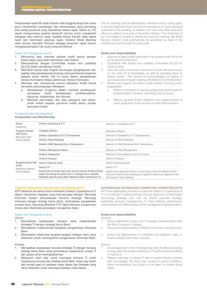Pelaksanaan rapat KK wajib dihadiri oleh anggota tanpa hak suara guna memberikan pandangan dan rekomendasi yang seimbang atas setiap proposal yang diserahkan dalam rapat. Selain itu, KK dapat mengundang pejabat eksekutif lainnya untuk menghadiri sebagian atau seluruh rapat. Apabila Ketua Komite tidak dapat hadir dan memimpin jalannya rapat, Direktur *Retail Banking* akan secara otomatis ditunjuk sebagai pimpinan rapat namun mengesampingkan hak suara yang dimilikinya.

#### **Tugas dan Tanggung Jawab**

- 1. Menyetujui atau menolak aplikasi kredit sesuai dengan batas-batas yang telah ditentukan oleh Direksi.
- 2. Berkoordinasi dengan *Committee Assets and Liabilities*  (ALCO) dalam pendanaan kredit.
- 3. Mematuhi aturan atas tingkat kecukupan penghapusan dan tagihan atas penghapusan piutang, serta pemberian pinjaman kepada pihak terkait. Hal ini harus dalam pengetahuan Dewan Komisaris melalui pertemuan Dewan Komisaris.
- 4. Meninjau dan mendukung semua kebijakan kredit terkait termasuk penyimpangan kebijakan:
	- a. Menjalankan fungsinya dalam memberi persetujuan/ kredit berdasarkan profesionalisme, kejujuran, objektivitas, dan akurasi.
	- b. Menolak permintaan dan atau pengaruh dari pihakpihak terkait kepada pemohon kredit dalam proses pencairan kredit.

#### **Komposisi dan Keanggotaan**

*Composition and Membership*

*The KK meeting shall be attended by members without voting rights to provide balanced views and recommendations on each proposal submitted to the meeting. In addition, KK may invite other executive officers to attend some part or the entire meeting. If the Chairman of the Committee is unable to attend and lead the meeting, the Retail Banking Director shall automatically be appointed as head of the meeting but shall exclude his voting right.*

#### *Duties and responsibilities*

- *1. Approve or reject credit application in accordance with the limits set by Board of Directors.*
- *2. Coordinate with Assets and Liabilities Committee (ALCO) for credit funding.*
- *3. Obey the rules on the level of adequacy of write-offs and invoices for the write-off of receivables, as well as providing loans to*  related parties. This should be acknowledged by Board of *Commissioners through meeting with Board of Commissioners.*
- *4. Review and support all related credit policies including policy irregularities:*
	- *a. Perform its function of approving/rejecting credit based on professionalism, honesty, objectivity, and accuracy.*
	- *b. Refuse requests and/or influence from related parties of credit applicants in the process of credit disbursement.*

| Ketua:<br>Chairman:       | Direktur Operations & IT                                                                                                                                                        | Director of Operations & IT                                                                                                                                                |  |
|---------------------------|---------------------------------------------------------------------------------------------------------------------------------------------------------------------------------|----------------------------------------------------------------------------------------------------------------------------------------------------------------------------|--|
| Anggota dengan            | Presiden Direktur                                                                                                                                                               | <b>President Director</b>                                                                                                                                                  |  |
| Hak Suara<br>Members with | Direktur Operations & IT (Chairperson)                                                                                                                                          | Director of Operations & IT (Chairperson)                                                                                                                                  |  |
| <b>Voting Rights</b>      | Direktur Retail Banking                                                                                                                                                         | Director of Retail Banking                                                                                                                                                 |  |
|                           | Direktur SME Banking (Vice Chairperson)                                                                                                                                         | Director of SME Banking (Vice Chairperson)                                                                                                                                 |  |
|                           | Direktur Manajemen Risiko                                                                                                                                                       | Director of Risk Management                                                                                                                                                |  |
|                           | Direktur Kepatuhan                                                                                                                                                              | Director of Compliance Chief of Finance                                                                                                                                    |  |
|                           | Chief of Finance                                                                                                                                                                | Chief of Finance                                                                                                                                                           |  |
| Anggota tanpa Hak         | Chief of Internal Audit                                                                                                                                                         | Chief of Internal Audit                                                                                                                                                    |  |
| Suara<br>Members without  | Head of IT                                                                                                                                                                      | Head of IT                                                                                                                                                                 |  |
| <b>Voting Rights</b>      | Kepala Divisi terkait atau satu level di bawah Direktur/Chief<br>dapat diundang ke pertemuan ini sebagai tamu apabila<br>terdapat agenda yang akan dibahas dalam pertemuan ini. | Head of the relevant Division or one level under the Director/Chief<br>may be invited to this meeting as a guest if there is an agenda to be<br>discussed in this meeting. |  |

#### **KOMITE PENGARAH TEKNOLOGI INFORMASI (KPTI)**

KPTI dibentuk terutama untuk membantu Direktur Operations & IT dalam memantau kegiatan yang berhubungan dengan Teknologi Informasi melalui penyelarasan rencana strategis Teknologi Informasi dengan strategi bisnis Bank, optimalisasi pengelolaan sumber daya, nilai yang diberikan TI (IT *Value Delivery*), pengukuran kinerja dan efektivitas penerapan manajemen risiko.

#### **Tugas dan Tanggung Jawab**

#### Umum:

- 1. Memastikan keselarasan rencana serta implementasi strategis TI dengan strategi bisnis Bank.
- 2. Memastikan implementasi kebijakan pengamanan informasi **Bank**
- 3. Memastikan efektivitas langkah-langkah mitigasi risiko yang dilakukan untuk meningkatkan pengamanan informasi Bank.

#### Khusus:

- 1. Memastikan keselarasan rencana strategis TI dengan rencana strategi bisnis Bank serta pemantauan keseluruhan kinerja TI dan upaya untuk meningkatkannya.
- 2. Menyusun *road map* untuk mencapai rencana TI untuk mendukung rencana dan strategi bisnis Bank. *Road map* terdiri dari kondisi saat ini, keadaan masa depan dan tindakan yang harus dilakukan untuk mencapai keadaan masa depan.

#### *INFORMATION TECHNOLOGY COMMITTEE COMMITTEE (KPTI)*

*KPTI was established primarily to assist the Director of Operations & IT in monitoring IT-related activities through alignment of Information Technology strategic plan with the Bank's business strategy, optimizing resource management, IT Value Delivery, performance measurement and effectiveness of risk management implementation.*

#### *Duties and responsibilities*

#### *General:*

- *1. Ensure alignment of plans and IT strategic implementation with the Bank's business strategy.*
- *2. Ensure the implementation of Bank's information security policy.*
- *3. Ensure the effectiveness of undertake risk mitigation steps to improve Bank's information security.*

#### *Special:*

- *1. Ensure alignment of the IT strategic plan with the Bank's business strategy plan and overall monitoring of IT performance and efforts to improve it.*
- *2. Prepare road map to achieve IT plan to support Bank's business plan and strategy. The Road map consists of current conditions, future circumstances and actions to be taken to achieve future status.*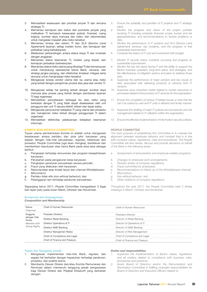- 3. Memastikan kesesuaian dan prioritas proyek TI dan rencana strategis TI.
- 4. Memantau kemajuan dan status dari portofolio proyek yang melibatkan TI termasuk kesesuaian jadwal, finansial, ruang lingkup, sumber daya manusia dan risiko, dan rekomendasi untuk mengatasi masalah atau risiko tersebut.
- 5. Memantau kinerja dari sistem TI dan SLA (*Service Level Agreement*) layanan, setiap insiden kunci, dan kemajuan dari perbaikan yang berkelanjutan.
- 6. Melakukan perbandingan antara status biaya TI dan investasi dengan anggaran.
- 7. Memantau status keamanan TI, insiden yang terjadi, dan kemajuan perbaikan berkelanjutan.
- 8. Memantau status risiko utama yang dihadapi TI dan kemampuan untuk mendukung operasional bisnis Bank, rencana, dan strategi jangka panjang, dan efektivitas tindakan mitigasi serta rencana untuk menghadapi risiko tersebut.
- 9. Mengawasi kinerja vendor utama dan isu utama atau risiko yang terkait dengan pengiriman produk atau jasa dari vendor TI.
- 10. Mengawasi setiap hal penting terkait dengan sumber daya manusia atau proses yang terkait dengan pemberian layanan TI bagi organisasi.
- 11. Memastikan penyelesaian berbagai isu atau risiko yang berkaitan dengan TI yang tidak dapat diselesaikan oleh unit pengguna dan unit TI secara efektif, efisien dan tepat waktu.
- 12. Mengawasi penyusunan kebijakan TI yang utama dan prosedur dan manajemen risiko terkait dengan penggunaan TI dalam organisasi.
- 13. Memastikan efektivitas pelaksanaan kebijakan keamanan informasi.

#### **KOMITE SDM (***PEOPLE COMMITTEE***)**

Tujuan utama pembentukan Komite ini adalah untuk mengawasi keselarasan antara perilaku dan pola pikir karyawan yang sejalan dengan nilai-nilai perusahaan, regulasi, ketentuan dan prosedur. *People Committee* juga akan mengkaji, berdiskusi dan memberikan keputusan atas nama Bank pada area-area sebagai berikut:

- a. Pengkajian terhadap remunerasi dan program kesejahteraan karyawan;
- b. Perubahan pada pengaturan kerja karyawan;
- c. Pengkajian peraturan perusahaan secara periodik;<br>d. Fraud vang dilakukan oleh karyawan:
- *d. Fraud* yang dilakukan oleh karyawan;
- e. Rekomendasi atas tindak lanjut dari *channel Whistleblower;*
- f. *Misconduct*;
- g. Perilaku tidak etik (*non-ethical behavior*); dan
- h. Pelanggaran lain terhadap peraturan perusahaan.

Sepanjang tahun 2017, *People Committee* mengadakan 3 (tiga) kali rapat yaitu pada bulan Maret, Oktober dan November.

### **Komposisi dan Keanggotaan**

*Composition and Membership*

- *3. Ensure the suitability and priorities of IT projects and IT strategic plans.*
- *4. Monitor the progress and status of the project portfolio involving IT including schedule, financial, scope, human and risk appropriateness, and recommendations to resolve problems or risks.*
- *5. Monitor the performance of IT systems and SLA (Service Level Agreement) services, key incidents, and the progress of that sustainable improvement.*
- *6. Compare the status of IT cost and investment with budget.*
- *7. Monitor IT security status, incidents occurring and progress on sustainable improvement.*
- *8. Monitor the key risk status facing IT and the ability to support the Bank's business operation, long-term plans, and strategies, and the effectiveness of mitigation actions and plans to address those risks.*
- *9. Supervise the performance of major vendors and key issues or risks associated with delivering products or services from IT vendors.*
- *10. Supervise every important matter related to human resources or processes related to the provision of IT services for the organization.*
- *11. Ensure the completion of various IT-related issues or risks that the can't be solved by user and IT units in efficient and timely manner.*
- *12. Supervise the drafting of major IT policies and procedures and risk management related to IT utilization within the organization.*
- *13. Ensure the effective implementation of information security policies.*

#### *PEOPLE COMMITTEE*

*The main purpose of establishing this Committee is to oversee the alignment between employee behavior and mindset that is in line with company values, regulations, rules and procedures. The People Committee will also review, discuss and provide decisions on behalf of the Bank in the following areas:*

- *a. Assessment of remuneration and employee welfare programs;*
- *b. Changes to employee work arrangements;*
- *c. Periodic review of company regulations;*
- *d. Fraud committed by employees;*
- *e. Recommendations on follow-up of the Whistleblower channel;*
- *f. Misconduct;*
- *g. Non-ethical behavior; and*
- *h. Other violations of company regulations.*

*Throughout the year 2017, the People Committee held 3 (three) meetings in March, October and November.*

| Ketua:<br>Chairman  | Chief of Human Resources      | Chief of Human Resources      |  |
|---------------------|-------------------------------|-------------------------------|--|
| dengan Hak<br>Suara | Presiden Direktur             | President Director            |  |
|                     | Direktur Retail Banking       | Director of Retail Banking    |  |
| Memher with         | Direktur Operations & IT      | Director of Operations & IT   |  |
| Voting Rights       | Direktur SME Banking          | Director of SME Banking       |  |
|                     | Direktur Manajemen Risiko     | Director of Risk Management   |  |
|                     | Chief of Compliance and Legal | Chief of Compliance and Legal |  |
|                     | Chief of Finance and Treasury | Chief of Finance and Treasury |  |

- **Tugas dan Tanggung Jawab** 1. Mengawasi implementasi nilai-nilai Bank, regulasi, dan segala hal berkaitan dengan kepatuhan terhadap peraturan, prosedur, dan praktik bisnis.
- 2. Membantu Dewan Direksi dan/atau Komite Remunerasi dan Nominasi dalam memenuhi tanggung jawab pengawasan bagi Dewan Direksi dan Pejabat Eksekutif yang berkaitan dengan:

#### *Duties and responsibilities*

- *1. Supervise the implementation of Bank's values, regulations and all matters related to compliance with business rules, procedures and practices.*
- *2. Assist Board of Directors and/or the Remuneration and Nomination Committee in fulfilling oversight responsibilities for Board of Directors and Executive Officers related to:*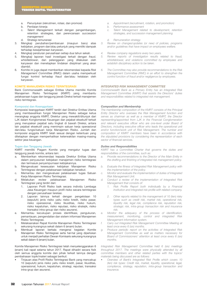- a. Penunjukan (rekrutmen, rotasi, dan promosi)
- b. Penilaian kineria
- c. *Talent Management* terkait dengan pengembangan, retention strategies, dan perencanaan *succession management*
- d. Strategi remunerasi
- 3. Mengkaji perubahan/pembaruan (maupun baru) atas kebijakan, program dan/atau petunjuk yang memiliki dampak terhadap kesejahteraan karyawan.
- 4. Mengkaji peraturan perusahaan setiap dua tahun sekali.<br>5. Mengkaji Japoran hasil investigasi terkait dengan fr
- 5. Mengkaji laporan hasil investigasi terkait dengan *fraud*, *whistleblower*, dan pelanggaran yang dilakukan oleh karyawan dan menetapkan tindakan disiplinari yang akan diambil.
- 6. Komite ini juga dapat memberikan rekomendasi kepada *Risk Management Committee* (RMC) dalam usaha memperkuat fungsi kontrol terhadap *fraud* dan/atau kelalaian oleh karyawan.

#### **KOMITE MANAJEMEN RISIKO TERINTEGRASI**

Bank Commonwealth sebagai Entitas Utama memiliki Komite Manajemen Risiko Terintegrasi (KMRT) yang membantu pelaksanaan tugas dan tanggung jawab Direksi terkait manajemen risiko terintegrasi.

### **Komposisi dan Keanggotaan**

Komposisi keanggotaan KMRT terdiri dari Direktur Entitas Utama yang membawahkan fungsi Manajemen Risiko sebagai ketua merangkap anggota KMRT, Direktur yang mewakili/ditunjuk dari LJK dalam Konglomerasi Keuangan dan pejabat eksekutif terkait yang merupakan pejabat satu tingkat di bawah Direksi, antara lain pejabat eksekutif yang memimpin satuan kerja operasional dan/atau fungsi/satuan kerja Manajemen Risiko. Jumlah dan komposisi anggota KMRT telah sesuai dengan ketentuan yang ditetapkan dengan memperhatikan keterwakilan masing-masing sektor jasa keuangan.

#### **Tugas dan Tanggung Jawab**

KMRT memiliki Piagam Komite yang mengatur tugas dan tanggung jawab komite, antara lain:<br>a. Memberikan rekomendasi ker

- a. Memberikan rekomendasi kepada Direktur Entitas Utama dalam penyusunan kebijakan manajemen risiko terintegrasi dan termasuk penyempurnaan kebijakannya.
- b. Mengevaluasi kesesuaian kebijakan Manajemen Risiko Terintegrasi dengan pelaksanaan kebijakan tersebut.
- c. Memantau dan mengevaluasi pelaksanaan tugas Satuan Kerja Manajemen Risiko Terintegrasi.
- d. Melakukan *review* pelaksanaan Manajemen Risiko Terintegrasi yang terdiri dari:
	- 1. Laporan Profil Risiko baik secara individu Lembaga Jasa Keuangan maupun profil risiko secara terintegrasi dengan perusahaan terelasi.
	- 2. Laporan lainnya terkait dengan pengelolaan 10 (sepuluh) jenis risiko yaitu risiko kredit, risiko pasar, risiko operasional, risiko likuiditas, risiko hukum, risiko kepatuhan, risiko reputasi, risiko stratejik, risiko transaksi intra-group dan risiko asuransi.
- e. Memantau kecukupan proses identifikasi, pengukuran, pemantauan, pengendalian dan sistem informasi Manajemen Risiko Terintegrasi.
- f. Melaksanakan Rapat Komite Manajemen Risiko Terintegrasi sekurang-kurangnya sekali dalam 6 (enam) bulan.
- g. Membuat laporan berkala mengenai kegiatan Komite Manajemen Risiko Terintegrasi serta hal-hal yang diperlukan untuk menjadi perhatian Dewan Komisaris sekurang-kurangnya sekali dalam 6 (enam) bulan.

Komite Manajemen Risiko Terintegrasi telah menyelenggarakan 6 (enam) kali rapat selama tahun 2017. Rapat dihadiri secara fisik oleh semua anggota komite dan pihak terkait lainnya dengan pembahasan topik/materi sebagai berikut:

 Tinjauan atas Profil Risiko Terintegrasi Bank yang mencakup 10 (sepuluh) jenis risiko yaitu risiko kredit, pasar, likuiditas, operasional, hukum, kepatuhan, strategi, reputasi, transaksi intra-grup dan asuransi.

- *a. Appointment (recruitment, rotation, and promotion)*
- *b. Performance assessment*
- *c. Talent Management related to development, retention strategies, and succession management planning*
- *d. Remuneration strategy*
- *3. Review on changes/updates (or new) of policies, programs and/or guidelines that have impact on employees welfare.*
- *4. Review company regulations every two years.*
- *5. Review reports of investigation results related to fraud, whistleblower, and violations committed by employees and establish disciplinary action to be taken.*
- *6. The Committee may also provide recommendations to the Risk Management Committee (RMC) in an effort to strengthen the control function of fraud and/or negligence by employees.*

#### *INTEGRATED RISK MANAGEMENT COMMITTEE*

*Commonwealth Bank as a Primary Entity has an Integrated Risk Management Committee (KMRT) that assists the Directors' duties and responsibilities related to integrated risk management.*

#### *Composition and Membership*

*The membership composition of the KMRT consists of the Principal Entity Director who oversees the Risk Management function and serves as chairman as well as a member of KMRT, the Director representing/appointed from LJK in the Financial Conglomeration and relevant executive officer who are one-level under Board of Directors, including executive officer who leads the operational unit and/or function/work unit of Risk Management. The number and composition of KMRT members have been in accordance with the stipulated provisions by considering the representation of each sector of financial services.*

#### *Duties and Responsibilities*

*KMRT has a Committee Charter that governs the duties and responsibilities of the committee, such as:*

- *a. Provide recommendations to the Director of the Main Entity in the drafting and finishing of integrated risk management policy.*
- *b. Evaluate the fitness of Integrated Risk Management policy with the implementation of the policy.*
- *c. Monitor and evaluate the implementation of duties of Integrated Risk Management Unit.*
- *d. Conduct a review of the implementation of Integrated Risk Management that consists of:*
	- *1. Risk Profile Report both individually by a Financial Institution and integrated risk profile with related company.*
	- *2. Other reports related to the management of 10 (ten) risky types such as credit risk, market risk, operational risk, liquidity risk, legal risk, compliance risk, reputation risk, strategic risk, intra-group transaction risk and insurance risk.*
- *e. Monitor the adequacy of the process of identification, measurement, monitoring, control and integrated Risk Management information system.*
- *f. Carry out Integrated Risk Management Committee Meeting at least once every 6 (six) months.*
- *g. Produce periodic report on the activities of Integrated Risk Management Committee as well as matters necessary for Board of Commissioners' attention at least once every 6 (six) months.*

*Integrated Risk Management Committee held 6 (six) meetings throughout 2017. The meetings were physically attended by all committee members and other related parties with the topics/ materials being discussed are as follows:*

 *Overview of Bank's Integrated Risk Profile which covers 10 (ten) risk types: Credit risk, market, liquidity, operational, legal, compliance, strategy, reputation, intra-group transaction and insurance.*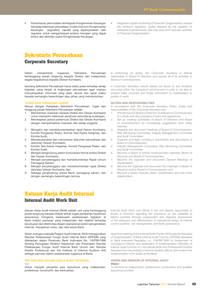- Pemantauan permodalan terintegrasi Konglomerasi Keuangan terhadap ketentuan penyediaan modal minimum Konglomerasi Keuangan (*regulatory capital*) yang dipersyaratkan oleh regulator untuk mengantisipasi potensi kerugian yang dapat timbul dari aktivitas usaha Konglomerasi Keuangan.
	-

# **Sekretaris Perusahaan**

# **Corporate Secretary**

Dalam menjalankan tugasnya, Sekretaris Perusahaan bertanggung jawab langsung kepada Direksi dan melaporkan segala kegiatannya kepada Dewan Komisaris.

Seorang Sekretaris Perusahaan harus selalu peka terhadap setiap kejadian yang terjadi di lingkungan perusahaan agar mampu menyampaikan informasi yang jelas, akurat dan tepat waktu kepada pemangku kepentingan atau pihak yang membutuhkan.

#### **TUGAS DAN TANGGUNG JAWAB**

Sesuai dengan Kebijakan Sekretaris Perusahaan, tugas dan tanggung jawab Sekretaris Perusahaan adalah:<br>1 Memberikan masukan kepada Direksi dan

- 1. Memberikan masukan kepada Direksi dan Dewan Komisaris untuk mematuhi ketentuan peraturan perundang-undangan;
- 2. Menetapkan jadwal pertemuan Direksi dan Dewan Komisaris dengan memperhatikan masukan dari setiap anggota;
- 3. Mengatur dan mendokumentasikan rapat Dewan Komisaris, Komite Pengawas Risiko, Komite Tata Kelola Integritas, dan Komite Audit;
- 4. Menatausahakan dan menyimpan dokumen perusahaan dan dokumen Dewan Komisaris;
- 5. Komite Tata Kelola Integritas, Komite Pengawas Risiko, dan Komite Audit;
- 6. Menjadi penghubung dalam komunikasi formal antara Direksi dan Dewan Komisaris;
- 7. Menjadi penyelenggara dan mendokumentasi Rapat Umum Pemegang Saham;
- 8. Menjadi penyelenggara dan mendokumentasi rapat Direksi dan/atau Dewan Komisaris; dan
- 9. Sebagai penghubung antara Bank, pemegang saham, dan dengan pemangku kepentingan lainnya.

# **Satuan Kerja Audit Internal**

## **Internal Audit Work Unit**

Satuan Kerja Audit Internal (SKAI) adalah unit yang bertanggung jawab langsung kepada Direksi terkait tugas pemberian keyakinan (*assurance*) mengenai kesesuaian pelaksanaan kegiatan di Bank melalui penilaian yang independen dan objektif terhadap kecukupan dan efektivitas desain operasional sistem pengendalian internal, manajemen risiko, dan tata kelola Bank.

Selain mengacu kepada Piagam Audit Internal, SKAI menggunakan Standar Pelaksanaan Fungsi Audit Internal Bank (SPFAIB) yang ditetapkan dalam Peraturan Bank Indonesia No. 1/6/PBI/1999 tentang Penugasan Direktur Kepatuhan dan Penerapan Standar Pelaksanaan Fungsi Audit Internal Bank Umum dan Standar Praktik Profesional dari the Institute of Internal Auditors (IIA) sebagai panutan dalam pelaksanaan tugasnya di Bank.

#### **VISI DAN MISI SATUAN KERJA AUDIT INTERNAL Visi**

Untuk menjadi penyedia jasa *assurance* yang independen, profesional, konstruktif, dan berkualitas.

 *Integrated capital monitoring of Financial Conglomeration toward the minimum regulatory capital required by the regulator to anticipate potential losses that may arise from business activities of Financial Conglomeration.*

*In performing its duties, the Corporate Secretary is directly responsible to Board of Directors and reports all of its activities to Board of Commissioners.*

*A Corporate Secretary should always be aware to any incidents occurring within the company's environment in order to be able to present clear, accurate and timely information to stakeholders or parties in need.*

#### *DUTIES AND RESPONSIBILITIES*

*In accordance with the Corporate Secretary Policy, duties and responsibilities of the Corporate Secretary are:*

- *1. Provide input to Board of Directors and Board of Commissioners to comply with the provisions of laws and regulations;*
- *2. Set up meeting schedules of Board of Directors and Board of Commissioners by considering suggestions from every member;*
- *3. Organize and document meetings of Board of Commissioners, Risk Monitoring Committee, Integrity Management Committee and Audit Committee;*
- *4. Organize and keep company's documents and documents of Board of Commissioners;*
- *5. Integrity Management Committee, Risk Monitoring Committee and Audit Committee;*
- *6. Become a liaison in formal communication between Board of Directors and Board of Commissioners;*
- *7. Become the organizer and document General Meetings of Shareholders;*
- *8. Become the organizer and document the meetings of Board of Directors and/or Board of Commissioners; and*
- *9. Become a liasion between Bank, shareholders and with other stakeholders.*

*Internal Audit Work Unit (SKAI) is the unit directly responsible to Board of Directors regarding the assurance on the suitability of Bank's activities through independent and objective assessment of the adequacy and effectiveness of operational design of internal control systems, risk management, and Bank governance.*

*Apart from referring to the Internal Audit Charter, SKAI uses the Standard of Implementation of Bank Internal Audit Function (SPFAIB) stipulated in Bank Indonesia Regulation no. 1/6/PBI/1999 on Assignment of Compliance Director and Application of Implementation Standard of Internal Audit Function of Commercial Bank and Professional Practice Standard from the Institute of Internal Auditors (IIA) as role model in the implementation of its duties at the Bank.*

#### *VISION AND MISSION OF INTERNAL AUDIT Vision*

*To become an independent, professional, constructive, and qualified assurance provider.*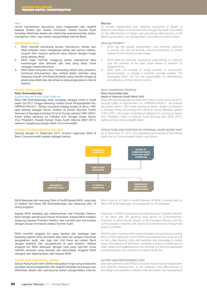#### **Misi**

Untuk memberikan *assurance* yang independen dan objektif kepada Direksi dan Dewan Komisaris melalui Komite Audit terhadap efektivitas desain dan efektivitas operasional tata kelola, manajemen risiko, dan sistem pengendalian internal Bank.

#### **WEWENANG SKAI**

- 1. SKAI memiliki wewenang secara menyeluruh, bebas, dan tidak terbatas untuk mengakses setiap dan semua catatan, properti fisik maupun personel yang relevan dengan fungsi yang sedang dikaji.
- 2. SKAI tidak memiliki tanggung jawab operasional atau kewenangan atas aktivitas dari area yang dikaji untuk menjaga independensinya.
- 3. SKAI tidak menyusun atau memasang sistem atau prosedur, membuat dokumentasi, atau terlibat dalam aktivitas yang biasanya diaudit; Unit Kerja terkaitlah yang memiliki tanggung jawab atas efektivitas dan efisiensi atas pengendalian internal mereka.

#### **PROFIL KEPALA SKAI**

#### **Reza Soemadipradja**

#### **Kepala Satuan Kerja Audit Internal**

Reza HM Soemadipradja telah menjabat sebagai *Chief of Audit* sejak Juli 2011 hingga sekarang melalui Surat Pengangkatan No. HRPA/8/194/2011. Beliau memasuki bidang auditor di tahun 1997 saat bekerja sebagai Senior Auditor di Kantor Akuntan Publik Sarwoko & Sandjaja (*member* Ernst & Young) Jakarta (1997-2001). Karier beliau berlanjut ke Citibank N.A. dengan posisi Senior Vice President, Kepala Satuan Kerja Audit Internal (2001-2011) sebelum bergabung dengan Bank Commonwealth.

#### **STRUKTUR DAN KEDUDUKAN SKAI**

Sampai dengan 31 Desember 2017, struktur organisasi SKAI di Bank Commonwealth adalah sebagai berikut:

#### *Mission*

*To provide independent and objective assurance to Board of Directors and Board of Commissioners through the Audit Committee on the effectiveness of design and operational effectiveness of the Bank's governance, risk management, and internal control system.*

#### *SKAI AUTHORITY*

- *1. SKAI has the overall, independent, and unlimited authority to access any and all records, physical properties or private relevant to the function under review.*
- *2. SKAI shall not have any operational responsibility or authority over the activities of the area under review to maintain its independence.*
- *3. SKAI does not compile or install systems or procedures, documentation, or engage in activities normally audited; The associated Work Unit has the responsibility for effectiveness and efficiency of their internal control.*

#### *SKAI CHAIRMAN PROFILE Reza Soemadipradja*

#### *Head of Internal Audit Work Unit*

*Reza HM Soemadipradja has been the Chief of Audit since July 2011 through Letter of Appointment no. HRPA/8/194/2011. He entered the auditor field in 1997 while working as Senior Auditor at Sarwoko & Sandjaja Public Accounting Firm (Ernst & Young Member) Jakarta (1997-2001). His career continued at Citibank N.A. serving as Senior Vice President, Head of Internal Audit Working Unit (2001-2011) before joining Commonwealth Bank.*

#### *STRUCTURE AND POSITION OF Internal Audit Work Unit As of December 31, 2017, the organizational structure of the Internal*

*Audit Unit at Commonwealth Bank is as follows:*



SKAI dikepalai oleh seorang Chief of Audit/Kepala SKAI, yang saat ini dijabat oleh Reza HM Soemadipradja, dan didukung oleh 19 orang anggota.

Kepala SKAI diangkat dan diberhentikan oleh Presiden Direktur Bank dengan persetujuan Dewan Komisaris. Kepala SKAI melapor langsung kepada Presiden Direktur dan memiliki jalur komunikasi dengan Dewan Komisaris melalui Komite Audit.

SKAI memiliki anggota tim yang berasal dari berbagai latar belakang seperti firma akuntansi atau bank lain dengan mayoritas pengalaman audit, dan juga dari Unit Kerja lain dalam Bank dengan keahlian dan pengetahuan di area tertentu. Seleksi anggota tim SKAI dilakukan dengan cara yang hati-hati untuk memilih personel yang terampil dan berkualitas. Anggota SKAI diangkat dan diberhentikan oleh Kepala SKAI.

#### **TUGAS DAN TANGGUNG JAWAB**

Satuan Kerja Audit Intern (SKAI) merupakan fungsi yang melakukan penilaian secara independen dan objektif terhadap kecukupan dan efektivitas desain dan operasional sistem pengendalian internal,

*SKAI is led by a Chief of Audit/Chairman of SKAI, currently held by Reza HM Soemadipradja, and supported by 19 members.*

*Chairman of SKAI is appointed and dismissed by President Director of the Bank with the approval from Board of Commissioners. Chairman of SKAI reports directly to the President Director and has communication channels with Board of Commissioners through the Audit Committee.*

*SKAI has team members from various backgrounds such as accounting firms or other banks with most of them have experience in audit, as well as from other Banking Units with expertise and knowledge in certain areas. The selection of SKAI team members is done in a careful way to select skilled and qualified personnel. Members of SKAI are appointed and dismissed by the Chairman of Internal Audit Unit.*

#### *DUTIES AND RESPONSIBILITIES*

*Internal Audit Work Unit (SKAI) is a function that conducts independent and objective assessments on the adequacy and effectiveness of the design and operation of Bank's internal control, risk management*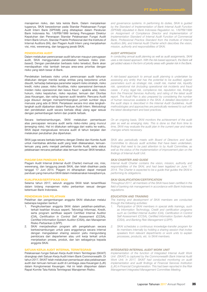manajemen risiko, dan tata kelola Bank. Dalam menjalankan tugasnya, SKAI berpedoman pada Standar Pelaksanaan Fungsi Audit Intern Bank (SPFAIB) yang ditetapkan dalam Peraturan Bank Indonesia No. 1/6/PBI/1999 tentang Penugasan Direktur Kepatuhan dan Penerapan Standar Pelaksanaan Fungsi Audit Intern Bank Umum, Standar Praktik Profesional dari the Institute of Internal Auditors (IIA), dan Piagam Audit Intern yang menjabarkan visi, misi, wewenang, dan tanggung jawab SKAI.

#### **PENDEKATAN AUDIT**

Dalam melakukan perencanaan audit tahunan maupun penugasan audit, SKAI menggunakan pendekatan berbasis risiko (*riskbased*). Dengan pendekatan berbasis risiko tersebut, Bank akan mendapatkan nilai tambah berupa area-area prioritas dengan risiko yang lebih besar di Bank.

Pendekatan berbasis risiko untuk perencanaan audit tahunan dilakukan dengan menilai setiap entitas yang berpotensi untuk diaudit, terhadap beberapa parameter seperti risiko stratejik, risiko kredit, risiko pasar, risiko likuiditas, risiko operasional (termasuk insiden risiko operasional dan kasus *fraud* – apabila ada), risiko hukum, risiko kepatuhan, risiko reputasi, temuan dari Otoritas Jasa Keuangan, dan *rating* laporan audit terakhir. Rencana Audit juga disusun dengan mempertimbangkan jumlah sumber daya manusia yang ada di SKAI. Penjelasan secara rinci atas langkahlangkah audit dijabarkan dalam Panduan Audit Intern. Metodologi dan pendekatan audit secara berkala dikaji ulang agar sesuai dengan perkembangan terkini dan praktik terbaik.

Secara berkesinambungan, SKAI melakukan pemantauan atas pencapaian rencana audit serta risiko-risiko yang muncul (*emerging risks*). Hal ini dilakukan sehingga dari waktu ke waktu, SKAI dapat mengevaluasi rencana audit di tahun berjalan dan melakukan perubahan jika diperlukan.

SKAI juga secara berkala bertemu dengan Direksi dan Komite Audit untuk membahas aktivitas audit yang telah dilaksanakan, temuantemuan yang perlu menjadi perhatian Komite Audit, serta status pelaksanaan rencana perbaikan atas temuan-temuan SKAI tersebut.

#### **PIAGAM DAN PANDUAN SKAI**

Piagam Audit Internal (*Internal Audit Charter*) memuat visi, misi, wewenang, dan tanggung jawab SKAI, dan telah disahkan pada tanggal 17 Juni 2014. Piagam ini diharapkan dapat menjadi panduan yang menuntun SKAI dalam melaksanakan kewajibannya.

#### **KUALIFIKASI/SERTIFIKASI SKAI**

Selama tahun 2017, seluruh anggota SKAI telah tersertifikasi dalam bidang manajemen risiko perbankan sesuai dengan ketentuan Bank Indonesia.

#### **PENDIDIKAN DAN PELATIHAN**

Pelatihan dan pengembangan anggota SKAI dilakukan melalui beberapa kegiatan berikut:

- 1. Pengikutsertaan anggota SKAI dalam pelatihan-pelatihan, terkait keahlian khusus seperti, Teknologi Informasi, Kredit, serta program sertifkasi seperti Certified Internal Auditor (CIA), *Certification in Control Self Assessment* (CCSA), *Certified Information System Auditor* (CISA), dan Manajemen Risiko Perbankan (LSPP).
- 2. SKAI menjadwalkan program alih pengetahuan secara berkesinambungan untuk para anggotanya secara internal dengan mengadakan *sharing session* yaitu mengundang pembicara dari departemen atau unit kerja terkait untuk menjelaskan proses, produk, dan lain sebagainya kepada anggota SKAI.

#### **SATUAN KERJA AUDIT INTERNAL TERINTEGRASI**

Pelaksanaan fungsi Satuan Kerja Audit Intern Terintegrasi (SKAIT) dirangkap oleh Satuan Kerja Audit Intern Bank Commonwealth. Di tahun 2017, SKAIT telah melakukan pemantauan atas pelaksanaan audit dan temuan-temuan audit di Lembaga Jasa Keuangan (LJK) dalam Konglomerasi Keuangan. Hal ini telah dilaporkan dalam Rapat Komite Tata Kelola Terintegrasi Manajemen Risiko.

*and governance systems. In performing its duties, SKAI is guided by the Standard of Implementation of Bank Internal Audit Function (SPFAIB) stipulated in Bank Indonesia Regulation no. 1/6/PBI/1999 on Assignment of Compliance Director and Implementation of Implementation Standard of Internal Audit Function of Commercial Bank, Professional Practice Standard from the Institute of Internal Auditors (IIA), and Internal Audit Charter which describes the vision, mission, authority and responsibilities of SKAI.* 

#### *AUDIT APPROACH*

*In conducting annual audit planning as well as audit assignments, SKAI uses a risk-based approach. With the risk-based approach, the Bank will get added values in the form of priority areas with greater risk in the Bank.*

*A risk-based approach to annual audit planning is undertaken by assessing any entity that has the potential to be audited, against parameters such as strategic risk, credit risk, market risk, liquidity risk, operational risk (including operational risk incidents and fraud cases - if any), legal risk, compliance risk, reputation risk, findings from the Financial Services Authority, and rating of the latest audit report. The Audit Plan is also prepared by considering the number of human resources available in the SKAI. A detailed description of the audit steps is described in the Internal Audit Guidelines. Audit methodologies and approaches are periodically reviewed to suit with the latest development and best practices.*

*On an ongoing basis, SKAI monitors the achievement of the audit plan as well as emerging risks. This is done so that from time to time, SKAI may evaluate the audit plan in the current year and make changes where necessary.*

*SKAI also periodically meets with Board of Directors and Audit Committee to discuss audit activities that have been undertaken, findings that need to be paid attention to by Audit Committee, as well as the status of the implementation of improvement plan on the findings of Internal Audit Unit.*

#### *SKAI CHARTER AND GUIDE*

*Internal Audit Charter contains the vision, mission, authority and responsibilities of the SKAI, and had been legalized on June 17, 2014. The Charter is expected to be a guide that guides the SKAI in performing its obligations.*

#### *SKAI QUALIFICATION/CERTIFICATION*

*Throughout 2017, all members of the SKAI have been certified in the field of banking risk management in accordance with Bank Indonesia regulations.*

#### *EDUCATION AND TRAINING*

*The training and development of SKAI members are conducted through the following activities:*

- *1. Participation of SKAI members in special skills trainings, such as Information Technology, Credit and certification programs such as Certified Internal Auditor (CIA), Certification in Control Self Assessment (CCSA), Certified Information System Auditor (CISA), and Banking Risk Management (LSPP).*
- *2. SKAI schedules a continuous knowledge-transfer program for its members internally by holding a sharing session that invites speakers from relevant departments or work units to explain processes, products, etc. to SKAI members.*

#### *INTEGRATED INTERNAL AUDIT WORK UNIT*

*Implementation of the function of Integrated Internal Audit Work Unit (SKAIT) is captured by the Commonwealth Bank Internal Audit Work Unit. In 2017, SKAIT had conducted monitoring on audit implementation and audit findings at Financial Services Institution (LJK) in Financial Conglomeration. This had been reported in the Risk Management Integrated Management Committee Meeting.*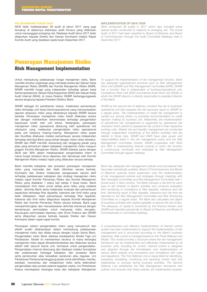#### **PELAKSANAAN TUGAS SKAI**

SKAI telah melaksanakan 39 audit di tahun 2017 yang juga tercakup di dalamnya beberapa audit khusus yang dilakukan untuk menanggapi *emerging risk*. Realisasi Audit tahun 2017 telah dilaporkan kepada Direksi dan Dewan Komisaris melalui Rapat Komite Audit yang diadakan pada bulan Desember 2017.

#### *IMPLEMENTATION OF SKAI TASK*

*SKAI conducted 39 audits in 2017 which also included some special audits conducted to respond to emerging risk. The actual Audit of 2017 had been reported to Board of Directors and Board of Commissioners through the Audit Committee Meetings held in December 2017.*

# **Penerapan Manajemen Risiko**

# **Risk Management Implementation**

Untuk mendukung pelaksanaan fungsi manajemen risiko, Bank memiliki struktur organisasi yang memadai antara lain Satuan Kerja Manajemen Risiko (SKMR) dan Komite Manajemen Risiko (KMR). SKMR memiliki fungsi yang independen terhadap satuan kerja bisnis/operasional, Satuan Kerja Kepatuhan (SKK) dan Satuan Kerja Audit Internal (SKAI), di mana Direktur SKMR bertanggungjawab secara langsung kepada Presiden Direktur Bank.

SKMR sebagai lini pertahanan kedua, melakukan pemantauan risiko terhadap unit kerja bisnis/operasional yang menyampaikan laporan eksposur risiko yang dikelolanya kepada SKMR secara berkala. Penerapan manajemen risiko kredit dilakukan antara lain dengan memberikan rekomendasi terhadap pengambilan keputusan kredit oleh unit bisnis. Sedangkan, penerapan manajemen risiko operasional didukung oleh *operational risk champion* yang melakukan pengendalian risiko operasional pada unit kerjanya masing-masing. Manajemen risiko pasar dan likuiditas dilakukan melalui pemantauan secara independen terhadap aktivitas Bank yang terkait dengan risiko-risiko tersebut. SKMR dan KMR memiliki wewenang dan tanggung jawab yang jelas yang tercantum dalam kebijakan manajemen risiko maupun piagam Komite Manajemen Risiko. SKMR bekerja sama dengan SKAI dan SKK dalam melaksanakan pengendalian intern di mana fungsi tersebut terus dipantau dan dievaluasi oleh Komite Manajemen Risiko melalui rapat yang dilakukan secara berkala.

Bank memiliki kebijakan dan prosedur penerapan manajemen risiko yang memadai dan telah dikinikan secara berkala. Komisaris dan Direksi melakukan pengawasan secara aktif terhadap pelaksanaan kebijakan dan strategi manajemen risiko melalui rapat Komite Pemantau Risiko dan Komite Manajemen Risiko yang diadakan 1 (satu) kali setiap 2 (dua) bulan. Bank menetapkan limit risiko untuk setiap jenis risiko yang melekat dalam aktivitas Bank serta melakukan evaluasi dan pemantauan kepatuhan terhadap *Risk Appetite*, toleransi dan limit risiko yang telah ditetapkan. Hasil pemantauan terhadap *Risk Appetite*, toleransi dan limit risiko dilaporkan kepada Komite Manajemen Risiko dan Komite Pemantau Risiko secara berkala. Bank juga memperhitungkan dan menyelaraskan aktivitas bisnisnya dengan kemampuan permodalan untuk menyerap risiko kerugian. Kecukupan permodalan dipantau oleh Divisi *Finance* dan SKMR serta dilaporkan secara berkala kepada Direksi dan Dewan Komisaris dalam rapat-rapat komite.

Penerapan sistem pengendalian intern yang menyeluruh dan efektif sudah dilaksanakan dalam mendukung pelaksanaan manajemen risiko dan ditata sesuai dengan tujuan bisnis Bank. Pengendalian risiko Bank dikelola berdasarkan Model Tiga Lini Pertahanan. Model ini memberikan struktur di mana kerangka manajemen risiko dapat diimplementasikan dan dilakukan secara efektif oleh seluruh bisnis unit, termasuk untuk pengendalian. Pengendalian internal dirancang dan diadopsi melalui formalisasi dan pelaksanaan berbagai kebijakan dan prosedur Bank serta pemenuhan atas kewajiban peraturan atau regulasi. Lini Pertahanan Pertama bertanggung jawab untuk identifikasi, menilai, eskalasi, memantau dan melaporkan risiko serta kelemahan pengendalian atau proses selama kegiatan usaha. Lini Pertahanan Kedua menetapkan kerangka kerja dan kebijakan Manajemen

*To support the implementation of risk management function, Bank has adequate organizational structure such as Risk Management Work Unit (SKMR) and Risk Management Committee (KMR). SKMR has a function that is independent of business/operational unit, Compliance Work Unit (SKK) and Internal Audit Work Unit (SKAI), in which the SKMR director is directly responsible to president director of the Bank.*

*SKMR as the second line of defense, monitors the risk to business/ operational unit that prepares the risk exposure report to SKMR on a regular basis. The implementation of credit risk management is carried out, among others, by providing recommendation on credit decision making by business unit. Meanwhile, the implementation of operational risk management is supported by operational risk champion which performs operational risk control in their respective working units. Market risk and liquidity management are conducted through independent monitoring of the Bank's activities that are related to those risks. SKMR and KMR have clear power and responsibilities listed in the risk management policy and the Risk Management Committee Charter. SKMR cooperates with SKAI and SKK in implementing internal controls in which the function is continuously monitored and evaluated by Risk Management Committee through regular meetings.*

*Bank has adequate risk management policies and procedures that have been periodically updated. Board of Commissioners and Board of Directors exercise active supervision over the implementation of risk management policies and strategies through meetings with Risk Oversight Committee and Risk Management Committee held 1 (once) every 2 (two) months. The Bank imposes a risk limit for each type of risk inherent to Bank's activities and conducts evaluation and monitoring of compliance to Risk Appetite, tolerance and risk limit. Monitoring result of Risk Appetite, tolerance and risk limit are reported to the Risk Management Committee and Risk Monitoring Committee on a regular basis. The Bank also calculates and aligns its business activities with capital capability to absorb the risk of loss. The adequacy of capital is monitored by the Finance Division and*  **SKMR** and reported periodically to Board of Directors and Board of *Commissioners in committee meetings.*

*A comprehensive and effective implementation of internal control system has been implemented to support the implementation of risk management and is structured according to the Bank's business objectives. Risk control is managed based on the Three Defense Line Model. This model provides a structure where the risk management*  framework can be implemented and effectively implemented by all *business units, including for control. Internal control is designed and adopted through the formalization and implementation of various Bank policies and procedures and compliance with rules and regulations. The First Defense Line is responsible for identifying, assessing, escalating, monitoring and reporting control risks and weaknesses or process during business activities. The Second Defense Line establishes the Risk Management framework and policies and ensures that these policies are implemented properly.*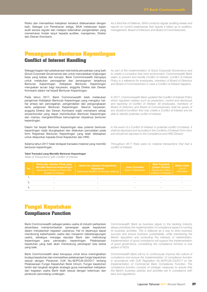Risiko dan memastikan kebijakan tersebut dilaksanakan dengan baik. Sebagai Lini Pertahanan ketiga, SKAI melakukan kajian audit secara reguler dan melapor kelemahan pengendalian yang memerlukan tindak lanjut kepada *auditee*, manajemen, Direksi dan Dewan Komisaris.

*As a third line of Defense, SKAI conducts regular auditing review and reports on control weaknesses that require a follow-up to auditors, management, Board of Directors and Board of Commissioners.*

# **Penanganan Benturan Kepentingan**

# **Conflict of Interest Handling**

Sebagai bagian dari pelaksanaan tata kelola perusahaan yang baik (*Good Corporate Governance*) dan untuk menciptakan lingkungan kerja yang bebas dari korupsi, Bank Commonwealth berupaya untuk melakukan pencegahan dan penanganan terjadinya Benturan Kepentingan. Kebijakan Benturan Kepentingan merupakan acuan bagi karyawan, anggota Direksi dan Dewan Komisaris dalam hal terjadi Benturan Kepentingan.

Pada tahun 2017, Bank Commonwealth telah melakukan pengkinian Kebijakan Benturan Kepentingan yang mengatur halhal antara lain pencegahan, pengendalian dan pengungkapan serta pelaporan Benturan Kepentingan. Seluruh karyawan, anggota Direksi dan Dewan Komisaris wajib memahami setiap situasi/kondisi yang dapat menimbulkan Benturan Kepentingan dan mampu mengidentifikasi kemungkinan terjadinya benturan kepentingan.

Dalam hal terjadi Benturan Kepentingan atau potensi benturan kepentingan wajib diungkapkan dan dilakukan pencatatan pada form Registrasi Benturan Kepentingan yang telah ditetapkan untuk dilaporkan kepada Divisi Kepatuhan dan HRD.

Selama tahun 2017 tidak terdapat transaksi material yang memiliki benturan kepentingan.

#### **Tabel Transaksi yang Memiliki Benturan Kepentingan**

*Table of Transactions with Conflict of Interest*

*As part of the implementation of Good Corporate Governance and to create a corruption-free work environment, Commonwealth Bank seeks to prevent and handle Conflict of Interest. Conflict of Interest Policy is a reference for employees, members of Board of Directors and Board of Commissioners in case a Conflict of Interest happens.*

*In 2017, Commonwealth Bank updated the Conflict of Interest Policy which regulates matters such as prevention, control and disclosure and reporting of Conflict of Interest. All employees, members of Board of Directors and Board of Commissioners shall be aware of any situation/condition that may create a Conflict of Interest and be able to identify potential conflict of interest.*

*In the event of a Conflict of Interest or potential conflict of interest, it shall be disclosed and recorded in the Conflicts of Interest Form form and should be reported to the Compliance and HRD Division.*

*Throughout 2017 there were no material transactions that had a conflict of interest.*

| No. | Nama dan Jabatan Pihak yang<br>Memiliki Benturan Kepentingan<br>Name and Position of Party with<br><b>Conflict of Interest</b> | Nama dan Jabatan Pengambilan<br>Keputusan<br>Name and Position of Decision Making | Jenis Transaksi<br><b>Type of Transaction</b> | Nilai Transaksi<br>(iutaan Rupiah)<br><b>Transaction Value</b><br>(millions of Rupiah) | Daftar Hadir<br>List of<br>Attendees |
|-----|--------------------------------------------------------------------------------------------------------------------------------|-----------------------------------------------------------------------------------|-----------------------------------------------|----------------------------------------------------------------------------------------|--------------------------------------|
|     |                                                                                                                                |                                                                                   |                                               |                                                                                        |                                      |
|     |                                                                                                                                |                                                                                   |                                               |                                                                                        |                                      |
|     |                                                                                                                                |                                                                                   |                                               |                                                                                        |                                      |

# **Fungsi Kepatuhan**

## **Compliance Function**

Bank Commonwealth sebagai pelaku usaha di industri perbankan senantiasa memprioritaskan penerapan aspek kepatuhan dalam menjalankan kegiatan usahanya. Hal ini dipercaya dapat mendorong keberhasilan usaha dan menjamin keberlangsungan usaha, sekaligus menjaga reputasi Bank dan melindungi kepentingan para pemangku kepentingan. Pelaksanaan kepatuhan yang baik akan mendukung penerapan tata kelola yang baik.

Bank Commonwealth akan berupaya untuk terus meningkatkan budaya kepatuhan dan memastikan pelaksanaan fungsi kepatuhan sesuai dengan Peraturan OJK No.46/POJK.03/2017 tentang Pelaksanaan Fungsi Kepatuhan Bank Umum. Fungsi kepatuhan terdiri dari langkah-langkah strategis guna memastikan kebijakan dan kegiatan usaha Bank telah sesuai dengan ketentuan dan peraturan perundang-undangan.

*Commonwealth Bank as business player in the banking industry always prioritizes the implementation of compliance aspect in running its business activities. This is believed as a way to drive business success and ensure business sustainability, while maintaining the Bank's reputation and protecting the interests of stakeholders. Implementation of good compliance will support the implementation of good governance, considering the compliance function is one aspect of GCG.*

*Commonwealth Bank will try to continuously improve the culture of compliance and ensure the implementation of compliance function in accordance with OJK Regulation No.46/POJK.03/2017 on the Implementation of Commercial Bank Compliance Function. The compliance function consists of strategic measures to ensure that the Bank's business policies and activities are in compliance with laws and regulations.*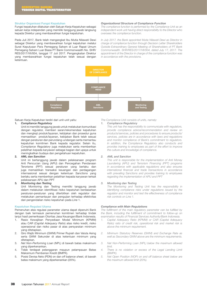#### **Struktur Organisasi Fungsi Kepatuhan**

Fungsi kepatuhan dilakukan oleh Satuan Kerja Kepatuhan sebagai satuan kerja independen yang memiliki tanggung jawab langsung kepada Direktur yang membawahkan fungsi kepatuhan.

Pada Juli 2017, Bank telah mengangkat Ibu Mutia Nilawati Dewi sebagai Direktur yang membawahkan fungsi kepatuhan melalui Surat Keputusan Para Pemegang Saham di Luar Rapat Umum Pemegang Saham Luar Biasa PT Bank Commonwealth No. SHR/ RES/2017/VII/004, tanggal 17 Juli 2017. Pengangkatan Direktur yang membawahkan fungsi kepatuhan telah sesuai dengan ketentuan.

#### *Organizational Structure of Compliance Function*

*The compliance function is performed by the Compliance Unit as an independent work unit having direct responsibility to the Director who oversees the compliance function.*

*In July 2017, the Bank appointed Mutia Nilawati Dewi as Director in charge of compliance function through Decision Letter Shareholders Outside Extraordinary General Meeting of Shareholders of PT Bank Commonwealth. SHR/RES/2017/VII/004, dated July 17, 2017. The appointment of the Director in charge of the compliance function was in accordance with the provisions.*



Satuan Kerja Kepatuhan terdiri dari unit-unit yaitu:

#### **1.** *Compliance Regulatory*

Unit ini memiliki tanggung jawab untuk melakukan komunikasi dengan regulator, memberi saran/rekomendasi kepatuhan dan mengkaji produk/layanan, kebijakan dan prosedur guna memastikan produk/layanan, kebijakan Bank telah sesuai dengan peraturan dan perundang-undangan serta memantau kepatuhan komitmen Bank kepada regulator. Selain itu, *Compliance Regulatory* juga melakukan serta memberikan pelatihan kepada karyawan sebagai bagian dari upaya untuk meningkatkan budaya dan pengetahuan kepatuhan.

#### **2. AML dan** *Sanction*

Unit ini bertanggung jawab dalam pelaksanaan program Anti Pencucian Uang (APU) dan Pencegahan Pendanaan Terorisme (PPT) sesuai peraturan yang berlaku dan juga memastikan transaksi keuangan dan perdagangan internasional sesuai dengan ketentuan *Sanctions* yang berlaku serta memberikan pelatihan kepada karyawan terkait pelaksanaan APU dan PPT

#### **3***. Monitoring* **dan** *Testing*

Unit Monitoring dan Testing memiliki tanggung jawab dalam melakukan identifikasi risiko kepatuhan berdasarkan peraturan-peraturan yang diterbitkan oleh regulator dan melakukan pemantauan dan pengujian terhadap efektivitas dari pengendalian risiko kepatuhan pada *Line* 1.

#### **Kepatuhan Regulasi Utama**

Pemenuhan atas regulasi parameter utama dapat dipenuhi Bank dengan baik termasuk pemenuhan komitmen terhadap tindak lanjut hasil pemeriksaan Otoritas Jasa Keuangan/Bank Indonesia.

- 1. Rasio Kewajiban Penyediaan Modal Minimum (KPMM) atau CAR (*Capital Adequacy Ratio*) atas risiko kredit, risiko operasional dan risiko pasar di atas persyaratan minimum yang ditetapkan.
- 2. Giro Wajib Minimum (GWM) Primer Rupiah dan Valuta Asing serta GWM Sekunder di atas ketentuan minimum yang ditetapkan.
- 3. *Net Non-Performing Loan* (NPL) di bawah batas maksimum yang diperkenankan.
- 4. Tidak terdapat pelanggaran maupun pelampauan Batas Maksimum Pemberian Kredit (BMPK).
- 5. Posisi Devisa Neto (PDN) on dan *off balance sheet*, di bawah batas maksimum yang diperkenankan (20%).

#### *The Compliance Unit consists of units, namely:*

#### *1. Compliance Regulatory*

*This unit has the responsibility to communicate with regulators, provide compliance advice/recommendation and review on products/services, policies and procedures to ensure products/ services, policies are in accordance with laws and regulations and monitor compliance of Bank's commitment to regulators. In addition, the Compliance Regulatory also conducts and provides training to employees as part of the effort to improve the culture and knowledge of compliance.*

#### *2. AML and Sanction*

*This unit is responsible for the implementation of Anti Money Laundering (APU) and Terrorism Financing (PPT) programs in accordance with applicable regulations and also ensures international financial and trade transactions in accordance with prevailing Sanctions and provides training to employees regarding the implementation of APU and PPT*

#### *3. Monitoring dan Testing*

*The Monitoring and Testing Unit has the responsibility in identifying compliance risks under regulations issued by the regulator and monitor and test the effectiveness of compliance risk controls on Line 1.* 

#### *Compliance with Main Regulations*

*The fulfillment of the main regulatory parameter can be fulfilled by the Bank, including the fulfillment of commitment to follow-up on examination results of Financial Services Authority/Bank Indonesia.* 

- *1. Capital Adequacy Ratio (KPMM) or CAR (Capital Adequacy Ratio) ratio of credit risk, operational risk and market risk is above the minimum requirement.*
- *2. Minimum Statutory Reserves (GWM) and Exchange Rate as well as Secondary GWM above are the minimum requirements.*
- *3. Net Non-Performing Loan (NPL) below the maximum allowed limit.*
- *4. There is no violation or excess of the Legal Lending Limit (BMPK).*
- *5. Net Open Position (NOP) on and off balance sheet below are the maximum allowed limit (20%).*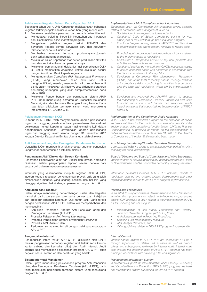#### **Pelaksanaan Kegiatan Satuan Kerja Kepatuhan 2017**

Sepanjang tahun 2017, Unit Kepatuhan melaksanakan beberapa kegiatan terkait pengelolaan risiko kepatuhan, yang mencakup:<br>1. Melakukan sosialisasi peraturan baru kepada unit-unit terka

- 1. Melakukan sosialisasi peraturan baru kepada unit-unit terkait. 2. Mengadakan pelatihan Kode Etik Kepatuhan bagi karyawan baru Bank melalui *basic induction program*.
- 3. Mengadakan pelatihan reguler terkait APU/PPT dan *Sanctions* kepada semua karyawan baru dan *regulatory refresher* kepada unit-unit terkait.
- 4. Memberikan masukan terhadap produk/layanan/proyek bank terkait penerapan regulasi.
- 5. Melakukan kajian Kepatuhan atas setiap produk dan aktivitas baru dan kebijakan baru dan perubahannya.
- 6. Melakukan pemantauan tindak lanjut hasil pemeriksaan OJK/ BI, untuk memastikan *corrective action* dilakukan sesuai dengan komitmen Bank kepada regulator.
- 7. Mengembangkan *Compliace Risk Management Framework* (CRMF) yang merupakan salah satu *tools* untuk mengidentifikasi, menilai, mengelola risiko kepatuhan unit bisnis dalam melakukan aktivitasnya sesuai dengan peraturan perundang-undangan, yang akan diimplementasikan pada tahun 2018.
- 8. Melakukan Pengembangan dan peningkatan sistem APU/ PPT untuk mendukung pemantauan Transaksi Keuangan Mencurigakan dan Transaksi Keuangan Tunai, Transfer Dana juga telah dilakukan termasuk sistem yang mendukung implementasi FATCA dan CRS.

#### **Pelaksanaan Kegiatan SKKT**

Di tahun 2017, SKKT telah menyampaikan laporan pelaksanaan tugas dan tanggung jawab atas hasil pemantauan dan evaluasi pelaksanaan fungsi kepatuhan pada masing-masing LJK dalam Konglomerasi Keuangan. Penyampaian laporan pelaksanaan tugas dan tanggung jawab sampai dengan 31 Desember 2017 kepada Direktur Kepatuhan Entitas Utama juga telah dilakukan.

#### **Anti Pencucian Uang dan Pencegahan Pendanaan Terorisme**

Upaya Bank Commonwealth untuk mencegah tindakan pencucian uang/pendanaan terorisme dilakukan melalui:

#### **Pengawasan Aktif Direksi dan Dewan Komisaris**

Penerapan Pengawasan aktif dari Direksi dan Dewan Komisaris dilakukan melalui penyampaian laporan secara berkala baik secara dwi bulanan maupun secara semester.

Informasi yang disampaikan meliputi kegiatan APU & PPT, laporan kepada regulator, perkembangan proyek baik yang telah direncanakan maupun yang sedang berjalan dan hal lain yang dianggap signifikan terkait dengan penerapan program APU & PPT

#### **Kebijakan dan Prosedur**

Dalam upaya mendukung perkembangan usaha dan kegiatan transaksi bank, penyempurnaan serta penyesuaian kebijakan dan prosedur terhadap ketentuan OJK tahun 2017 yang terkait dengan pelaksanaan APU & PPT, antara lain memperbaharui dan menyesuaikan:

- Kebijakan Penerapan Program Anti Pencucian Uang dan Pencegahan Terorisme (APU-PPT);
- Prosedur Pelaporan *Anti Money Laundering*;
- Prosedur Pengelolaan Daftar Penyaringan/*Screening*;
- Prosedur AML *Analyst*; dan
- Pedoman lainnya yang terkait dengan pelaksanaan program APU & PPT

#### **Pengendalian Internal**

Pengendalian intern terkait APU & PPT dilakukan oleh Lini 1 melalui pengawasan terhadap kegiatan unit terkait serta kantorkantor cabang dan kemudian dikaji oleh Audit Internal. Audit Internal juga memastikan pelaksanaan program APU & PPT telah berjalan sesuai ketentuan dan peraturan yang berlaku.

#### **Sistem Informasi Manajemen**

Dalam upaya mendukung pelaksanaan program Anti Pencucian Uang dan Pencegahan Pendanaan Terorisme (APU & PPT), bank telah melakukan peninjauan terhadap sistem yang menunjang program APU & PPT

#### *Implementation of 2017 Compliance Work Activities*

*Throughout 2017, the Compliance Unit undertook several activities related to compliance risk management, such as:*

- *1. Socialization of new regulations to related units.*
- *2. Conducted Code of Ethics Compliance training for new employees of the Bank through basic induction program.*
- *3. Conducted regular training related to APU/PPT and Sanctions to all new employees and regulatory refresher to related units.*
- *4. Provided input on products/services/projects of banks related to the implementation of regulations.*
- *5. Conducted a Compliance Review of any new products and activities and new policies and changes.*
- *6. Conducted a follow-up monitoring of OJK/BI inspection results, to ensure corrective action was performed in accordance with the Bank's commitment to the regulator.*
- *7. Developed a Compliance Risk Management Framework (CRMF), one of the tools to identify, assess, manage business unit compliance risk in conducting its activities in accordance with the laws and regulations, which will be implemented in 2018.*
- *8. Developed and improved the APU/PPT system to support the monitoring of Suspicious Financial Transaction and Cash Financial Transaction, Fund Transfer had also been made including systems that supported the implementation of FATCA and CRS.*

#### *Implementation of the Complience Unit's Activities*

*In 2017, SKKT has submitted a report on the execution of duties and responsibilities for the monitoring and evaluation results of the implementation of the compliance function in each LJK in the Financial Conglomeration. Submission of reports on the implementation of duties and responsibilities up to December 31, 2017 to the Director of Compliance of the Main Entity has also been made.*

#### *Anti Money Laundering/Counter Terrorism Financing*

*Commonwealth Bank's efforts to prevent money laundering/terrorism financing are conducted through:*

*Board of Directors and Board of Commissioners Active Supervision Implementation of active supervision of Board of Directors and Board of Commissioners shall be conducted bi-monthly or every semester.*

*Information presented includes APU & PPT activities, reports to regulators, planned and ongoing project developments and other significant matters related to APU & PPT program implementation.*

#### *Policies and Procedures*

*In an effort to support business development and bank transaction activities, the improvement and adjustment of policies and procedures against OJK provision in 2017 related to the implementation of APU & PPT, updating and adjusting to:*

- *• Implementation of Anti Money Laundering and Counter-Terrorism Prevention Program (APU-PPT) Policy;*
- *• Anti Money Laundering Reporting Procedure;*
- *• Screening List Management Procedure;*
- *• AML Analyst Procedure; and*
- *• Other guidelines related to APU & PPT program implementation.*

#### *Internal Control*

*Internal control related to APU & PPT are conducted by Line 1 through supervision of related unit activities as well as branch offices and subsequently reviewed by Internal Audit. Internal Audit also ensures the implementation of APU & PPT program has been running in accordance with prevailing rules and regulations.*

#### *Management Information System*

*In an effort to support the implementation of Anti Money Laundering and Counter-Terrorism Prevention (APU & PPT) program, the bank has reviewed the system supporting the APU & PPT program.*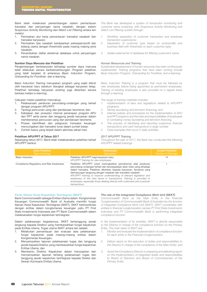Bank telah melakukan perkembangan sistem pemantauan transaksi dan penyaringan nama nasabah, dengan sistem *Suspicious Activity Monitoring* dan *Watch List Filtering* antara lain melalui:

- 1. Pemisahan alur kerja pemantauan transaksi nasabah dan transaksi karyawan;
- 2. Pemisahan tipe nasabah berdasarkan pekerjaan/profil dan bidang usaha dengan *thresholds* pada masing masing jenis nasabah;
- 3. Penambahan daftar eksternal *database* untuk penyaringan nama nasabah.

#### **Sumber Daya Manusia dan Pelatihan**

Pengembangan berkelanjutan terhadap sumber daya manusia telah dilakukan secara berkesinambungan. Program pelatihan yang telah berjalan di antaranya *Basic Induction Program, Onboarding for Frontliner*, dan *e-learning*.

*Basic Induction Training* merupakan program yang wajib diikuti oleh karyawan baru sebelum diangkat sebagai karyawan tetap. Pelatihan terhadap karyawan *existing* juga diberikan secara berkala melalui *e-learning*.

Cakupan materi pelatihan mencakup:

- 1. Pelaksanaan peraturan perundang-undangan yang terkait dengan program APU/PPT;
- 2. Tipologi pencucian uang dan pendanaan terorisme; dan 3. Kebijakan dan prosedur internal penerapan program
- 3. Kebijakan dan prosedur internal penerapan program APU dan PPT serta peran dan tanggung jawab karyawan dalam memberantas pencucian uang dan pendanaan terorisme.
- 4. Proses identifikasi dan pelaporan transaksi keuangan mencurigakan dan transaksi tunai dalam jumlah besar.
- 5. Contoh kasus yang terjadi dalam aktivitas sehari-hari.

#### **Pelatihan APU/PPT di Tahun 2017**

Sepanjang tahun 2017, Bank telah melaksanakan pelatihan terkait APU/PPT berikut:

*The Bank has developed a system of transaction monitoring and customer name screening, with Suspicious Activity Monitoring and Watch List Filtering system through:*

- *1. Workflow separation of customer transaction and employee transaction supervisions;*
- *2. Separation of customer type based on work/profile and business field with thresholds on each customer type;*
- *3. Added external list of database for filtering customer's name.*

#### *Human Resources and Training*

*Sustainable development of human resources has been continuously implemented. Training programs that have been running include Basic Induction Program, Onboarding for Frontliner, and e-learning.* 

*Basic Induction Training is a program that must be followed by new employees before being appointed as permanent employees. Training of existing employees is also provided on a regular basis through e-learning.*

*The range of training materials includes:*

- *1. Implementation of laws and regulations related to APU/PPT programs;*
- *2. Money laundering and terrorism financing; and*
- *3. Internal policies and procedures for the implementation of APU and PPT programs and the roles and responsibilities of employees in combating money laundering and terrorism financing.*
- *4. The process of identifying and reporting suspicious financial transactions and cash transactions in large number.*
- *5. Case examples that occur in daily activities.*

### *2017 APU/PPT Training*

*Throughout the year of 2017, the Bank has conducted the following APU/PPT related trainings:*

| Jenis Pelatihan<br><b>Type of training</b> | Keterangan<br><b>Description</b>                                                                                                                                                                                                                                                                                                                                                                                                                                                                                          | Jumlah Pelatihan<br><b>Number of Trainings</b> |
|--------------------------------------------|---------------------------------------------------------------------------------------------------------------------------------------------------------------------------------------------------------------------------------------------------------------------------------------------------------------------------------------------------------------------------------------------------------------------------------------------------------------------------------------------------------------------------|------------------------------------------------|
| <b>Basic Induction</b>                     | Pelatihan APU/PPT bagi karyawan baru.<br>APU/PPT Training for new employees.                                                                                                                                                                                                                                                                                                                                                                                                                                              | 14                                             |
| Compliance Regulatory and Risk Awareness   | Pelatihan APU/PPT untuk meningkatkan pemahaman atas peraturan<br>perundang-undangan terkait dan kewaspadaan akan risiko yang dihadapi<br>dalam transaksi. Pelatihan diberikan kepada karyawan, terutama yang<br>berhubungan langsung dengan nasabah dan transaksi nasabah.<br>APU/PPT training to improve understanding of relevant legislation and<br>awareness of the risks faced in transactions. Training is provided to<br>employees, especially those dealing directly with customers and customer<br>transactions. |                                                |

#### **Peran Satuan Kerja Kepatuhan Terintegrasi (SKKT)**

Bank Commonwealth sebagai Entitas Utama dalam Konglomerasi Keuangan Commonwealth Bank of Australia memiliki fungsi Satuan Kerja Kepatuhan Terintegrasi (SKKT). SKKT berkoordinasi dengan entitas dalam konglomerasi keuangan yaitu PT First State Investments Indonesia dan PT Bank Commonwealth dalam melaksanakan fungsi kepatuhan terintegrasi.

Dalam pelaksanaan kegiatannya, SKKT bertanggung jawab langsung kepada Direktur yang membawahkan fungsi kepatuhan pada Entitas Utama. Tugas utama SKKT antara lain adalah:

- 1. Melakukan pemantauan dan evaluasi atas pelaksanaan fungsi kepatuhan pada masing-masing entitas dalam Konglomerasi Keuangan;
- 2. Menyampaikan laporan pelaksanaan tugas dan tanggung jawab kepada Direktur yang membawahkan fungsi kepatuhan Entitas Utama; dan
- 3. Membantu Direktur Kepatuhan dalam menyiapkan dan menyampaikan laporan tentang pelaksanaan tugas dan tanggung jawab kepatuhan terintegrasi kepada Direksi dan Dewan Komisaris Entitas Utama.

#### *The role of the Integrated Compliance Work Unit (SKKT)*

*Commonwealth Bank as the Main Entity in the Financial Conglomeration of Commonwealth Bank of Australia has the function of Integrated Compliance Work Unit (SKKT). SKKT coordinates with entities in financial conglomeration namely PT First State Investments Indonesia and PT Commonwealth Bank in performing integrated compliance function.*

*In the implementation of its activities, SKKT is directly responsible to the Director in charge of the compliance function on the Primary Entity. The main tasks of SKKT are:*

- *1. Monitor and evaluate the implementation of compliance function for each entity in the Financial Conglomeration;*
- *2. Deliver report on the execution of duties and responsibilities to the Director in charge of the compliance of the Main Entity; and*
- *3. Assist the Compliance Director in preparing and delivering report on the implementation of integrated duties and responsibilities to Board of Directors and Board of Commissioners of the Primary Entity.*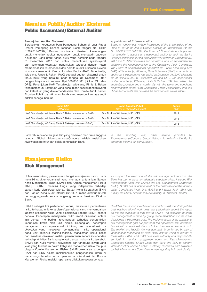# **Akuntan Publik/Auditor Eksternal**

## **Public Accountant/External Auditor**

#### **Penunjukan Auditor Eksternal**

Berdasarkan keputusan Para Pemegang Saham di Luar Rapat Umum Pemegang Saham Tahunan Bank tanggal No. SHR/ RES/2017/V/002, Dewan Komisaris diberikan kewenangan untuk menunjuk auditor independen untuk mengaudit Laporan Keuangan Bank untuk tahun buku yang berakhir pada tanggal 31 Desember 2017 dan untuk menentukan syarat-syarat dan ketentuan-ketentuan penunjukan tersebut dengan tetap memperhatikan rekomendasi dari Komite Audit Perseroan. Dewan Komisaris menunjuk Kantor Akuntan Publik (KAP) Tanudiredja, Wibisana, Rintis & Rekan (PwC) sebagai auditor eksternal untuk tahun buku yang berakhir pada tanggal 31 Desember 2017 dengan biaya audit sebesar Rp2.520.000.000 (di luar VAT dan OPE). Penunjukan KAP Tanudiredja, Wibisana, Rintis & Rekan telah memenuhi ketentuan yang berlaku dan sesuai dengan syarat dan ketentuan yang direkomendasikan oleh Komite Audit. Kantor Akuntan Publik dan Akuntan Publik yang memberikan jasa audit adalah sebagai berikut:

#### *Appointment of External Auditor*

*Based on Unanimous Written Resolutions of the Shareholders of the Bank in Lieu of the Annual General Meeting of Shareholders with the No. SHR/RES/2017/V/002, the Board of Commissioners is granted the authority to appoint an independent auditor to audit the Bank's Financial statements for the accounting year ended on December 31, 2017 and to determine terms and conditions for such appointment by observing the recommendation of the Company's Audit Committee. The Board of Commissioners appointed the Public Accounting Firm (KAP) of Tanudiredja, Wibisana, Rintis & Partners (PwC) as an external auditor for the accounting year ended on December 31, 2017 with audit fee of Rp2,520,000,000 (excluded VAT and OPE). The appointment of the Tanudiredja, Wibisana, Rintis & Partners KAP has fulfilled the applicable provision and in conformity with the terms and conditions recommended by the Audit Committee. Public Accounting Firms and Public Accountants that provided the audit services are as follows:*

| Nama KAP<br>KAP Name                                        | Nama Akuntan Publik<br>Name of Public Accountant | <b>Tahun</b><br>Year |
|-------------------------------------------------------------|--------------------------------------------------|----------------------|
| KAP Tanudiredia, Wibisana, Rintis & Rekan (a member of PwC) | Drs. M. Jusuf Wibisana, M.Ec, CPA                | 2017                 |
| KAP Tanudiredia, Wibisana, Rintis & Rekan (a member of PwC) | Drs. M. Jusuf Wibisana, M.Ec, CPA                | 2016                 |
| KAP Tanudiredja, Wibisana, Rintis & Rekan (a member of PwC) | Drs. M. Jusuf Wibisana, M.Ec, CPA                | 2015                 |

Pada tahun pelaporan, jasa lain yang diberikan oleh firma anggota jaringan Global PricewaterhouseCoopers adalah melakukan *review* atas perhitungan pajak penghasilan Bank.

*In the reporting year, other service provided by PricewaterhouseCoopers Global Network is reviewing the Bank's corporate income tax computation.*

# **Manajemen Risiko**

### **Risk Management**

Untuk mendukung pelaksanaan fungsi manajemen risiko, Bank memiliki struktur organisasi yang memadai antara lain Satuan Kerja Manajemen Risiko (SKMR) dan Komite Manajemen Risiko (KMR). SKMR memiliki fungsi yang independen terhadap satuan kerja bisnis/operasional, Satuan Kerja Kepatuhan (SKK) dan Satuan Kerja Audit Internal (SKAI), di mana direktur SKMR bertanggungjawab secara langsung kepada Presiden Direktur Bank.

SKMR sebagai lini pertahanan kedua, melakukan pemantauan risiko terhadap unit kerja bisnis/operasional yang menyampaikan laporan eksposur risiko yang dikelolanya kepada SKMR secara berkala. Penerapan manajemen risiko kredit dilakukan antara lain dengan memberikan rekomendasi terhadap pengambilan keputusan kredit oleh unit bisnis. Sedangkan, penerapan manajemen risiko operasional didukung oleh *operational risk champion* yang melakukan pengendalian risiko operasional pada unit kerjanya masing-masing. Manajemen risiko pasar dan likuiditas dilakukan melalui pemantauan secara independen terhadap aktivitas Bank yang terkait dengan risiko-risiko tersebut. SKMR dan KMR memiliki wewenang dan tanggung jawab yang jelas yang tercantum dalam kebijakan manajemen risiko maupun piagam Komite Manajemen Risiko. SKMR bekerja sama dengan SKAI dan SKK dalam melaksanakan pengendalian intern di mana fungsi tersebut terus dipantau dan dievaluasi oleh Komite Manajemen Risiko melalui rapat yang dilakukan secara berkala.

*To support the execution of the risk management function, the Bank has put in place an adequate structure which includes Risk Management Work Unit (SKMR) and Risk Management Committee (KMR). SKMR has is independent of the business/operational work*  units, Compliance Work Unit (SKK) and Internal Audit Work Unit *(SKAI); the SKMR director answers directly to President Director.*

*SKMR as the second line of defense, conducts risk monitoring of the business/operational work units that periodically submit the report on the risk exposure to their unit to SKMR. The execution of credit*  risk management is done by giving recommendation for the credit *decision by the business units. The implementation of the operational risk management gets support from the operational risk champion tasked with operational risk control at their respective work unit. The market and liquidity risk management is performed by way of independent monitoring of each Bank activity which is related to these risks. SKMR and KMR have clear authority and responsibility set forth in the risk management policy and Risk Management Committee Charter. SKMR works with SKAI and SKK to perform internal control whose function is closely monitored and evaluated by Risk Management Committee in meetings they hold periodically.*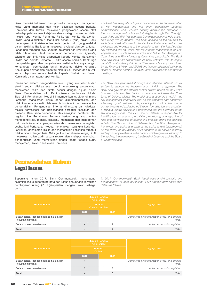Bank memiliki kebijakan dan prosedur penerapan manajemen risiko yang memadai dan telah dikinikan secara berkala. Komisaris dan Direksi melakukan pengawasan secara aktif terhadap pelaksanaan kebijakan dan strategi manajemen risiko melalui rapat Komite Pemantau Risiko dan Komite Manajemen Risiko yang diadakan 1 (satu) kali setiap 2 (dua) bulan. Bank menetapkan limit risiko untuk setiap jenis risiko yang melekat dalam aktivitas Bank serta melakukan evaluasi dan pemantauan kepatuhan terhadap *Risk Appetite*, toleransi dan limit risiko yang telah ditetapkan. Hasil pemantauan terhadap *Risk Appetite*, toleransi dan limit risiko dilaporkan kepada Komite Manajemen Risiko dan Komite Pemantau Risiko secara berkala. Bank juga memperhitungkan dan menyelaraskan aktivitas bisnisnya dengan kemampuan permodalan untuk menyerap risiko kerugian. Kecukupan permodalan dipantau oleh Divisi *Finance* dan SKMR serta dilaporkan secara berkala kepada Direksi dan Dewan Komisaris dalam rapat-rapat komite.

Penerapan sistem pengendalian intern yang menyeluruh dan efektif sudah dilaksanakan untuk mendukung pelaksanaan manajemen risiko dan ditata sesuai dengan tujuan bisnis Bank. Pengendalian risiko Bank dikelola berdasarkan Model Tiga Lini Pertahanan. Model ini memberikan struktur di mana kerangka manajemen risiko dapat diimplementasikan dan dilakukan secara efektif oleh seluruh bisnis unit, termasuk untuk pengendalian. Pengendalian internal dirancang dan diadopsi melalui formalisasi dan pelaksanaan berbagai kebijakan dan prosedur Bank serta pemenuhan atas kewajiban peraturan atau regulasi. Lini Pertahanan Pertama bertanggung jawab untuk mengidentifikasi, menilai, eskalasi, memantau dan melaporkan risiko serta kelemahan pengendalian atau proses selama kegiatan usaha. Lini Pertahanan Kedua menetapkan kerangka kerja dan kebijakan Manajemen Risiko dan memastikan kebijakan tersebut dilaksanakan dengan baik. Sebagai Lini Pertahanan ketiga, SKAI melakukan kajian audit secara reguler dan melapor kelemahan pengendalian yang memerlukan tindak lanjut kepada audit, manajemen, Direksi dan Dewan Komisaris.

*The Bank has adequate policy and procedure for the implementation of risk management and has them periodically updated. Commissioners and Directors actively monitor the execution of the risk management policy and strategies through Risk Oversight Committee and Risk Management Committee meetings held one (1) time every two (2) months. The Bank decides on the risk limit for each type of risk attached to the Bank's activities and perform the evaluation and monitoring of the compliance with the Risk Appetite, risk tolerance and risk limits. The result of the monitoring of the Risk Appetite, and risk tolerance and limits reported to Risk Management Committee and Risk Monitoring Committee periodically. The Bank also calculates and synchronizes its bank activities with its capital capability to absorb any risk of loss. The capital adequacy is monitored by the Finance Division and SKMR and is reported periodically to the Board of Directors and the Board of Commissioners in the committee meetings.*

*The Bank has performed thorough and effective internal control system to support the implementation of risk management. The Bank also governs the internal control system based on the Bank's business objective. The Bank's risk management uses the Three Lines of Defense Model. The model uses a structure in which the risk management framework can be implemented and performed effectively by all business units, including for control. The internal control is designed and adopted through formalization and execution of various Bank's policies and procedures and the fulfillment of the*  law and regulations. The First Line of Defense is responsible for *identification, assessment, escalation, monitoring and reporting of risks and the weakness of control and process during the business activity. The Second Line of Defense lays the Risk Management framework and policy and ensures the policy is well implemented. As the Third Line of Defense, SKAI performs audit analysis regularly and reports any weakness in the control which requires a follow up to the auditee, the management, the Board of Directors and the Board of Commissioners.*

# **Permasalahan Hukum**

# **Legal Issues**

Sepanjang tahun 2017, Bank Commonwealth menghadapi sejumlah kasus gugatan perdata dan kasus penundaan kewajiban pembayaran utang (PKPU)/kepailitan, dengan uraian sebagai berikut:

*In 2017, Commonwealth Bank faced several civil lawsuits and postponement of debt obligations (PKPU)/bankruptcy cases with details as follows:*

| <b>Proses Hukum</b>                                              | <b>Jumlah Perkara</b><br>No. of Cases<br>Pidana<br><b>Criminal Law Suit</b> |      | <b>Legal process</b>                                              |
|------------------------------------------------------------------|-----------------------------------------------------------------------------|------|-------------------------------------------------------------------|
|                                                                  |                                                                             | 2016 |                                                                   |
| Sudah selesai (dengan finalisasi hukum dan<br>kekuatan mengikat) |                                                                             |      | Completed (with finalization of law and binding<br><i>force</i> ) |
| Dalam proses penyelesaian                                        |                                                                             |      | In the process of completion                                      |
|                                                                  |                                                                             |      |                                                                   |

| <b>Proses Hukum</b>                                              | Jumlah Perkara<br>No. of Cases<br>Perdata<br>Civil suit |      | <b>Legal process</b>                                      |  |
|------------------------------------------------------------------|---------------------------------------------------------|------|-----------------------------------------------------------|--|
|                                                                  | 2017                                                    | 2016 |                                                           |  |
| Sudah selesai (dengan finalisasi hukum dan<br>kekuatan mengikat) |                                                         |      | Completed (with finalization of law and binding<br>force) |  |
| Dalam proses penyelesaian                                        |                                                         |      | In the process of completion                              |  |
| Total                                                            |                                                         |      | Total                                                     |  |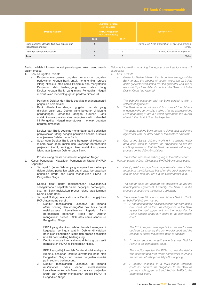| <b>Proses Hukum</b>                                              | Jumlah Perkara<br>No. of Cases<br><b>PKPU/Kepailitan</b><br><b>PKPU/Bankruptcy</b> |      | 'Leaal process                                            |  |
|------------------------------------------------------------------|------------------------------------------------------------------------------------|------|-----------------------------------------------------------|--|
|                                                                  | 2017                                                                               | 2016 |                                                           |  |
| Sudah selesai (dengan finalisasi hukum dan<br>kekuatan mengikat) |                                                                                    |      | Completed (with finalization of law and binding<br>force) |  |
| Dalam proses penyelesaian                                        |                                                                                    |      | In the process of completion                              |  |
| Total                                                            |                                                                                    |      |                                                           |  |

Berikut adalah informasi terkait persidangan hukum yang masih dalam proses:<br>1. Kasus Gu

- Kasus Gugatan Perdata
	- a. Penjamin mengajukan gugatan perdata dan gugatan perlawanan kepada Bank untuk menghentikan proses lelang eksekusi atas nama Penjamin dan menyatakan Penjamin tidak bertanggung jawab atas utang Debitur kepada Bank, yang mana Pengadilan Negeri memutuskan menolak gugatan perdata dimaksud.

Penjamin Debitur dan Bank sepakat menandatangani perjanjian perdamaian

b. Bank dihadapkan dengan gugatan perdata yang diajukan salah satu Debitur yang bergerak di bidang perdagangan komoditas dengan tuduhan Bank melakukan wanprestasi atas perjanjian kredit, dalam hal ini Pengadilan Negeri memutuskan menolak gugatan perdata dimaksud.

Debitur dan Bank sepakat menandatangani perjanjian penyelesaian utang dengan penjualan secara sukarela atas jaminan Debitur pada Bank.

c. Salah satu Debitur Bank yang bergerak di bidang air mineral telah gagal melakukan kewajiban berdasarkan perjanjian kredit, sehingga Bank melakukan proses lelang atas jaminan Debitur pada Bank.

Proses lelang masih berjalan di Pengadilan Negeri.

- 2. Kasus Penundaan Kewajiban Pembayaran Utang (PKPU)/ Kepailitan
	- a. Terdapat 1 (satu) Debitur yang menjalankan usahanya dalam bidang pertanian telah gagal bayar berdasarkan perjanjian kredit dan Bank mengajukan PKPU ke Pengadilan Niaga.

Debitur tidak dapat melaksanakan kewajibannya sebagaimana disepakati dalam perjanjian homologasi, saat ini, Bank melakukan proses lelang atas jaminan Debitur pada Bank.

- b. Terdapat 3 (tiga) kasus di mana Debitur mengajukan PKPU atas nama sendiri.
	- 1) Debitur menjalankan usahanya di bidang *offset printing* dan *corrugated box* tidak dapat melaksanakan kewajibannya kepada Bank berdasarkan perjanjian kredit dan Debitur mengajukan proses PKPU atas nama sendiri ke Pengadilan Niaga.

PKPU yang diajukan Debitur tersebut mengalami kegagalan sehingga saat ini Debitur dinyatakan pailit oleh Pengadilan Niaga dan proses penjualan *boedel* pailit sedang berlangsung.

2) Debitur menjalankan usahanya di bidang batu *split* mengajukan PKPU ke Pengadilan Niaga.

PKPU yang diajukan oleh Debitur ditolak oleh para Kreditur, sehingga Debitur dinyatakan pailit oleh Pengadilan Niaga dan proses penjualan *boedel* pailit sedang berlangsung.

3) Debitur menjalankan usahanya di bidang<br>multifinance tidak dapat melaksanakan melaksanakan kewajibannya kepada Bank berdasarkan perjanjian kredit dan Debitur mengajukan proses PKPU ke Pengadilan Niaga.

*Below is information regarding the legal proceedings for cases still in process:*

#### *1. Civil Lawsuits*

*a. Guarantor filed a civil lawsuit and counter-claim against the Bank to stop the process of auction execution on behalf of the guarantor and stated that the guarantor was free of responsibility of the debtor's debts to the Bank, which the District Court had rejected.*

*The debtor's guarantor and the Bank agreed to sign a settlement agreement*

*b. The Bank faced a civil lawsuit from one of the debtors engaged in the commodity trading with the charges of the Bank performing a tort to a credit agreement, the lawsuit of which the District Court had rejected.*

*The debtor and the Bank agreed to sign a debt settlement agreement with voluntary sales of the debtor's collateral.*

- *c. One of the Bank's debtors working in a mineral water production failed to perform the obligations as per the credit agreement so that the Bank proceeded with a legal process on the debtor's collateral.*
- *The auction process is still ongoing at the district court. 2. Postponement of Debt Obligations (PKPU)/Bankruptcy cases*
	- *a. One (1) debtor engaged in an agricultural business failed to perform the obligations based on the credit agreement and the Bank filed for PKPU to the Commercial Court.*

*The debtor could not perform the obligations as per the homologation agreement. Currently, the Bank is in the process of auctioning the debtor's collateral.*

- *b. There were three (3) cases where debtors filed for PKPU on behalf of their own names.*
	- *1) A debtor engaged in an offset printing and corrugated box could not perform the obligations to the Bank as per the credit agreement, and the debtor filed for PKPU process under own name to the commercial court.*

*The PKPU request was rejected as the debtor was declared bankrupt by the commercial court and the process of selling the boedel pailit is ongoing.*

*2) A debtor engaged in split stone business filed for PKPU to the commercial court.*

*The creditor rejected the PKPU so that the debtor was declared bankrupt by the commercial court and the process of selling boedel pailit is ongoing.*

*3) A debtor engaged in a multi-finance business could not perform the obligations to the Bank as per the credit agreement and filed for PKPU to the commercial court.*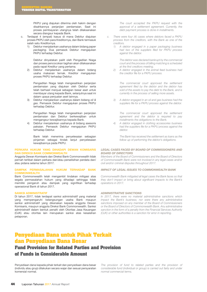PKPU yang diajukan diterima oleh hakim dengan disahkannya perjanjian perdamaian. Saat ini proses pembayaran utangnya telah dilaksanakan secara diangsur kepada Bank.

- c. Terdapat 4 (empat) kasus di mana Debitur diajukan proses PKPU oleh para Kreditornya, dan Bank termasuk salah satu Kreditornya.
	- 1) Debitur menjalankan usahanya dalam bidang *paper packaging*. Dua pemasok Debitur mengajukan PKPU terhadap Debitur.

Debitur dinyatakan pailit oleh Pengadilan Niaga dan proses pencocokan tagihan akan dilaksanakan pada rapat Kreditur yang pertama.

2) Debitur menjalankan usahanya dalam bidang usaha makanan ternak. Kreditor mengajukan proses PKPU terhadap Debitur.

Pengadilan Niaga telah mengesahkan perjanjian perdamaian yang diajukan oleh Debitur serta telah berhasil menjual sebagian besar aset untuk membayar utang kepada Bank, selanjutnya saat ini dalam upaya penjualan aset lainnya.

3) Debitur menjalankan usahanya dalam bidang *oil & gas*. Pemasok Debitur mengajukan proses PKPU terhadap Debitur.

Pengadilan Niaga telah mengesahkan perjanjian perdamaian dan Debitur berkewajiban untuk mengangsur kewajibannya kepada Bank.

4) Debitur menjalankan usahanya di bidang asesoris pakaian. Pemasok Debitur mengajukan PKPU terhadap Debitur.

Bank telah menerima penyelesaian sebagian pinjaman sebagai tindak lanjut penyelesaian kewajibannya pada PKPU.

#### **PERKARA HUKUM YANG DIHADAPI DEWAN KOMISARIS DAN DIREKSI Bank Commonwealth**

Anggota Dewan Komisaris dan Direksi Bank Commonwealth tidak pernah terlibat dalam perkara dan/atau perselisihan perdata dan/ atau pidana selama tahun 2017.

#### **DAMPAK PERMASALAHAN HUKUM TERHADAP Bank Commonwealth**

Bank Commonwealth telah mengambil tindakan mitigasi atas segala permasalahan hukum yang dihadapi sehingga tidak memiliki pengaruh atau dampak yang signifikan terhadap operasional Bank di tahun 2017.

#### **SANKSI ADMINISTRATIF**

Di tahun 2017, tidak terdapat sanksi administratif yang material yang mempengaruhi kelangsungan usaha Bank maupun sanksi administratif yang dikenakan kepada anggota Dewan Komisaris, maupun anggota Direksi Bank Commonwealth. Sanksi administratif dalam bentuk penalti oleh Otoritas Jasa Keuangan (OJK) atau otoritas lain merupakan sanksi atas kesalahan pelaporan.

*The court accepted the PKPU request with the approval of a settlement agreement. Currently, the debt payment process is done in installments.*

- *c. There were four (4) cases where debtors faced a PKPU process from the creditors, with the Bank as one of the creditors.*
	- *1) A debtor engaged in a paper packaging business had two of the suppliers filed for PKPU process against the debtor.*

*The debtor was declared bankrupt by the commercial court and the process of billing matching is scheduled at the first creditors meeting.*

*2) A debtor engaged in the animal feed business had the creditor file for a PKPU process.*

*The commercial court approved the settlement agreement filed by the debtor and the debtor has sold of the assets to pay the debt to the Bank, and is currently in the process of selling more assets.*

*3) A debtor engaged in an oil and gas business had the suppliers file for a PKPU process against the debtor.*

*The commercial court approved the settlement agreement and the debtor is required to pay installments the obligations to the Bank.*

*4) A debtor engaged in clothing accessories business had the suppliers file for a PKPU process against the debtor.*

*The Bank has received the settlement as loans as the follow up of performing the debtor's obligations.*

#### *LEGAL CASES FACED BY BOARD OF COMMISSIONERS AND BOARD OF DIRECTORS*

*Members of the Board of Commissioners and the Board of Directors of Commonwealth Bank were not involved in any legal cases and/or civil and/or criminal disputes throughout 2017.*

#### *IMPACT OF LEGAL ISSUES TO COMMONWEALTH BANK*

*Commonwealth Bank mitigated all legal cases the Bank faces so that they don't impact or bring about significant impacts to the Bank's operations in 2017.*

#### *ADMINISTRATIVE SANCTIONS*

*In 2017, there were no material administrative sanctions which impact the Bank's business; nor were there any administrative sanctions imposed on any member of the Board of Commissioners or the Board of Directors of Commonwealth Bank. Any administrative sanction in the form of a penalty from the Financial Services Authority (OJK) or other authorities is a sanction for error in reporting.*

# **Penyediaan Dana untuk Pihak Terkait dan Penyediaan Dana Besar**

# **Fund Provision for Related Parties and Provision of Funds in Considerable Amount**

Penyediaan dana kepada pihak terkait dan penyediaan dana besar (individu atau grup) dilakukan secara wajar dan sesuai persyaratan komersial normal.

*The provision of fund to related parties and the provision of considerable fund (individual or group) is carried out fairly and under normal commercial terms.*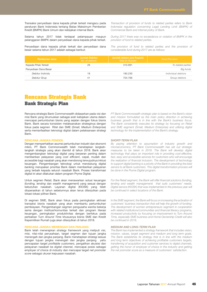Transaksi penyediaan dana kepada pihak terkait mengacu pada peraturan Bank Indonesia tentang Batas Maksimum Pemberian Kredit (BMPK) Bank Umum dan kebijakan internal Bank.

Selama tahun 2017 tidak terdapat pelampauan maupun pelanggaran BMPK dalam penyediaan dana kepada pihak terkait.

Penyediaan dana kepada pihak terkait dan penyediaan dana besar selama tahun 2017 adalah sebagai berikut:

*Transaction of provision of funds to related parties refers to Bank Indonesia regulation concerning Legal Lending Limit (BMPK) of Commercial Bank and internal policy of Bank.*

*During 2017 there was no exceedance or violation of BMPK in the provision of fund to related parties.* 

*The provision of fund to related parties and the provision of considerable fund during 2017 are as follows:*

| ' Pemberian dana      | Jumlah Debitur<br>No. of debtors | Jumlah (dalam juta Rupiah)<br>Total (in Rupiah) | <b>Fund Provision</b> |
|-----------------------|----------------------------------|-------------------------------------------------|-----------------------|
| Kepada Pihak Terkait  |                                  | 310.991                                         | To related parties    |
| Penyediaan Dana Besar |                                  |                                                 | Bia funds             |
| Debitur Individu      |                                  | 183.230                                         | Individual debtors    |
| Debitur Grup          |                                  | 704.766                                         | sroun debtors!'       |

# **Rencana Strategis Bank**

### **Bank Strategic Plan**

Rencana strategis Bank Commonwealth didasarkan pada visi dan misi Bank yang dirumuskan sebagai arah kebijakan utama dalam mencapai pertumbuhan bisnis yang sejalan dengan fokus bisnis Bank. Bank secara konsisten melaksanakan strateginya dengan fokus pada segmen Ritel dan SME (*Small, Medium Enterprise*) serta memanfaatkan teknologi digital dalam pelaksanaan strategi Bank.

#### **RENCANA JANGKA PENDEK**

Dengan memperhatikan asumsi pertumbuhan industri dan ekonomi mikro, PT Bank Commonwealth telah menetapkan langkahlangkah strategis yang akan diambil di tahun 2018. Bank akan mengembangkan teknologi digital yang berperan penting dalam memberikan pelayanan yang *cost efficient*, cepat, mudah dan *accessible* bagi nasabah yang akan mendorong terwujudnya inklusi keuangan. Pengembangan teknologi untuk mendukung digital *banking* merupakan prioritas Bank dalam memberikan pelayanan yang terbaik kepada seluruh nasabah Bank. Proses transformasi digital ini akan dilakukan dalam program Pryme Digital.

Untuk segmen Retail, Bank akan menawarkan solusi keuangan (*funding, lending* dan *wealth management*) yang sesuai dengan kebutuhan nasabah. Layanan digital (KIOSK) yang telah dioperasikan di tahun sebelumnya akan terus dilanjutkan pada lokasi-lokasi pilihan Bank.

Di segmen SME, Bank akan fokus pada peningkatan aktivasi transaksi bisnis nasabah yang akan membantu pertumbuhan pembiayaan. Pengembangan segmen pengusaha wanita bekerja sama dengan institusi/komunitas terkait dan program literasi keuangan, peningkatan produktivitas dengan berfokus pada perbaikan T*urn Around Time* khususnya bisnis SME dan Kredit Kepemilikan Rumah juga akan dilanjutkan di tahun 2018.

#### **RENCANA JANGKA MENENGAH DAN PANJANG**

Bank telah menerapkan *strategy framework* yang meliputi visi, misi, nilai-nilai perusahaan, target segmen dan tujuan jangka menengah dan jangka panjang. Bank menetapkan strategi sesuai dengan tujuan jangka menengah dan jangka panjang yaitu pencapaian target *profitable customers*, pengalihan akuisisi dan pelayanan nasabah ke *digital channel*, mencapai posisi sebagai *employer of choice* di *industry* dan mencapai t*arget net promoter score* sebagai ukuran kepuasan nasabah.

*PT Bank Commonwealth strategic plan is based on the Bank's vision*  and mission formulated as the main policy direction in achieving *business growth that is in line with the Bank's business focus. The Bank consistently executes its strategy by focusing on Retail and SME segment (Small, Medium Enterprise) and utilizing digital technology for the implementation of the Bank's strategy.* 

#### *SHORT-TERM PLAN*

*By paying attention to assumption of industry growth and microeconomics, PT Bank Commonwealth has set out strategic measures to be taken in 2018. The Bank will develop digital technology that plays an important role in providing cost-effective, fast, easy and accessible services for customers who will encourage the realization of financial inclusion. The development of technology to support digital banking is a priority of the Bank in providing the best service to all Bank customers. This digital transformation process will be done in the Pryme Digital program.* 

*For the Retail segment, the Bank will offer financial solutions (funding, lending and wealth management) that suits customers' needs. Digital service (KIOSK) that was implemented in the previous year will be continued in select locations of the Bank.* 

*In the SME segment, the Bank will focus on increasing the activation of customers' business transaction that will help the growth of funding. The development of women entrepreneurs segment in cooperation with related institutions/communities and financial literacy programs, increased productivity by focusing on improvement to Turn Around Time, especially SME business and Home Ownership Credit will also be continued in 2018.*

#### *MEDIUM AND LONG-TERM PLAN*

*The Bank has implemented a strategy framework that includes vision, mission, values, target segment and medium and long term goals. The Bank establishes its strategy that is in line with the medium and long term objectives of achieving profitable customers targets, transferring of acquisition and customer services to digital channels, getting the honor of employer of choice in the industry and getting the net promoter score as a measure of customers' satisfaction.*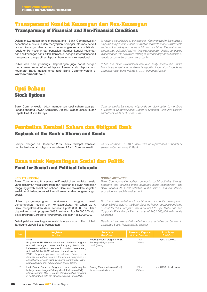# **Transparansi Kondisi Keuangan dan Non-Keuangan**

# **Transparency of Financial and Non-Financial Conditions**

Dalam mewujudkan prinsip transparansi, Bank Commonwealth senantiasa menyusun dan menyajikan berbagai informasi terkait laporan keuangan dan laporan non keuangan kepada publik dan regulator. Penyusunan dan penyajian informasi kondisi keuangan dan non keuangan bank dilakukan sesuai dengan ketentuan terkait transparansi dan publikasi laporan bank umum konvensional.

Publik dan para pemangku kepentingan juga dapat dengan mudah mengakses informasi laporan keuangan dan laporan non keuangan Bank melalui situs *web* Bank Commonwealth di **www.commbank.co.id**.

*In realizing the principle of transparency, Commonwealth Bank always prepares and presents various information related to financial statements and non-financial reports to the public and regulators. Preparation and presentation of financial and non financial information shall be conducted in accordance with provisions relating to transparency and publication of reports of conventional commercial banks.*

*Public and other stakeholders can also easily access the Bank's financial statement and non-financial reporting information through the Commonwealth Bank website at www. commbank.co.id.* 

# **Opsi Saham**

# **Stock Options**

Bank Commonwealth tidak memberikan opsi saham apa pun kepada anggota Dewan Komisaris, Direksi, Pejabat Eksekutif, dan Kepala Unit Bisnis lainnya.

*Commonwealth Bank does not provide any stock option to members of Board of Commissioners, Board of Directors, Executive Officers and other Heads of Business Units.*

# **Pembelian Kembali Saham dan Obligasi Bank**

# **Buyback of the Bank's Shares and Bonds**

Sampai dengan 31 Desember 2017, tidak terdapat transaksi pembelian kembali obligasi atau saham di Bank Commonwealth.

*As of December 31, 2017, there were no repurchases of bonds or shares in Commonwealth Bank.*

# **Dana untuk Kepentingan Sosial dan Politik**

# **Fund for Social and Political Interests**

#### **KEGIATAN SOSIAL**

Bank Commonwealth secara aktif melakukan kegiatan sosial yang disalurkan melalui program dan kegiatan di bawah rangkaian tanggung jawab sosial perusahaan. Bank memfokuskan kegiatan sosialnya di bidang edukasi literasi keuangan dan pengembangan sosial.

Untuk program-program pelaksanaan tanggung jawab pengembangan sosial dan kemasyarakatan di tahun 2017, Bank mengalokasikan dana sebesar Rp500.000.000 dan telah digunakan untuk program WISE sebesar Rp420.000.000 dan biaya program *Corporate Philanthropy* sebesar Rp51.000.000.

Detail pelaksanaan kegiatan sosial lainnya dapat dilihat di bab Tanggung Jawab Sosial Perusahaan.

#### *SOCIAL ACTIVITIES*

*Bank Commonwealth actively conducts social activities through programs and activities under corporate social responsibility. The Bank focuses its social activities in the field of financial literacy education and social development.* 

For the implementation of social and community development *responsibilities in 2017, the Bank allocated Rp500,000,000 consisting of cost for WISE program that amounted to Rp420,000,000 and Corporate Philanthropy Program cost of Rp51,000,000 with details as follows.*

*Details of the implementation of other social activities can be seen in Corporate Social Responsibility chapter.*

| <b>No</b> | Kegiatan<br><b>Activities</b>                                                                                                                                                                                                                                                                                                                                                                                                          | Penerima<br>Beneficiary                                                | <b>Frekuensi Kegiatan</b><br><b>Activity Frequency</b> | <b>Total Biava</b><br><b>Total Cost</b> |
|-----------|----------------------------------------------------------------------------------------------------------------------------------------------------------------------------------------------------------------------------------------------------------------------------------------------------------------------------------------------------------------------------------------------------------------------------------------|------------------------------------------------------------------------|--------------------------------------------------------|-----------------------------------------|
|           | <b>WISE</b><br>Program WISE (Women Investment Series) - program<br>edukasi keuangan untuk wanita, yang terdiri dari:<br>kelas-kelas edukasi bersama komunitas perempuan,<br>Aplikasi Seluler WISE, edukasi di social media.<br>WISE Program (Women Investment Series) - a<br>financial education program for women comprises of:<br>educational classes with women's community, WISE<br>Mobile Application, education on social media. | Publik (peserta program WISE)<br>Public (WISE program<br>participants) | 7 kali<br>7 times                                      | Rp420,000,000                           |
| 2         | Hari Donor Darah - Program donor darah regular<br>bekeria sama dengan Palang Merah Indonesia (PMI)<br>Blood Donation Day - Regular blood donation program<br>in collaboration with the Indonesian Red Cross (PMI)                                                                                                                                                                                                                      | Palang Merah Indonesa (PMI)<br>Indonesian Red Cross                    | 2 kali<br>2 times                                      | $+/-$ @150 blood packs                  |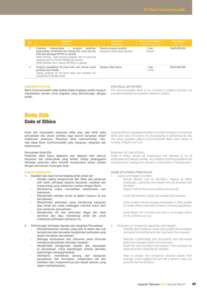| <b>No</b> | Kegiatan<br><b>Activities</b>                                                                                                                                                                                                                                                                             | <b>Penerima</b><br>Beneficiary                              | <b>Frekuensi Kegiatan</b><br><b>Activity Frequency</b> | <b>Total Biaya</b><br><b>Total Cost</b> |
|-----------|-----------------------------------------------------------------------------------------------------------------------------------------------------------------------------------------------------------------------------------------------------------------------------------------------------------|-------------------------------------------------------------|--------------------------------------------------------|-----------------------------------------|
|           | Keterampilan – program<br>Pelatihan<br>pelatihan<br>keterampilan (Art&Craft dan Hidroponik) untuk Ibu-ibu<br>PKK dari berbagai RPTRA di Jakarta<br>Skills training - skills training program (Art & Craft and<br>Hydroponics) for Family Welfare Movement<br>(PKK) Mothers from various RPTRAs in Jakarta | Peserta program (publik)<br>Program's participants (public) | 3 kali<br>2 times                                      | Rp26,000,000                            |
| 4         | Program pengetikan 30 judul buku dan donasi untuk<br>produksi buku Braille<br>Typing program for 30 book titles and donation for<br>production of Braille books                                                                                                                                           | Yayasan Mitra Netra                                         | kali<br>1 time                                         | Rp25.000.000                            |

#### **KEGIATAN POLITIK**

Bank Commonwealth tidak terlibat dalam kegiatan politik maupun memberikan donasi untuk kegiatan yang berhubungan dengan politik.

#### *POLITICAL ACTIVITIES*

*The Commonwealth Bank is not involved in political activities nor provides donations for activities related to politics.*

# **Kode Etik**

# **Code of Ethics**

Kode etik merupakan pedoman etika atau tata tertib etika perusahaan dan aturan perilaku bagi seluruh karyawan dalam melakukan perannya. Pedoman etika mencerminkan nilainilai dasar Bank Commonwealth yaitu kejujuran, integritas dan kepercayaan.

#### Pernyataan Kode Etik

Pedoman etika harus dipahami dan dipatuhi oleh seluruh karyawan dan pihak-pihak yang terkait. Setiap pelanggaran terhadap pedoman etika memiliki konsekuensi sanksi sampai dengan pemutusan hubungan kerja.

#### **POKOK KODE ETIK**

- 1. Keadilan dan rasa hormat kepada pihak-pihak lain
	- Perilaku saling menghormati dan tidak ada perlakuan pilih kasih, terhadap sesama karyawan, nasabah dan orang-orang yang melakukan usahan dengan Bank;
	- Mendukung usaha memastikan keselamatan dan keamanan;
	- Menghindari perilaku buruk di dalam maupun di luar perusahaan;
	- Menghindari perbuatan yang mendorong karyawan atau pihak lain untuk melanggar instruksi resmi dan/ atau peraturan perusahaan;
	- Menghindari diri dari perbuatan illegal dan tidak bermoral dan atau mendorong pihak lain untuk melakukan perbuatan semacam itu.
- 2. Perlindungan terhadap reputasi dan integritas Perusahaan
	- Mempertahankan perilaku yang baik di dalam dan luar tempat kerja dan berusaha menghindari perbuatan yang dapat merugikan perusahaan;
	- Menjaga kerahasiaan dan dokumen serta informasi mengenai perusahaan dan/atau nasabah;
	- Menghindari penggunaan jabatan dan kekuasaan di perusahaan untuk kepentingan pribadi dan/atau kepentingan keluarga/kerabat;
	- Membantu memelihara barang dan bangunan perusahaan dari kerusakan, menjauhkan diri dari kelailaian dan melaporkannya jika terjadi sesuatu yang dapat membahayakan;

*Code of ethics is a guideline of ethics or code of conduct of corporate ethics and rules of conduct for all employees in performing its role. The ethics guideline reflects Commonwealth Bank basic values of honesty, integrity and trust.*

#### *Statement of Code of Ethics*

*Code of Ethics should be understood and adhered to by all employees and relevant parties. Any violation of ethical guideline has consequences ranging from sanction to termination of employment.*

#### *Code of Ethics Principles*

*1. Justice and respect to others* 

- *- Mutual respect and no favoritism, respect to fellow employees, customers and people who do business with the Bank;*
- *Support efforts that ensure safety and security;*
- *Avoid bad behavior inside and outside the company;*
- *Avoid actions that encourage employees or other parties to violate official instructions and/or company regulations;*
- *- Avoid illegal and immoral acts and or encourage others not to commit such act.*
- *2. Protection on Company's reputation and integrity*
	- *- Maintain good behavior inside and outside the workplace and avoid committing acts that may harm the company;*
	- *- Maintain confidentiality and documents and information about the company and/or its customers;*
	- *Avoid the use of position and power in the company for personal and/or family/family interests;*
	- *Help to protect the company's physical assets from damage, avoid negligent act and file a report in case of a potential harmful situation;*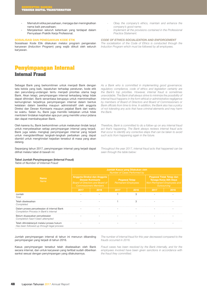- Mematuhi etika perusahaan, menjaga dan meningkatkan nama baik perusahaan;
- Menjalankan seluruh ketentuan yang terdapat dalam Pernyataan Praktik Kerja Profesional.

#### **SOSIALISASI DAN PENEGAKKAN KODE ETIK**

Sosialisasi Kode Etik dilakukan melalui program pengenalan karyawan (*Induction Program*) yang wajib diikuti oleh seluruh karyawan.

# **Penyimpangan Internal Internal Fraud**

Sebagai Bank yang berkomitmen untuk menjadi Bank dengan tata kelola yang baik, kepatuhan terhadap peraturan, kode etik dan perundang-undangan tentu menjadi prioritas utama bagi Bank. Akan tetapi, penyimpangan internal terkadang tetap tidak dapat dihindari. Bank senantiasa berupaya untuk meminimalikan kemungkinan terjadinya penyimpangan internal dalam bentuk kelalaian dalam beretika maupun administratif oleh anggota Direksi dan Dewan Komisaris maupun pejabat Bank dari waktu ke waktu. Selain itu, Bank juga memiliki kebijakan untuk tidak mentolerir tindakan kejahatan apa pun yang memiliki unsur pidana dan dapat membahayakan Bank.

Oleh karena itu, Bank berkomitmen untuk melakukan tindak lanjut untuk menyelesaikan setiap penyimpangan internal yang terjadi. Bank juga selalu mengkaji penyimpangan internal yang terjadi untuk mengidentifikasi langkah-langkah perbaikan yang dapat diambil untuk menghindari kejadian tersebut di masa yang akan datang.

Sepanjang tahun 2017, penyimpangan internal yang terjadi dapat dilihat melalui tabel di bawah ini:

#### **Tabel Jumlah Penyimpangan (Internal Fraud)**

*Table of Number of Internal Fraud*

- *Obey the company's ethics, maintain and enhance the company's good name;*
- *Implement all the provisions contained in the Professional Practice Statement.*

#### *Code of Ethics Socialization and Enforcement*

*The socialization of the Code of Ethics is conducted through the Induction Program which must be followed by all employees.*

*As a Bank who is committed in implementing good governance; regulatory compliance, code of ethics and legislation certainly are the Bank's top priorities. However, internal fraud is sometimes unavoidable. The Bank shall always strive to minimize the possibility of internal fraud happens in the form ethical or administrative negligence by members of Board of Directors and Board of Commissioners or Bank officials from time to time. In addition, the Bank also has a policy of not tolerating any acts that have criminal elements and may harm the Bank.*

*Therefore, Bank is committed to do a follow-up on any internal fraud act that's happening. The Bank always reviews internal fraud acts that occur to identify any corrective steps that can be taken to avoid such acts from happening again in the future.* 

*Throughout the year 2017, internal fraud acts that happened can be seen through the table below:*

|                                                                                          | Jumlah Kasus yang Dilakukan oleh<br><b>Number of Cases Performed by</b>                                                                                                 |      |                                                                                                        |      |      |      |  |  |
|------------------------------------------------------------------------------------------|-------------------------------------------------------------------------------------------------------------------------------------------------------------------------|------|--------------------------------------------------------------------------------------------------------|------|------|------|--|--|
| <b>Nama</b><br><b>Name</b>                                                               | Anggota Direksi dan Anggota<br><b>Dewan Komisaris</b><br>Pegawai Tetap<br>Board of Directors and Board of<br><b>Permanent Employees</b><br><b>Commissioners Members</b> |      | Pegawai Tidak Tetap dan<br>Tenaga Kerja Alih Daya<br><b>Non-Permanent Employees and</b><br>Outsourcing |      |      |      |  |  |
|                                                                                          | 2017                                                                                                                                                                    | 2016 | 2017                                                                                                   | 2016 | 2017 | 2016 |  |  |
| Jumlah<br>Total                                                                          |                                                                                                                                                                         |      |                                                                                                        | 3    |      |      |  |  |
| Telah diselesaikan<br>Completed                                                          |                                                                                                                                                                         |      |                                                                                                        |      |      |      |  |  |
| Dalam proses penyelesaian di internal Bank<br>Completion Process in Bank's internal      |                                                                                                                                                                         |      |                                                                                                        |      |      |      |  |  |
| Belum diupayakan penyelesaian<br>Completion hasn't been attempted                        |                                                                                                                                                                         |      |                                                                                                        |      |      |      |  |  |
| Telah ditindaklanjuti melalui proses hukum<br>Has been followed up through legal process |                                                                                                                                                                         |      |                                                                                                        |      |      |      |  |  |

Jumlah penyimpangan internal di tahun ini menurun dibanding penyimpangan yang terjadi di tahun 2016.

Kasus penyimpangan tersebut telah diselesaikan oleh Bank secara internal, dan untuk karyawan yang terlibat sudah diberikan sanksi sesuai dengan penyimpangan yang dilakukannya.

*The number of internal fraud for this year decreased compared to the frauds occurred in 2016.* 

*Fraud cases has been resolved by the Bank internally, and for the employees involved have been given sanctions in accordance with the fraud they committed.*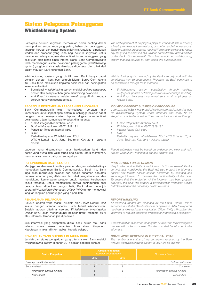# **Sistem Pelaporan Pelanggaran**

# **Whistleblowing System**

Partisipasi seluruh karyawan memainkan peran penting dalam menciptakan tempat kerja yang patuh, bebas dari pelanggaran, tindakan korupsi dan penyimpangan lainnya. Untuk itu, diperlukan wadah dan prosedur yang jelas bagi seluruh karyawan untuk melaporkan adanya dugaan atau indikasi tindak pelanggaran yang dilakukan oleh pihak-pihak internal Bank. Bank Commonwealth telah membangun sistem pelaporan pelanggaran (*whisleblowing system*) yang bersifat rahasia dan dapat digunakan oleh pihak dari dalam maupun luar lingkungan Bank.

*Whistleblowing system* yang dimiliki oleh Bank hanya dapat berjalan dengan kontribusi seluruh jajaran Bank. Oleh karena itu, Bank terus melakukan kegiatan sosialisasi dan peningkatan kesadaran berikut:

- Sosialisasi *whistleblowing system* melalui *desktop wallpaper*, poster atau sesi pelatihan guna mendorong pelaporan.
- *Anti Fraud Awareness* melalui *e-mail* yang dikirim kepada seluruh karyawan secara berkala.

#### **PROSEDUR PENYAMPAIAN LAPORAN PELANGGARAN**

Bank Commonwealth telah menyediakan berbagai jalur komunikasi untuk kepentingan sistem ini sehingga pelapor dapat dengan mudah menyampaikan laporan dugaan atau indikasi pelanggaran. Jalur komunikasi tersebut di antaranya:

- *E-mail*: integrity@commbank.co.id
- *Hotline Whistleblower*: 0807 1919 191
- Panggilan Telepon Internal: 8800
- Surat: Perhatian kepada: Whistleblower, FCU WTC 6 Lantai 16, Jl. Jend. Sudirman Kav. 29-31, Jakarta 12920.

Laporan yang disampaikan harus berdasarkan bukti dan dasar yang nyata dan valid tanpa ada niatan untuk memfitnah, mencemarkan nama baik, dan sebagainya.

#### **PERLINDUNGAN BAGI PELAPOR**

Menjaga kerahasiaan identitas pelapor dengan sebaik-baiknya merupakan komitmen Bank Commonwealth. Selain itu, Bank juga akan melindungi pelapor dari segala ancaman dan/atau tindakan apa pun yang dilakukan oleh pihak yang dilaporkan dan mendukung kemampuan pelapor untuk menjaga kerahasiaan kasus tersebut. Untuk memastikan bahwa perlindungan bagi pelapor telah diberikan dengan baik, Bank akan menunjuk seorang *Whistleblower Protection Officer* (WPO) untuk mengawasi langkah-langkah perlindungan yang diperlukan.

#### **PENANGANAN PELAPORAN**

Seluruh laporan yang masuk dikelola oleh *Fraud Control Unit*  sesuai dengan standar operasi Bank terkait *whistleblower*. Setelah laporan diterima, seorang *Whistleblower Investigation Officer* (WIO) akan menghubungi pelapor untuk meminta bukti atau informasi tambahan jika diperlukan.

Jika informasi yang didapatkan dinilai tidak cukup atau tidak relevan, maka proses penyidikan tidak akan dilanjutkan. Keputusan ini akan diinformasikan kepada pelapor.

#### **PENGADUAN YANG DITERIMA DI TAHUN BUKU**

Jumlah dan status pengaduan yang diterima oleh Bank melalui *whistleblowing system* di tahun 2017 adalah sebagai berikut:

*The participation of all employees plays an important role in creating a healthy workplace, free violations, corruption and other deviations. Therefore, a clear procedure is required if an employee wants to report any allegation or indication of a violation committed by internal parties of the Bank. Commonwealth Bank has established whisleblowing system that can be used by both inside and outside parties.*

*Whistleblowing system owned by the Bank can only work with the contribution from all departments. Therefore, the Bank continues to do socialization through these methods:*

- *• Whistleblowing system socialization through desktop wallpapers, posters or training sessions to encourage reporting.*
- *• Anti Fraud Awareness via e-mail sent to all employees on regular basis.*

#### *Violation Report Submission Procedure*

*Commonwealth Bank has provided various communication channels for Whistleblowing System where informant can easily file an allegation or potential violation. The communication is done through:*

- *E-mail: integrity@commbank.co.id*
- *Whistleblower Hotline: 0807 1919 191*
- *Internal Phone Call: 8800*
- *Mail: Perhatian kepada: Whistleblower, FCU WTC 6 Lantai 16, Jl. Jend. Sudirman Kav. 29-31, Jakarta 12920.*

*Report submitted must be based on evidence and clear and valid ground without any intention to slander, defame, etc.*

#### *Protection for Informant*

*Keeping the confidentiality of the informant is Commonwealth Bank's commitment. Additionally, the Bank will also protect the informant against any threats and/or actions performed by accused and encourage informant to maintain the confidentiality of the case. To ensure that the protection of the informant has been properly provided, the Bank will appoint a Whistleblower Protection Officer (WPO) to monitor the necessary protective steps.*

#### *Report Handling*

*All incoming reports are managed by the Fraud Control Unit in accordance with the Bank's standard of operation. After the report is received, a Whistleblower Investigation Officer (WIO) will contact the informant to request additional evidence or information if necessary.*

*If the information is deemed inadequate or irrelevant, the investigation process will not be continued. This decision shall be informed to the informant.* 

#### *Complaints Received in the Fiscal Year*

*The number and status of the complaints received by the Bank through the whistleblowing system in 2017 are as follows:*

| <b>Status Pengaduan</b>     | Jumlah Pengaduan<br><b>Number of Complaints</b> | <b>Complaint Status</b>     |
|-----------------------------|-------------------------------------------------|-----------------------------|
|                             | 2016.                                           |                             |
| Dalam proses tindak lanjut  |                                                 | <b>Follow-up Process</b>    |
| Sudah selesai               |                                                 |                             |
| Information only/No Finding |                                                 | Information only/No Finding |
|                             |                                                 |                             |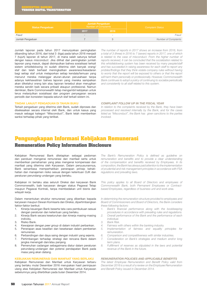| <b>Status Pengaduan</b> | Jumlah Pengaduan | <b>Number of Complaints</b> | <b>Complaint Status</b>     |
|-------------------------|------------------|-----------------------------|-----------------------------|
|                         | 2017             | 2016                        |                             |
| Fraud                   |                  |                             | Fraud                       |
| Jumlah Pengaduan        |                  |                             | <b>Number of Complaints</b> |

Jumlah laporan pada tahun 2017 menunjukkan peningkatan dibanding tahun 2016, dari total 3 (tiga) pada tahun 2016 menjadi 7 (tujuh) laporan di tahun 2017, di mana salah satunya terkait dengan kasus *misconduct*. Jika dilihat dari peningkatan jumlah laporan yang masuk, dapat disimpulkan bahwa sosialisasi terkait sistem *whistleblowing* ini sudah diterima oleh banyak orang/ staf dan telah berhasil meningkatkan *awareness*/kesadaran bagi setiap staf untuk melaporkan setiap kendala/temuan yang menurut mereka melanggar aturan-aturan perusahaan tanpa adanya kekhawatiran bahwa laporan yang mereka sampaikan akan diketahui orang lain atau laporan tersebut akan merugikan mereka sendiri baik secara pribadi ataupun profesional. Namun demikian, Bank Commonwealth tetap mengambil kebijakan untuk terus melanjutkan sosialisasi dan program penyegaran secara periodik dan konsisten kepada seluruh staf terkait sistem ini.

#### **TINDAK LANJUT PENGADUAN DI TAHUN BUKU**

Terkait pengaduan yang diterima oleh Bank, sudah diproses dan diselesaikan secara internal oleh Bank, dan untuk kasus yang masuk sebagai kategori "Misconduct", Bank telah memberikan sanksi terhadap pihak yang terlibat.

*The number of reports in 2017 shows an increase from 2016, from a total of 3 (three) in 2016 to 7 (seven) reports in 2017, one of which is related to the case of misconduct. From the higher number of reports received, it can be concluded that the socialization related to this whistleblowing system has been received by many people/staff and has succeeded in raising awareness for each staff to report any probles/findings that they think violate company rules without having to worriy that the report will be exposed to others or that the report will harm them personally or professionally. However, Commonwealth Bank continues to adopt a policy of continuing to socialize periodically and consistently to all staff related to this system.*

#### *Complaint Follow Up in the Fiscal Year*

*In relation to the complaints received by the Bank, they have been processed and resolved internally by the Bank, and for the cases listed as "Misconduct", the Bank has given sanctions to the parties involved.* 

# **Pengungkapan Informasi Kebijakan Remunerasi**

### **Remuneration Policy Information Disclosure**

Kebijakan Remunerasi Bank ditetapkan sebagai pedoman dan panduan mengenai remunerasi dan manfaat serta untuk memberikan pemahaman yang jelas mengenai kompensasi dan manfaat yang diterima oleh Karyawan. Dalam penyusunannya, Bank senantiasa memperhatikan penerapan prinsip kehatihatian dan manajemen risiko sesuai dengan ketentuan OJK dan peraturan perundang-undangan yang berlaku.

Kebijakan ini berlaku atas seluruh Direksi dan karyawan Bank Commonwealth, baik karyawan dengan status Pegawai Tetap maupun Pegawai Kontrak, tanpa membedakan unit bisnis dan wilayah kerja.

Dalam menentukan struktur remunerasi yang diberikan kepada karyawan maupun Dewan Komisaris dan Direksi, dipertimbangkan faktor-faktor berikut:

- 1. Kinerja keuangan Bank beserta tata cara pembukuan sesuai dengan peraturan dan ketentuan yang berlaku.
- 2. Kinerja Bank secara keseluruhan dan kinerja masing-masing individu.
- 3. Risiko Bank.
- 4. Kewajaran dengan *peer group* di dalam industri perbankan.
- 5. Penerapan asas keadilan dan kesetaraan dalam pemberian remunerasi.
- 6. Perbandingan dan daya saing dengan industri yang sejenis.<br>7. Pertimbangan terhadap strategi dan rencana Bank dalam
- Pertimbangan terhadap strategi dan rencana Bank dalam jangka menengah dan/atau panjang.
- 8. Pemenuhan cadangan sebagaimana diatur dalam peraturan perundang-undangan dan potensi pendapatan Bank pada masa yang akan datang.

#### **KEBIJAKAN REMUNERASI DAN MANFAAT YANG BERLAKU**

Kebijakan Remunerasi dan Manfaat untuk Karyawan terbaru yang berlaku mulai Desember 2016 merupakan hasil peninjauan ulang atas Kebijakan Remunerasi dan Manfaat untuk Karyawan sebelumnya yang diterbitkan pada bulan Desember 2014.

*The Bank's Remuneration Policy is defined as guideline on remuneration and benefits and to provide a clear understanding of the compensation and benefits received by Employees. In its composition, the Bank has always paid attention to the implementation of prudential and risk management principles in accordance with FSA regulations and prevailing laws.*

*This policy applies to all Board of Directors and employees of Commonwealth Bank, both Permanent Employees or Contractbased Employees, regardless of business unit and work area.* 

*In determining the remuneration structure provided to employees and Board of Commissioners and Board of Directors, the Bank considers these following factors:*

- *1. Bank's financial performance along with the bookkeeping procedures in accordance with prevailing rules and regulations.*
- *2. Overall performance of the Bank and the performance of each individual.*
- *3. Bank Risk.*
- *4. Fairness with others within the banking industry.*
- *5. Implementation of fairness and equality principles for remuneration.*
- *6. Comparison and competitiveness with similar industries.*
- *7. Consideration on Bank's strategies and medium and/or long term plans.*
- *8. Fulfillment of reserves as stipulated in the laws and potential revenue of the Bank in the future.*

#### *Remuneration Policies and Applicable Benefits*

*The latest Employee Remuneration and Benefit Policy valid from December 2016 is a result of a review on the Employee Remuneration and Benefit Policy issued in December 2014.*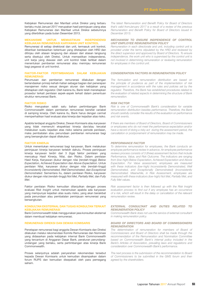Kebijakan Remunerasi dan Manfaat untuk Direksi yang terbaru berlaku mulai Januari 2017 merupakan hasil peninjauan ulang atas Kebijakan Remunerasi dan Manfaat untuk Direksi sebelumnya yang diterbitkan pada bulan Desember 2013.

#### **MEKANISME UNTUK MEMASTIKAN INDEPENDENSI KEBIJAKAN REMUNERASI KARYAWAN UNIT KONTROL**

Remunerasi di setiap direktorat dan unit, termasuk unit kontrol, diberikan berdasarkan ketentuan yang ditetapkan oleh HRD dan ditinjau oleh atasan langsung dan atasan dari atasan langsung serta disetujui oleh Direksi. Untuk memastikan independensi, unit kerja yang diawasi oleh unit kontrol tidak terlibat dalam menentukan pemberian remunerasi atau meninjau remunerasi bagi pegawai di unit kontrol.

#### **FAKTOR-FAKTOR PERTIMBANGAN DALAM KEBIJAKAN REMUNERASI**

Perumusan dan pemberian remunerasi dilakukan dengan berlandaskan prinsip kehati-hatian sebagai bagian dari penerapan manajemen risiko sesuai dengan aturan dan kebijakan yang ditetapkan oleh regulator. Oleh karena itu, Bank telah menetapkan prosedur terkait penilaian aspek-aspek terkait dalam penentuan struktur remunerasi Bank.

#### **FAKTOR RISIKO**

Risiko merupakan salah satu bahan pertimbangan Bank Commonwealth dalam pemberian remunerasi bersifat variabel di samping kinerja. Oleh karena itu, Bank harus dengan cermat memperhatikan hasil evaluasi atas kinerja dan kejadian atas risiko.

Apabila terdapat anggota Direksi, Dewan Komisaris atau karyawan yang tidak memenuhi ekspektasi kinerja dan/atau tercatat melakukan suatu kejadian atas risiko selama periode penilaian, maka pembatalan atau penundaan pemberian remunerasi bagi yang bersangkutan dapat dilakukan.

#### **FAKTOR KINERJA**

Untuk menentukan remunerasi bagi karyawan, Bank melakukan peninjauan kinerja karyawan terlebih dahulu. Proses peninjauan kinerja karyawan terdiri dari 3 (tiga) faktor penilaian yang mencakup Hasil Kinerja, Nilai, dan Risiko. Dalam penilaian Hasil Kerja, Karyawan diukur dengan nilai (rendah-tinggi) *Below Expectation, Achieved Expectation* dan *Above Expectation*. Untuk penilaian Nilai, karyawan diukur dengan nilai (rendah-tinggi) *Inconsistently Demonstrated, Well Demonstrated*, dan *Exceptional Demonstrated*. Sementara itu, dalam penilaian Risiko, karyawan diukur dengan nilai (rendah-tinggi) *Not Met, Partially Met*, dan *Fully Met*.

Faktor penilaian Risiko kemudian dilanjutkan dengan proses evaluasi *Risk Insight* untuk menemukan apabila ada karyawan yang mempunyai kejadian atas suatu risiko, yang akan berakibat pada penundaan atau pembatalan peninjauan remunerasi yang bersangkutan.

#### **KONSULTAN EKSTERNAL DAN TUGAS KONSULTAN TERKAIT KEBIJAKAN REMUNERASI**

Bank Commonwealth tidak menggunakan jasa konsultan eksternal dalam membuat kebijakan remunerasi.

#### **REMUNERASI DIREKSI DAN DEWAN KOMISARIS**

Penetapan remunerasi bagi anggota Dewan Komisaris dan Direksi dilakukan melalui rekomendasi Komite Remunerasi dan Nominasi yang didasarkan pada kebijakan internal Bank Commonwealth yang tercantum di Anggaran Dasar Bank, peraturan perundangundangan yang berlaku, serta pertimbangan atas kinerja Bank Commonwealth.

Proses selanjutnya adalah penyerahan rekomendasi tersebut kepada Dewan Komisaris untuk kemudian disampaikan dalam forum RUPS dan kemudian disepakati oleh para pemegang saham.

*The latest Remuneration and Benefit Policy for Board of Directors that's valid fromJanuary 2017 is a result of a review of the previous Remuneration and Benefit Policy for Board of Directors issued in December 2013.*

#### *Mechanism to Ensure Indpendence of Control Unit Employee Remuneration Policy*

*Remuneration in each directorate and unit, including control unit is provided under the terms stipulated by the HRD and reviewed by the direct supervisor and approved by Board of Directors. To ensure independence, the work unit who is supervised by the control unit is not involved in determining remuneration or reviewing remuneration for employees in the control unit.*

#### *Consideration Factors in Remuneration Policy*

*The formulation and remuneration distribution are based on the principle of prudence as part of the implementation of risk management in accordance with the rules and policies set by the regulator. Therefore, the Bank has established procedures related to the evaluation of related aspects in determining the structure of Bank remuneration.*

#### *Risk Factor*

*Risk is one of Commonwealth Bank's consideration for variable remuneration distribution besides performance. Therefore, the Bank should carefully consider the results of the evaluation on performance and risk events.*

*If there are members of Board of Directors, Board of Commissioners or employees who do not meet the performance expectation and/or have a record of doing a risky act during the assessment period, the cancellation or postponement of remuneration may be made.*

#### *Performance Factor*

*To determine remuneration for employees, the Bank conducts an employee performance review in advance. An employee performance reviews process consists of 3 (three) assessment factors that include Performance, Value, and Risk Outcome. The indicators are ranging from (low-high) Below Expectation, Achieved Expectation and Above Expectation. For Value assessment, employees are measured*  with these indicators (low-high) Inconsistently Demonstrated, Well *Demonstrated, and Exceptionally Demonstrated) (inconsistently Demonstrated. Meanwhile, in Risk Assessment, employees are measured with these indicators (low-high) Not Met, Partially Met, and Fully Met values.* 

*Risk assessment factor is then followed up with the Risk Insight evaluation process to find out if any employee has an occurrence of a risk, which will result in the delay or cancellation of the relevant remuneration review.*

#### *External Consultant and Duties Related to Remuneration Policy*

*Commonwealth Bank does not use the service of external consultant in making remuneration policy.*

#### *Board of Directors and Board of Commissioners Remuneration*

*The determination of remuneration for members of Board of Commissioners and Board of Directors shall be made through the recommendation of the Remuneration and Nomination Committee based on Commonwealth Bank's internal policy included in the Bank's Articles of Association, prevailing laws and regulations and consideration over Commonwealth Bank's performance.*

*The next process is the submission of the recommendation to Board of Commissioners to be submitted in the GMS forum and then agreed by the shareholders.*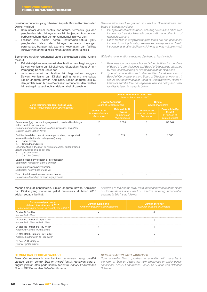Struktur remunerasi yang diberikan kepada Dewan Komisaris dan Direksi meliputi:

- 1. Remunerasi dalam bentuk non-natura, termasuk gaji dan penghasilan tetap lainnya antara lain tunjangan, kompensasi berbasis saham, dan bentuk remunerasi lainnya; dan
- 2. Fasilitas lain dalam bentuk natura/non-natura yaitu penghasilan tidak tetap lainnya, termasuk tunjangan perumahan, transportasi, asuransi kesehatan, dan fasilitas lainnya yang dapat dimiliki maupun tidak dapat dimiliki.

Sementara struktur remunerasi yang diungkapkan paling kurang meliputi:

- 1. Paket/kebijakan remunerasi dan fasilitas lain bagi anggota Dewan Komisaris dan Direksi yang ditetapkan Rapat Umum Pemegang Saham Bank; dan
- 2. Jenis remunerasi dan fasilitas lain bagi seluruh anggota Dewan Komisaris dan Direksi, paling kurang mencakup jumlah anggota Dewan Komisaris, jumlah anggota Direksi, dan jumlah seluruh paket/kebijakan remunerasi dan fasilitas lain sebagaimana dirincikan dalam tabel di bawah ini:

*Remuneration structure granted to Board of Commissioners and Board of Directors include:*

- *1. Intangible asset remuneration, including salaries and other fixed income, such as stock-based compensation and other form of remuneration; and*
- *2. Other facilities in tangible/intangible forms are non-permanent income, including housing allowances, transportation, health insurance, and other facilities which may or may not be owned.*

*While the remuneration structures disclosed at least include:* 

- *1. Remuneration package/policy and other facilities for members of Board of Commissioners and Board of Directors as stipulated by the General Meeting of Shareholders of the Bank; and*
- *2. Type of remuneration and other facilities for all members of Board of Commissioners and Board of Directors, at minimum it should include members of Board of Commissioners, Board of Directors and the total package/remuneration policy and other facilities is listed in the table below:*

|                                                                                                                                                                                                                                                                                                                      | Jumlah Diterima di Tahun 2017<br><b>Amount Received in 2017</b> |                                                              |                                                          |                                                              |  |  |
|----------------------------------------------------------------------------------------------------------------------------------------------------------------------------------------------------------------------------------------------------------------------------------------------------------------------|-----------------------------------------------------------------|--------------------------------------------------------------|----------------------------------------------------------|--------------------------------------------------------------|--|--|
| Jenis Remunerasi dan Fasilitas Lain                                                                                                                                                                                                                                                                                  | <b>Dewan Komisaris</b><br><b>Board of Commissioners</b>         |                                                              | <b>Direksi</b><br><b>Board of Directors</b>              |                                                              |  |  |
| <b>Type of Remuneration and Other Facilities</b>                                                                                                                                                                                                                                                                     | <b>Jumlah SDM</b><br>Number of Human<br>Resources               | Dalam Juta Rp<br>(Bruto)<br>In millions of<br>Rupiah (gross) | <b>Jumlah SDM</b><br><b>Number of Human</b><br>Resources | Dalam Juta Rp<br>(Bruto)<br>In millions of<br>Rupiah (gross) |  |  |
| Remunerasi (gaji, bonus, tunjangan rutin, dan fasilitas lainnya<br>dalam bentuk non-natura)<br>Remuneration (salary, bonus, routine allowance, and other<br>facilities in non-natura form)                                                                                                                           | $\overline{2}$                                                  | 3.695                                                        | 5                                                        | 32.748                                                       |  |  |
| Fasilitas lain dalam bentuk natura (perumahan, transportasi,<br>asuransi kesehatan dan sebagainya) yang:<br>Dapat dimiliki<br>a.<br>Tidak dapat dimiliki<br>b.<br>Other facilities in the form of natura (housing, transportation,<br>health insurance and so on) are:<br>Can be Owned<br>a.<br>Can't be Owned<br>h. | $\overline{c}$                                                  | 619                                                          | 5                                                        | 1.380                                                        |  |  |
| Dalam proses penyelesaian di internal Bank<br>Settlement Process in Bank's Internal                                                                                                                                                                                                                                  |                                                                 |                                                              |                                                          |                                                              |  |  |
| Belum diupayakan penyelesaian<br>Settlement hasn't been made yet                                                                                                                                                                                                                                                     |                                                                 |                                                              |                                                          |                                                              |  |  |
| Telah ditindaklanjuti melalui proses hukum<br>Has been followed up through legal process                                                                                                                                                                                                                             |                                                                 |                                                              |                                                          |                                                              |  |  |

Menurut tingkat penghasilan, jumlah anggota Dewan Komisaris dan Direksi yang menerima paket remunerasi di tahun 2017 adalah sebagai berikut:

*According to the income level, the number of members of the Board of Commissioners and Board of Directors receiving remuneration package in 2017 is as follows:*

| Remunerasi per orang<br>dalam 1 (satu) tahun di 2017<br>Remuneration per person in 1 (one) year in 2017 | <b>Jumlah Komisaris</b><br><b>Number of Board of Commissioners</b> | <b>Jumlah Direktur</b><br><b>Number of Board of Directors</b> |
|---------------------------------------------------------------------------------------------------------|--------------------------------------------------------------------|---------------------------------------------------------------|
| Di atas Rp3 miliar<br>Above Rp3 billion                                                                 |                                                                    |                                                               |
| Di atas Rp2 miliar s/d Rp3 miliar<br>Above Rp2 billion to Rp3 billion                                   |                                                                    |                                                               |
| Di atas Rp1 miliar s/d Rp2 miliar<br>Above Rp1 billion to Rp2 billion                                   |                                                                    |                                                               |
| Di atas Rp500 juta s/d Rp 1 miliar<br>Above Rp500 million to Rp1 billion                                |                                                                    |                                                               |
| Di bawah Rp500 juta<br><b>Bellow Rp500 million</b>                                                      |                                                                    |                                                               |

#### **REMUNERASI BERSIFAT VARIABEL**

Bank Commonwealth memberikan remunerasi yang bersifat variabel dalam bentuk *Sign on Award* (untuk karyawan baru di tingkat jabatan atau pada kondisi tertentu), *Annual Performance Bonus*, SIP Bonus dan *Retention Scheme*.

#### *REMUNERATION WITH VARIABLES*

*Commonwealth Bank provides remuneration with variables in the form of Sign on Award (for new employees or under certain conditions), Annual Performance Bonus, SIP Bonus and Retention Scheme.*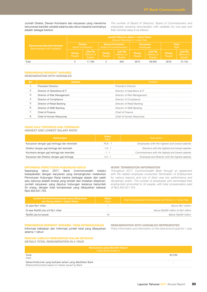Jumlah Direksi, Dewan Komisaris dan karyawan yang menerima remunerasi bersifat variabel selama satu tahun beserta nominalnya adalah sebagai berikut:

*The number of Board of Directors, Board of Commissioners and employees receiving remuneration with variables for one year and their nominal value is as follows:*

|                                                                           |                 |                                             |                 | Jumlah Diterima dalam 1 (satu) Tahun<br>Amount Received in 1 (one) Year |                       |                                         |                 |                                         |
|---------------------------------------------------------------------------|-----------------|---------------------------------------------|-----------------|-------------------------------------------------------------------------|-----------------------|-----------------------------------------|-----------------|-----------------------------------------|
| <b>Remunerasi Bersifat Variabel</b><br><b>Remuneration with Variables</b> |                 | <b>Direksi</b><br><b>Board of Directors</b> |                 | <b>Dewan Komisaris</b><br><b>Board of Commissioners</b>                 | Karyawan<br>Employees |                                         |                 | <b>Total</b><br><b>Total</b>            |
|                                                                           | Orang<br>People | Juta Rp<br><b>Millions of</b><br>Rupiah     | Orang<br>People | Juta Rp<br><b>Millions of</b><br>Rupiah                                 | Orang<br>People       | Juta Rp<br><b>Millions of</b><br>Rupiah | Orang<br>People | Juta Rp<br><b>Millions of</b><br>Rupiah |
| Total                                                                     | 5               | 11.760                                      |                 | 840                                                                     | 2610                  | 58.693                                  | 2618            | 72.132                                  |

#### **REMUNERASI BERSIFAT VARIABEL** *Remuneration with Variables*

|   |                             | Position                          |
|---|-----------------------------|-----------------------------------|
|   | <b>President Director</b>   | <b>President Director</b>         |
|   | Director of Operations & IT | Director of Operations & IT       |
|   | Director of Risk Management | Director of Risk Management       |
|   | Director of Compliance      | Director of Compliance            |
| b | Director of Retail Banking  | <b>Director of Retail Banking</b> |
| 6 | Director of SME Banking     | Director of SME Banking           |
|   | Chief of Finance            | <b>Chief of Finance</b>           |
| ິ | Chief of Human Resources    | <b>Chief of Human Resources</b>   |

### **RASIO GAJI TERTINGGI DAN TERENDAH**

*HIGHEST AND LOWEST SALARY RATIO*

| Keterangan                                   | <b>Rasio</b><br>Ratio | <b>Description</b>                                 |
|----------------------------------------------|-----------------------|----------------------------------------------------|
| Karyawan dengan gaji tertinggi dan terendah  | 766:1                 | Employees with the highest and lowest salaries     |
| Direktur dengan gaji tertinggi dan terendah  | 1911                  | Directors with the highest and lowest salaries     |
| Komisaris dengan gaji tertinggi dan terendah | $7 \cdot 7$           | Commissioners with the highest and lowest salaries |
| Karyawan dan Direktur dengan gaji tertinggi  | $-24$                 | Employee and Director with the highest salaries    |

#### **INFORMASI PEMUTUSAN HUBUNGAN KERJA**

Sepanjang tahun 2017, Bank Commonwealth melalui kesepakatan dengan karyawan yang bersangkutan melakukan Pemutusan Hubungan Kerja karena berbagai alasan dan salah satu satunya adalah kinerja yang rendah dan tindakan disiplinari. Jumlah karyawan yang diputus hubungan kerjanya berjumlah 34 orang, dengan total kompensasi yang dibayarkan sebesar Rp3.403.551.754.

#### *WORK TERMINATION INFORMATION*

*Throughout 2017, Commonwealth Bank through an agreement with the related employee conducted Termination of Employment for various reasons and one of them was low performance and disciplinary action. The number of employees who terminated their employment amounted to 34 people, with total compensation paid of Rp3,403,551,754.*

| Jumlah Nominal Kompensasi yang Dibayarkan '<br>per Orang dalam 1 (satu) Tahun | <b>Rasio</b><br><b>Rasio</b> | Total Compensation Nominal paid per Person in 1 (one) Year |
|-------------------------------------------------------------------------------|------------------------------|------------------------------------------------------------|
| Di atas Rp1 miliar                                                            |                              | Above Rp1 billion                                          |
| Di atas Rp500 juta s/d Rp1 miliar                                             |                              | Above Rp500 million to Rp1 billion                         |
| Rp500 juta ke bawah                                                           |                              | <b>Below Rp500 million</b>                                 |

#### **REMUNERASI BERSIFAT VARIABEL YANG DITANGGUHKAN**

Informasi kebijakan dan informasi jumlah total yang dibayarkan selama 1 tahun

#### *REMUNERATION WITH VARIABLES REPRESENTED*

*Policy information and information on the total amount paid for 1 year*

**RINCIAN JUMLAH REMUNERASI DALAM SETAHUN** *DETAILS TOTAL REMUNERATION IN A YEAR*

#### Tunai *Cash* 30.239 Saham/Instrumen yang berbasis saham yang diterbitkan Bank *Shares/Instruments based on shares issued by Bank* -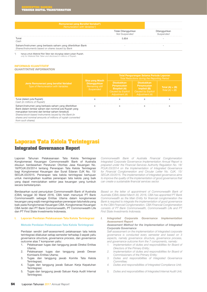| <b>Remunerasi yang Bersifat Variabel*)</b><br>Remuneration with Variables*)                                    |                                     |  |
|----------------------------------------------------------------------------------------------------------------|-------------------------------------|--|
|                                                                                                                | Tidak Ditangguhkan<br>Not Suspended |  |
| Tunai<br>Cash                                                                                                  | 5854                                |  |
| Saham/Instrumen yang berbasis saham yang diterbitkan Bank<br>Shares/Instruments based on shares issued by Bank |                                     |  |

\*) hanya untuk *Material Risk Taker* dan diungkap dalam jutaan Rupiah. for Material Risk Taker and disclosed in millions of Rupiah.

#### **INFORMASI KUANTITATIF** *QUANTITATIVE INFORMATION*

|                                                                                                                                                                                                                                                                                                             | Sisa yang Masih                                            |                                                                                                         | Total Pengurangan Selama Periode Laporan<br><b>Total Reductions during the Reporting Period</b> |                                        |
|-------------------------------------------------------------------------------------------------------------------------------------------------------------------------------------------------------------------------------------------------------------------------------------------------------------|------------------------------------------------------------|---------------------------------------------------------------------------------------------------------|-------------------------------------------------------------------------------------------------|----------------------------------------|
| Jenis Remunerasi yang bersifat Variabel<br><b>Type of Remuneration with Variables</b>                                                                                                                                                                                                                       | <b>Ditangguhkan</b><br><b>Remaining still</b><br>Suspended | <b>Disebabkan</b><br>Penyesuaian<br><b>Eksplisit (A)</b><br><b>Caused by Explicit</b><br>Adjustment (A) | <b>Disebabkan</b><br>Penyesuaian<br>Implisit (B)<br><b>Caused by Explicit</b><br>Adjustment (A) | Total $(A) + (B)$<br>Total $(A) + (B)$ |
| Tunai (dalam juta Rupiah)<br>Cash (in millions of Rupiah)                                                                                                                                                                                                                                                   | X                                                          | X                                                                                                       | X                                                                                               | X                                      |
| Saham/instrumen yang berbasis saham yang diterbitkan<br>Bank (dalam lembar saham dan nominal juta Rupiah yang<br>merupakan konversi dari lembar saham tersebut)<br>Shares/stock-based instruments issued by the Bank (in<br>shares and nominal amounts of millions of rupiah converted<br>from such shares) | $\times$                                                   | X                                                                                                       | X                                                                                               |                                        |

# **Laporan Tata Kelola Terintegrasi**

# **Integrated Governance Report**

Laporan Tahunan Pelakasanaan Tata Kelola Terintegrasi Konglomerasi Keuangan Commonwealth Bank of Australia disusun berdasarkan Peraturan Otoritas Jasa Keuangan No. 18/POJK.03/2014 tentang Penerapan Tata Kelola Terintegrasi bagi Konglomerasi Keuangan dan Surat Edaran OJK No. 15/ SEOJK.03/2015. Penerapan tata kelola terintegrasi bertujuan untuk meningkatkan kualitas penerapan tata kelola yang baik yang dapat menciptakan sektor jasa keuangan yang tumbuh secara berkelanjutan.

Berdasarkan surat penunjukan Commonwealth Bank of Australia (CBA) tanggal 30 Maret 2016, CBA telah menunjuk PT Bank Commonwealth sebagai Entitas Utama dalam konglomerasi keuangan yang wajib mengintegrasikan penerapan tata kelola yang baik pada Konglomerasi Keuangan CBA. Konglomerasi Keuangan CBA terdiri dari PT Bank Commonwealth, PT Commonwealth Life dan PT First State Investments Indonesia.

#### **I. Laporan Penilaian Pelaksanaan Tata Kelola Terintegrasi**

#### **Metode Penilaian Pelaksanaan Tata Kelola Terintegrasi**

Penilaian sendiri (*self-assessment*) pelaksanaan tata kelola terintegrasi dilakukan setiap semester terhadap 3 aspek yaitu *governance structure*, *governance process*, dan *governance outcome* atas 7 komponen yaitu:

- 1. Pelaksanaan tugas dan tanggung jawab Direksi Entitas Utama;
- 2. Pelaksanaan tugas dan tanggung jawab Dewan Komisaris Entitas Utama;
- 3. Tugas dan tanggung jawab Komite Tata Kelola Terintegrasi;
- 4. Tugas dan tanggung jawab Satuan Kerja Kepatuhan Terintegrasi;
- 5. Tugas dan tanggung jawab Satuan Kerja Audit Internal Terintegrasi;

*Commonwealth Bank of Australia Financial Conglomeration Integrated Corporate Governance Implementation Annual Report is prepared under the Financial Services Authority Regulation No. 18/ POJK.03/2014 on the Implementation of Integrated Governance for Financial Conglomeration and Circular Letter No. OJK. 15/ SEOJK.03/2015. The implementation of integrated governance aims to improve the quality of the implementation of good governance that can create a sustainable financial services sector.*

*Based on the letter of appointment of Commonwealth Bank of Australia (CBA) dated March 30, 2016, CBA has appointed PT Bank Commonwealth as the Main Entity for financial conglomeration the Bank is required to integrate the implementation of good governance to the CBA Financial Conglomeration. CBA Financial Conglomeration consists of PT Bank Commonwealth, Commonwealth Life and PT First State Investments Indonesia.* 

#### *I. Integrated Corporate Governance Implementation Assessment Report*

#### *Assessment Method for the Implementation of Integrated Corporate Governance*

*Self-assessment on the implementation of integrated corporate governance is conducted every semester and based on 3 aspects, namely governance structure, governance process, and governance outcome from the 7 components, namely:*

- *1. Implementation of duties and responsibilities for Board of Directors of the Primary Entity;*
- *2. Implementation of duties and responsibilities for Board of Commissioners of the Primary Entity;*
- *3. Duties and responsibilities of Integrated Governance Committee;*
- *4. Duties and responsibilities of Integrated Compliance Unit;*
- *5. Duties and responsibilities of Integrated Internal Audit Unit;*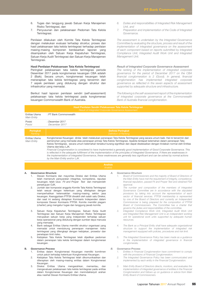- 6. Tugas dan tanggung jawab Satuan Kerja Manajemen Risiko Terintegrasi, dan
- 7. Penyusunan dan pelaksanaan Pedoman Tata Kelola Terintegrasi.

Penilaian dilakukan oleh Komite Tata Kelola Terintegrasi dengan melakukan evaluasi terhadap struktur, proses dan hasil pelaksanaan tata kelola terintegrasi terhadap penilaian masing-masing komponen berdasarkan laporan yang disampaikan oleh Satuan Kerja Kepatuhan Terintegrasi, Satuan Kerja Audit Terintegrasi dan Satuan Kerja Manajemen Terintegrasi.

#### **Hasil Penilaian Pelaksanaan Tata Kelola Terintegrasi**

Peringkat pelaksanaan tata kelola terintegrasi periode Desember 2017 pada konglomerasi keuangan CBA adalah 2 (Baik). Secara umum, konglomerasi keuangan telah menerapkan tata kelola terintegrasi yang tercermin dari 7 aspek penilaian yang didukung dengan struktur dan infrastruktur yang memadai.

Berikut hasil laporan penilaian sendiri (*self-assessment*) pelaksanaan tata kelola terintegrasi pada konglomerasi keuangan Commonwealth Bank of Australia.

- *6. Duties and responsibilities of Integrated Risk Management Unit, and*
- *7. Preparation and implementation of the Code of Integrated Governance.*

*The assessment is undertaken by the Integrated Governance Committee by evaluating the structure, process and result of the implementation of integrated governance on the assessment of each component based on reports submitted by Integrated Compliance Unit, Integrated Audit Work Unit and Integrated Management Unit.*

### *Result of Integrated Corporate Governance Assessment*

*The ranking of the implementation of integrated corporate governance for the period of December 2017 on the CBA financial conglomeration is 2 (Good). In general, financial conglomeration has implemented integrated corporate governance as reflected in the seven aspects of assessment supported by adequate structure and infrastructure.*

*The following is the self-assessment report of the implementation of integrated corporate governance at the Commonwealth Bank of Australia financial conglomeration.*

|                                                                                                                                                                                                                                                                                                                                                                                                                                                                                                                                                                                                                                                                                                                                                                                                                                                                                                                         |                                        | Hasil Penilaian Sendiri Pelaksanaan Tata Kelola Terintegrasi<br>Result of Integrated Corporate Governance Assessment                                                                                                                                                                                                                                                                                                                                                                                                                                                                                                                                                                                                                                                                                                                                                                            |                 |                             |                                                                                                                                                                                                                                                                                                                                                                                                                                                                                                                                                                                                                                                                                                                                                                                                                                                                                                                                                                                    |  |
|-------------------------------------------------------------------------------------------------------------------------------------------------------------------------------------------------------------------------------------------------------------------------------------------------------------------------------------------------------------------------------------------------------------------------------------------------------------------------------------------------------------------------------------------------------------------------------------------------------------------------------------------------------------------------------------------------------------------------------------------------------------------------------------------------------------------------------------------------------------------------------------------------------------------------|----------------------------------------|-------------------------------------------------------------------------------------------------------------------------------------------------------------------------------------------------------------------------------------------------------------------------------------------------------------------------------------------------------------------------------------------------------------------------------------------------------------------------------------------------------------------------------------------------------------------------------------------------------------------------------------------------------------------------------------------------------------------------------------------------------------------------------------------------------------------------------------------------------------------------------------------------|-----------------|-----------------------------|------------------------------------------------------------------------------------------------------------------------------------------------------------------------------------------------------------------------------------------------------------------------------------------------------------------------------------------------------------------------------------------------------------------------------------------------------------------------------------------------------------------------------------------------------------------------------------------------------------------------------------------------------------------------------------------------------------------------------------------------------------------------------------------------------------------------------------------------------------------------------------------------------------------------------------------------------------------------------------|--|
| Main Entity                                                                                                                                                                                                                                                                                                                                                                                                                                                                                                                                                                                                                                                                                                                                                                                                                                                                                                             | Entitas Utama                          | : PT Bank Commonwealth                                                                                                                                                                                                                                                                                                                                                                                                                                                                                                                                                                                                                                                                                                                                                                                                                                                                          |                 |                             |                                                                                                                                                                                                                                                                                                                                                                                                                                                                                                                                                                                                                                                                                                                                                                                                                                                                                                                                                                                    |  |
| Posisi<br>: Desember 2017<br>Posisi<br>December 2017                                                                                                                                                                                                                                                                                                                                                                                                                                                                                                                                                                                                                                                                                                                                                                                                                                                                    |                                        |                                                                                                                                                                                                                                                                                                                                                                                                                                                                                                                                                                                                                                                                                                                                                                                                                                                                                                 |                 |                             |                                                                                                                                                                                                                                                                                                                                                                                                                                                                                                                                                                                                                                                                                                                                                                                                                                                                                                                                                                                    |  |
|                                                                                                                                                                                                                                                                                                                                                                                                                                                                                                                                                                                                                                                                                                                                                                                                                                                                                                                         | Peringkat<br>Ranking                   |                                                                                                                                                                                                                                                                                                                                                                                                                                                                                                                                                                                                                                                                                                                                                                                                                                                                                                 |                 |                             | <b>Definisi Peringkat</b><br>Definition of Ranking                                                                                                                                                                                                                                                                                                                                                                                                                                                                                                                                                                                                                                                                                                                                                                                                                                                                                                                                 |  |
| Entitas Utama<br>Konglomerasi Keuangan dinilai telah melakukan penerapan Tata Kelola Terintegrasi yang secara umum baik. Hal ini tercermin dari<br>pemenuhan yang memadai atas penerapan prinsip Tata Kelola Terintegrasi. Apabila terdapat kelemahan dalam penerapan Tata<br>Main Entity<br>Kelola Terintegrasi, secara umum kelemahan tersebut kurang signifikan dan dapat diselesaikan dengan tindakan normal oleh Entitas<br>Utama dan/atau LJK.<br>Financial Conglomeration is considered to have implemented a generally good implementation of Good Corporate Governance. This<br>is reflected in the adequate fulfillment of the implementation of the principles of Integrated Governance. If there are weaknesses in<br>the implementation of Integrated Governance, these weaknesses are generally less significant and can be solved by normal actions<br>by the Main Entity and/or LJK.<br><b>Analisis</b> |                                        |                                                                                                                                                                                                                                                                                                                                                                                                                                                                                                                                                                                                                                                                                                                                                                                                                                                                                                 |                 |                             |                                                                                                                                                                                                                                                                                                                                                                                                                                                                                                                                                                                                                                                                                                                                                                                                                                                                                                                                                                                    |  |
|                                                                                                                                                                                                                                                                                                                                                                                                                                                                                                                                                                                                                                                                                                                                                                                                                                                                                                                         |                                        |                                                                                                                                                                                                                                                                                                                                                                                                                                                                                                                                                                                                                                                                                                                                                                                                                                                                                                 | <b>Analisis</b> |                             |                                                                                                                                                                                                                                                                                                                                                                                                                                                                                                                                                                                                                                                                                                                                                                                                                                                                                                                                                                                    |  |
| А.<br>1.<br>2.<br>3.                                                                                                                                                                                                                                                                                                                                                                                                                                                                                                                                                                                                                                                                                                                                                                                                                                                                                                    | <b>Governance Structure</b>            | Dewan Komisaris dan mayoritas Direksi dari Entitas Utama<br>telah memenuhi persyaratan integritas, kompetensi, reputasi<br>keuangan, telah lulus Fit and Proper Test dan memperoleh<br>persetujuan OJK.<br>Jumlah dan komposisi anggota Komite Tata Kelola Terintegrasi<br>telah sesuai dengan ketentuan yang ditetapkan dengan<br>memperhatikan keterwakilan masing-masing sektor jasa<br>keuangan. Keanggotaan PTFSII diwakili oleh salah satu Direksi,<br>dan saat ini sedang disiapkan Komisaris Independen dalam<br>komposisi Dewan Komisaris PTFSII. Komite memiliki piagam<br>(charter) yang mengatur tugas dan tanggung jawab komite.<br>Satuan Kerja Kepatuhan Terintegrasi, Satuan Kerja Audit<br>Terintegrasi dan Satuan Kerja Manajemen Risiko Terintegrasi<br>merupakan satuan kerja yang independen terhadap satuan<br>kerja operasional yang didukung dengan sumber daya manusia | А.              | 1.<br>2.<br>3.              | Governance Structure<br>Board of Commissioners and the majority of Board of Directors of<br>the Main Entity have met the requirement of integrity, competence,<br>financial reputation, passed Fit and Proper Test and obtained FSA<br>approval.<br>The number and composition of the members of Integrated<br>Governance Committee are in accordance with the stipulated<br>provisions by taking into account the representation of each<br>sector of financial services. PTFSII membership is represented<br>by one of the Board of Directors and currently an Independent<br>Commissioner is being prepared for the composition of PTFSII<br>Board of Commissioners. The Committee has a charter that<br>governs the duties and responsibilities of the committee.<br>Integrated Compliance Work Unit, Integrated Audit Work Unit<br>and Integrated Risk Management Unit is an independent working<br>unit for operational work units supported by adequate human<br>resources. |  |
| 4.<br>5.                                                                                                                                                                                                                                                                                                                                                                                                                                                                                                                                                                                                                                                                                                                                                                                                                                                                                                                | keuangan.                              | yang memadai.<br>Bank sebagai Entitas Utama memiliki struktur organisasi yang<br>memadai untuk mendukung penerapan manajemen risiko<br>terintegrasi yang dilengkapi dengan kebijakan, prosedur dan<br>penetapan limit risiko.<br>Kebijakan Tata Kelola Terintegrasi telah dijadikan pedoman<br>dalam penerapan tata kelola terintegrasi dalam konglomerasi                                                                                                                                                                                                                                                                                                                                                                                                                                                                                                                                      |                 | $\mathcal{A}_{\cdot}$<br>5. | The Bank as a Principal Entity shall have adequate organizational<br>structure to support the implementation of integrated risk<br>management equipped with policies, procedures and risk limit.<br>The Integrated Governance Policy has been made as a guidance<br>in the implementation of integrated governance in financial<br>conglomerate.                                                                                                                                                                                                                                                                                                                                                                                                                                                                                                                                                                                                                                   |  |
| в.<br>1.<br>2.<br>3.                                                                                                                                                                                                                                                                                                                                                                                                                                                                                                                                                                                                                                                                                                                                                                                                                                                                                                    | <b>Governance Process</b><br>Keuangan. | Entitas dalam Konglomerasi Keuangan memiliki komitmen<br>untuk patuh terhadap ketentuan Konglomerasi Keuangan.<br>Kebijakan Tata Kelola Terintegrasi telah dikomunikasikan dan<br>diterapkan oleh masing-masing entitas dalam Konglomerasi<br>Direksi Entitas Utama mengarahkan,<br>memantau.<br>dan                                                                                                                                                                                                                                                                                                                                                                                                                                                                                                                                                                                            | В.              | 1.<br>2.<br>3.              | Governance Process<br>Entities in Financial Conglomeration have commitment to comply<br>with the provisions of Financial Conglomeration.<br>The Integrated Governance Policy has been communicated and<br>implemented by each entity in the Financial Conglomeration.<br>Main Entity Board of Directors directs, monitors, and evaluates the                                                                                                                                                                                                                                                                                                                                                                                                                                                                                                                                                                                                                                       |  |

3. Direksi Entitas Utama mengarahkan, memantau, dan mengevaluasi pelaksanaan tata kelola terintegrasi pada entitas dalam Konglomerasi Keuangan dan menindaklanjuti arahan atau nasihat Dewan Komisaris Entitas Utama.

*implementation of integrated governance of entities in the Financial Conglomeration and follows up on guidance or advice from Main* 

*Entity Board of Commissioners.*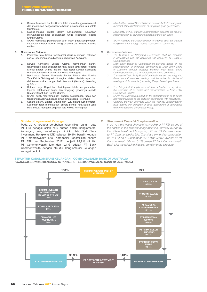- 4. Dewan Komisaris Entitas Utama telah menyelenggarakan rapat dan melakukan pengawasan terhadap pelaksanaan tata kelola terintegrasi.
- 5. Masing-masing entitas dalam Konglomerasi Keuangan menyampaikan hasil pelaksanaan fungsi kepatuhan kepada Entitas Utama.
- 6. SKAIT memantau pelaksanaan audit intern pada konglomerasi keuangan melalui laporan yang diterima dari masing-masing entitas.

# **C.** *Governance Outcome*

- Pedoman Tata Kelola Terintegrasi disusun dengan cakupan sesuai ketentuan serta disetujui oleh Dewan Komisaris.
- 2. Dewan Komisaris Entitas Utama memberikan saran/ rekomendasi atas pelaksanaan tata kelola terintegrasi kepada Direksi Entitas Utama melalui rapat-rapat Dewan Komisaris Entitas Utama dan Komite Tata Kelola Terintegrasi.
- 3. Hasil rapat Dewan Komisaris Entitas Utama dan Komite Tata Kelola Terintegrasi dituangkan dalam risalah rapat dan didokumentasikan dengan baik, termasuk (jika ada) *dissenting opinions*.
- 4. Satuan Kerja Kepatuhan Terintegrasi telah menyampaikan laporan pelaksanaan tugas dan tanggung jawabnya kepada Direktur Kepatuhan Entitas Utama.
- 5. SKAIT telah menyampaikan laporan pelaksanaan tugas dan tanggung jawabnya kepada pihak-pihak sesuai ketentuan.
- 6. Secara umum, Entitas Utama dan LJK dalam Konglomerasi Keuangan telah menerapkan prinsip-prinsip tata kelola yang baik sesuai dengan Kebijakan Tata Kelola Terintegrasi.
- *4. Main Entity Board of Commissioners has conducted meetings and oversight of the implementation of integrated good governance.*
- *5. Each entity in the Financial Conglomeration presents the result of implementation of compliance function to the Main Entity.*
- *6. SKAIT monitors the implementation of internal audit on financial conglomerattion through reports received from each entity.*

#### *C. Governance Outcome*

- *1. The Guideline for Integrated Governance shall be prepared in accordance with the provisions and approved by Board of Commissioners.*
- *2. Main Entity Board of Commissioners provides advice on the implementation of integrated governance to Main Entity Board of Directors through meetings between Main Entity Board Commissioners and the Integrated Governance Committee.*
- *3. The result of Main Entity Board Commissioners and the Integrated Governance Committee meetings shall be written in minutes of meeting and documented, including (if any) dissenting opinions.*
- *4. The Integrated Compliance Unit has submitted a report on the execution of its duties and responsibilities to Main Entity Compliance Director.*
- *5. SKAIT has submitted a report on the implementation of its duties and responsibilities to the parties in accordance with regulations.*
- *6. Generally, the Main Entity and LJK in the Financial Conglomeration have applied the principles of good governance in accordance with the Integrated Governance Policy.*

#### **II. Struktur Konglomerasi Keuangan**

Pada 2017, terdapat perubahan kepemilikan saham atas PT FSII sebagai salah satu entitas dalam konglomerasi keuangan, yang sebelumnya dimiliki oleh First State Investment Hongkong LTD sebesar 89,9% beralih kepada PT Commonwealth Life. Komposisi kepemilikan saham PT FSII per September 2017 menjadi 99,9% dimiliki PT Commonwealth Life dan 0,1% adalah PT Bank Commonwealth dengan struktur konglomerasi keuangan sebagai berikut:

#### *II. Structure of Financial Conglomeration*

In 2017, there was a change of ownership of PT FSII as one of *the entities in the financial conglomeration, formerly owned by First State Investment Hongkong LTD for 89.9% then moved to PT Commonwealth Life. The share ownership composition of PT FSII as of September 2017 was 99.9% owned by PT Commonwealth Life and 0.1% owned PT Bank Commonwealth Bank with the following financial conglomerate structure:*

#### **STRUKTUR KONGLOMERASI KEUANGAN - COMMONWEALTH BANK OF AUSTRALIA** *FINANCIAL CONGLOMERATION STRUCTURE – COMMONWEALTH BANK OF AUSTRALIA*

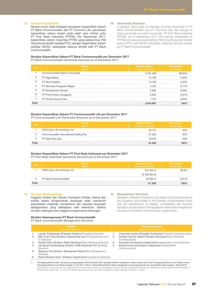#### **III. Struktur Kepemilikan**

Secara umum tidak terdapat perubahan kepemilikan saham PT Bank Commonwealth dan PT Common Life, perubahan kepemilikan saham terjadi pada salah satu entitas yaitu PT First State Indonesia (PTFSII). Per September 2017, kepemilikan saham mayoritas PTFSII yang sebelumnya FSII Hong Kong beralih kepada PTCL dengan kepemilikan saham sebesar 99,9%, sedangkan sisanya dimiliki oleh PT Bank Commonwealth.

#### *III. Ownership Structure*

*In general, there were no changes of share ownership of PT Bank Commonwealth and PT Common Life, the change of share ownership occured in one entity, PT First State Indonesia (PTFSII). As of September 2017, the majority shareholder of PTFSII who was previously held by FSII Hong Kong was handed over to PTCL with 99.9% ownership, while the rest was owned by PT Bank Commonwealth.* 

#### **Struktur Kepemilikan Saham PT Bank Commonwealth per Desember 2017** *PT Bank Commonwealth Ownership Structure as of December 2017*

|   | Name                           | Jumlah Saham.<br>Number of Shares | Percentage |
|---|--------------------------------|-----------------------------------|------------|
|   | Commonwealth Bank of Australia | 3.781.469                         |            |
|   | PT Giga Galaxy                 | 13.199                            |            |
| 3 | PT Murni Galaxy                | 13.199                            |            |
| 4 | PT Samudra Anugerah Megah      | 425                               |            |
| 5 | PT Ramadewan Winoko            | 2.950                             |            |
| 6 | PT Prima Rukun Langgeng        | 2 655                             |            |
|   | PT Fincom Surya Putra          | 770                               |            |
|   |                                |                                   |            |

#### **Struktur Kepemilikan Saham PT Commonwealth Life per Desember 2017**

*PT Commonwealth Life Ownership Structure as of December 2017*

| lama<br>Name                           | Number of Shares |  |
|----------------------------------------|------------------|--|
| CMG Asia Life Holdings Ltd             | 45.775           |  |
| Commonwealth International Holding Pty | 27.465           |  |
| I Gala Arta Java                       | 18.310           |  |
|                                        |                  |  |

#### **Struktur Kepemilikan Saham PT First State Indonesia per Desember 2017** *PT First State Indonesia Ownership Structure as of December 2017*

| No.   | <b>Nama</b><br><b>Name</b> | Jumlah Saham<br><b>Number of Shares</b> | <b>Prosentase</b><br>Percentage |
|-------|----------------------------|-----------------------------------------|---------------------------------|
|       | CMG Asia Life Holdings Ltd | 374 Seri A                              | 20 QV.                          |
|       |                            | 73.192 Seri B                           |                                 |
|       | PT Bank Commonwealth       | 64 Seri A                               | 0.01%                           |
| Total |                            | 73.630                                  | nn%                             |

#### **IV. Struktur Kepengurusan**

Anggota Direksi dan Dewan Komisaris Entitas Utama dan entitas dalam konglomerasi keuangan telah memenuhi persyaratan integritas, kompetensi dan reputasi keuangan sebagaimana yang ditetapkan oleh ketentuan. Berikut struktur kepengurusan anggota konglomerasi keuangan:

#### **Struktur Kepengurusan PT Bank Commonwealth**

*PT Bank Commonwealth Management Structure*

#### *IV. Management Structure*

*Members of Board of Directors and Board of Commissioners of the Company and entities in the financial conglomeration have met the requirements of integrity, competence and financial reputation as stipulated in the regulations. Here's the management structure of members of the financial conglomerate:*

|          | <b>Direksi</b><br><b>Board of Directors</b>                                                                                                        |          | <b>Dewan Komisaris</b><br><b>Board of Commissioners</b>                                                                                |
|----------|----------------------------------------------------------------------------------------------------------------------------------------------------|----------|----------------------------------------------------------------------------------------------------------------------------------------|
|          | Lauren Sulistiawati (Presiden Direktur/President Director)<br>Mei Tjuen Tjioe (Direktur Operasional dan TI/ Operational and<br><b>IT Directory</b> |          | Coenraad Jonker (Presiden Komisaris/President Commissioner)<br>Andrew Farmer (Wakil Presiden Komisaris/Vice President<br>Commissioner) |
| 3.<br>4. | Rustini Dewi (Direktur Retail Banking/Retail Banking Director)<br>Ida Apulia Simatupang (Direktur SME Banking/SME Banking                          | З.<br>4. | Suwartini (Komisaris Independen/Independent Commissioner)<br>Khairil Anwar (Komisaris Independen/Independent                           |
| b        | Director)<br>Stephen Vile (Direktur Manajemen Risiko/Risk Management                                                                               |          | Commissioner)                                                                                                                          |

*Director*) 6. Mutia Nilawati Dewi\* (Direktur Kepatuhan/*Compliance Director*)

<sup>&</sup>quot;) Pemegang Saham telah menyetujui pengangkatan Mutia Nilawati Dewi sebagai Direktur Kepatuhan melalui Keputusan Para Pemegang Saham di Luar Rapat Umum<br>Pemegang Saham Luar Biasa tanggal 17 Juli 2017 namun, Mutia Nilawati D Shareholders have approved the appointment of Mutia Nilawati Dewi as Compliance Director through Shareholder Resolution Outside the Extraordinary General Meeting of<br>Shareholders dated July 17, 2017 but Mutia Nilawati Dewi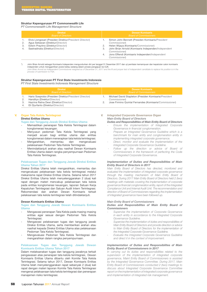#### **Struktur Kepengurusan PT Commonwealth Life**

*PT Commonwealth Life Management Structure*

|          | <b>Direksi</b><br><b>Board of Directors</b>                                                                                                                            |          | <b>Dewan Komisaris</b><br><b>Board of Commissioners</b>                                                                                                                                                                                                       |
|----------|------------------------------------------------------------------------------------------------------------------------------------------------------------------------|----------|---------------------------------------------------------------------------------------------------------------------------------------------------------------------------------------------------------------------------------------------------------------|
| З.<br>4. | Elvis Liongosari (Presiden Direktur/President Director)<br>Agus Setiawan (Direktur/Director)<br>Edwin Prayitno (Direktur/Director)<br>Sastradinata (Direktur/Director) | 3.<br>4. | Simon John Bennett (Presiden Komisaris/President<br>Commissioner)<br>Helen Wijaya (Komisaris/Commissioner)<br>John Brian Arnold (Komisaris Independen/Independent<br>Commissioner)<br>Jono Effendi (Komisaris Independen/Independent<br><b>Commissioner</b> ) |

\*) John Brian Arnold sebagai Komisaris Independen mengundurkan diri per tanggal 31 Desember 2017 dan uji penilaian kemampuan dan kepatutan calon komisaris independen untuk menggantikan posisi beliau sedang dalam proses pengajuan ke OJK.

John Brian Arnold as Independent Commissioner resigned as of December 31, 2017 and the fit and proper test of independent candidate to replace his position is in the *process of submission to FSA.*

#### **Struktur Kepengurusan PT First State Investments Indonesia**

*PT First State Investments Indonesia Management Structure*

|                | <b>Direksi</b><br><b>Board of Directors</b>                                                                                                                          | <b>Dewan Komisaris</b><br><b>Board of Commissioners</b>                                                                           |
|----------------|----------------------------------------------------------------------------------------------------------------------------------------------------------------------|-----------------------------------------------------------------------------------------------------------------------------------|
| 2.<br>3.<br>4. | Hario Soeprobo (Presiden Direktur/President Director)<br>Handityo (Direktur/Director)<br>Hazrina Ratna Dewi (Direktur/Director)<br>Eli Djurfanto (Direktur/Director) | Michael David Stapleton (Presiden Komisaris/President<br>Commissioner)<br>Jose Firmino Quintal Fernandes (Komisaris/Commissioner) |

#### **V. Organ Tata Kelola Terintegrasi Direksi Entitas Utama**

#### **Tugas dan Tanggung Jawab Direksi Entitas Utama**

- Memastikan penerapan Tata Kelola Terintegrasi dalam konglomerasi keuangan.
- Menyusun pedoman Tata Kelola Terintegrasi yang menjadi acuan bagi entitas utama dan entitas konglomerasi dalam menerapkan tata kelola terintegrasi.
- Mengarahkan, memantau dan mengevaluasi pelaksanaan Pedoman Tata Kelola Terintegrasi.
- Menindaklanjuti arahan atau nasihat Dewan Komisaris Entitas Utama dalam rangka penyempurnaan Pedoman Tata Kelola Terintegrasi.

#### **Pelaksanaan Tugas dan Tanggung Jawab Direksi Entitas Utama Tahun 2017**

Direksi Entitas Utama telah mengarahkan, memantau dan mengevaluasi pelaksanaan tata kelola terintegrasi melalui mekanisme rapat Direksi Entitas Utama. Selama tahun 2017 Direksi Entitas Utama telah menyelenggarakan 2 (dua) kali rapat dengan materi mencakup pelaksanaan tata kelola pada entitas konglomerasi keuangan, laporan Satuan Kerja Kepatuhan Terintegrasi dan Satuan Audit Intern Terintegrasi. Rekomendasi dan arahan Dewan Komisaris terkait pelaksanaan tata kelola terintegrasi telah ditindaklanjuti.

#### **Dewan Komisaris Entitas Utama**

#### **Tugas dan Tanggung Jawab Dewan Komisaris Entitas Utama**

- Mengawasi penerapan Tata Kelola pada masing-masing entitas agar sesuai dengan Pedoman Tata Kelola Terintegrasi.
- Mengawasi pelaksanaan tugas dan tanggung jawab Direksi Entitas Utama, serta memberikan arahan atau nasihat kepada Direksi Entitas Utama atas pelaksanaan Pedoman Tata Kelola Terintegrasi.
- Mengevaluasi Pedoman Tata Kelola Terintegrasi dan mengarahkan dalam rangka penyempurnaan.

#### **Pelaksanaan Tugas dan Tanggung Jawab Dewan Komisaris Entitas Utama Tahun 2017**

Dalam melaksanakan tugas dan tanggung jawabnya terkait pengawasan atas penerapan tata kelola terintegrasi, Dewan Komisaris Entitas Utama dibantu oleh Komite Tata Kelola Terintegrasi. Selama tahun 2017, Dewan Komisaris Entitas Utama telah menyelenggarakan rapat sebanyak 2 (dua) kali rapat dengan materi laporan Komite Tata Kelola Terintegrasi mengenai pelaksanaan tata kelola terintegrasi dan penerapan manajemen risiko terintegrasi.

*V. Integrated Corporate Governance Organ Main Entity Board of Directors*

*Duties and Responsibilities of Main Entity Board of Directors*

- *- Ensure the implementation of Integrated Corporate Governance in financial conglomeration.*
- *Prepare an Integrated Governance Guideline which is a benchmark for main entity and conglomeration entity in implementing integrated corporate governance.*
- *Direct, monitor and evaluate the implementation of the Integrated Corporate Governance Guideline.*
- Follow up the direction or advice of Board of *Commissioners in the framework of perfecting the Code of Integrated Corporate Governance.*

#### *Implementation of Duties and Responsibilities of Main Entity Board of Directors in 2017*

*Main Entity Board of Directors has directed, monitored and evaluated the implementation of integrated corporate governance through the meeting mechanism of Main Entity Board of Directors. During 2017 Main Entity Board of Directors held 2 (two) meetings with materials covering the implementation of corporate governance financial conglomeration entity, report of the Integrated Compliance Unit and Internal Audit Unit. The recommendation and direction of Board of Commissioners regarding the implementation of integrated governance have been followed up.* 

#### *Main Entity Board of Commissioners*

#### *Duties and Responsibilites of Main Entity Board of Commissioners*

- *- Supervise the implementation of Corporate Governance in each entity in accordance to the Integrated Corporate Governance Guideline.*
- *- Supervise the implementation of duties and responsibilities of Main Entity Board of Directors and provide direction or advice to Main Entity Board of Directors for the implementation of the Integrated Corporate Governance Guideline.*
- *- Evaluate the Integrated Corporate Governance Guideline and direct it in the context of improvement.*

#### *Implementation of Duties and Responsibilites of Main Entity Board of Commissioners in 2017*

*In carrying out its duties and responsibilities related to the supervision of the implementation of integrated corporate governance, Maint Entity Board of Commissioners is assisted by the Integrated Governance Committee. During 2017, Main Entity Board of Commissioners conducted 2 (two) meetings to discuss about Integrated Corporate Governance Committee report on the implementation of integrated corporate governance and implementation of integrated risk management.*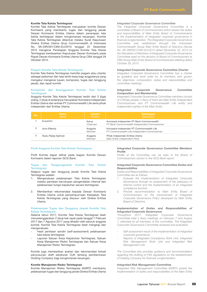#### **Komite Tata Kelola Terintegrasi**

Komite Tata Kelola Terintegrasi merupakan komite Dewan Komisaris yang membantu tugas dan tanggung jawab Dewan Komisaris Entitas Utama dalam penerapan tata kelola terintegrasi dalam konglomerasi keuangan. Komite Tata Kelola Terintegrasi dibentuk melalui Surat Keputusan Direksi Entitas Utama Grup Commonwealth di Indonesia No. SK-DIR/001/CBA-EU/2015 tanggal 22 Desember 2015 mengenai Penetapan Anggota Komite Tata Kelola Terintegrasi berdasarkan Keputusan Dewan Komisaris pada Rapat Dewan Komisaris Entitas Utama Grup CBA tanggal 29 Oktober 2015.

#### **Piagam Komite Tata Kelola Terintegrasi**

Komite Tata Kelola Terintegrasi memiliki piagam atau *charter* sebagai pedoman dan tata tertib kerja bagi anggotanya yang mengatur mengenai tujuan, komposisi, tugas dan tanggung jawab, dan rapat komite.

#### **Komposisi dan Keanggotaan Komite Tata Kelola Terintegrasi**

Anggota Komite Tata Kelola Terintegrasi terdiri dari 3 (tiga) orang, 2 (dua) di antaranya merupakan Komisaris Independen Entitas Utama dan entitas PT Commonwealth Life serta pihak independen dari Entitas Utama.

#### *Integrated Corporate Governance Committee*

*The Integrated Corporate Governance Committee is a committee of Board of Commissioners which assists the duties and responsibilities of Main Entity Board of Commissioenrs in the implementation of integrated corporate governance in financial conglomeration. The Integrated Corporate Governance Committee was established through the Indonesian Commonwealth Group Main Entity Board of Directors Decree No. SK-DIR/001/CBA-EU/2015 dated December 22, 2015 on the Stipulation of Members of Integrated Corporate Governance Committee ased on the decision of Board of Commissioners at CBA Group Main Entity Board of Commissioners Meeting dated October 29, 2015.*

#### *Integrated Corporate Governance Committee Charter*

*Integrated Corporate Governance Committee has a charter as guideline and work order for its members who govern the objectives, composition, duties and responsibilities and committee meetings.*

#### *Integrated Corporate Governance Committee Composition and Membership*

*Integrated Corporate Governance Committee members consist of 3 (three) people, 2 (two) of them are Main Entity Independent Commissioners and PT Commonwealth Life entitiy and independent parties of the Main Entity.* 

| No. | <b>Nama</b><br><b>Name</b> | <b>Jabatan</b><br>Position | Keterangan<br><b>Description</b>                                                           |
|-----|----------------------------|----------------------------|--------------------------------------------------------------------------------------------|
|     | Suwartini                  | Ketua<br>Chairman          | Komisaris Independen PT Bank Commonwealth<br>PT Bank Commonwealth Independent Commissioner |
|     | Jono Effendy               | Anggota<br>Member          | Komisaris Independen PT Commonwealth Life<br>PT Commonwealth Life Independent Commissioner |
|     | Teuku Radja Sjahnan        | Anggota                    | Pihak Independen Entitas Utama<br>Main Entity Independent Party                            |

#### **Profil Anggota Komite Tata Kelola Terintegrasi**

Profil Komite dapat dilihat pada bagian Komite Dewan Komisaris dalam laporan GCG Bank.

#### **Tugas dan Tanggungjawab Komite Tata Kelola Terintegrasi**

Adapun tugas dan tanggung jawab Komite Tata Kelola Terintegrasi adalah:

- 1. Mengevaluasi pelaksanaan Tata Kelola Terintegrasi melalui penilaian kecukupan pengendalian internal dan pelaksanaan fungsi kepatuhan secara terintegrasi.
- 2. Memberikan rekomendasi kepada Dewan Komisaris Entitas Utama untuk penyempurnaan Kebijakan Tata Kelola Terintegrasi yang disusun oleh Direksi Entitas Utama.

#### **Pelaksanaan Tugas dan Tanggung Jawab Komite Tata Kelola Terintegrasi**

Selama tahun 2017, Komite Tata Kelola Terintegrasi telah menyelenggarakan 2 (dua) kali rapat pada tanggal 7 Februari 2017 dan 7 Agustus 2017 yang dihadiri oleh seluruh anggota komite. Komite Tata Kelola Terintegrasi telah mengkaji dan mengevaluasi:

- Hasil penilaian sendiri (*self-assessment*) pelaksanaan tata kelola terintegrasi
- Laporan Satuan Kerja Kepatuhan Terintegrasi, Satuan Kerja Manajemen Risiko Terintegrasi dan Satuan Kerja Manajemen Risiko Terintegrasi.

Komite juga memberikan arahan dan rekomendasi terkait penyusunan *draft* peraturan OJK tentang pembentukan *Holding Company* bagi konglomerasi keuangan.

#### **Komite Manajemen Risiko Terintegrasi**

Komite Manajemen Risiko Terintegrasi (KMRT) membantu pelaksanaan tugas dan tanggung jawab Direksi Entitas Utama

#### *Integrated Corporate Governance Committee Members Profile*

*Profile of the Committee can be seen in the Board of Commissioners section in the GCG Bank report.*

#### *Integrated Corporate Governance Committee Duties and Responsibilites*

*Duties and Responsibilities of Integrated Corporate Governance Committee are as follows:* 

- *1. Evaluate the implementation of Integrated Corporate Governance through an assessment of the adequacy of internal control and the implementation of an integrated compliance function.*
- *2. Provide recommendation to Main Entity Board of Commissioners on the improvement of Integrated Corporate Governance Policy developed by Main Entity Board of Directors.*

#### *Implementation of Duties and Responsibilities of Integrated Corporate Governance*

*Throughout 2017, Integrated Corporate Governance Committee held 2 (two) meetings on February 7 and August 7, attended by all members of the committee. The Integrated Corporate Governance Committee reviewed and evaluated:*

- *- Self-assessment result of the implementation of integrated corporate governance*
- *Reports of Integrated Compliance Work Unit, Integrated Risk Management Work Unit and Integrated Risk Management Unit.*

*The Committee also provides guidance and recommendation regarding the drafting of FSA regulations on the establishment of Holding Company for financial conglomeration.*

#### *Integrated Risk Management Committee*

*Integrated Risk Management Committee (KMRT) assists the implementation of duties and responsibilities of the Main Entity*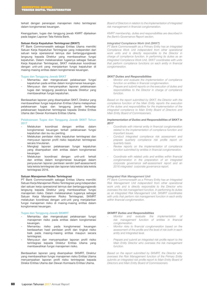terkait dengan penerapan manajemen risiko terintegrasi dalam konglomerasi keuangan.

Keanggotaan, tugas dan tanggung jawab KMRT dijelaskan pada bagian Laporan Tata Kelola Bank.

#### **Satuan Kerja Kepatuhan Terintegrasi (SKKT)**

PT Bank Commonwealth sebagai Entitas Utama memiliki Satuan Kerja Kepatuhan Terintegrasi yang independen dari satuan kerja operasional lainnya dan bertanggungjawab langsung kepada Direktur yang membawahkan fungsi kepatuhan. Dalam melaksanakan tugasnya sebagai Satuan Kerja Kepatuhan Terintegrasi, SKKT melakukan koordinasi dengan unit-unit yang menjalankan fungsi kepatuhan di masing-masing entitas dalam konglomerasi keuangan.

#### **Tugas dan Tanggung Jawab SKKT**

- Memantau dan mengevaluasi pelaksanaan fungsi kepatuhan pada entitas dalam konglomerasi keuangan.
- Menyusun dan menyampaikan laporan pelaksanaan tugas dan tanggung jawabnya kepada Direktur yang membawahkan fungsi kepatuhan.

Berdasarkan laporan yang disampaikan SKKT, Direktur yang membawahkan fungsi kepatuhan Entitas Utama melaporkan pelaksanaan tugas dan tanggung jawab terhadap pelaksanaan kepatuhan terintegrasi kepada Direksi Entitas Utama dan Dewan Komisaris Entitas Utama.

# **Pelaksanaan Tugas dan Tanggung Jawab SKKT Tahun 2017**

- Melakukan koordinasi dengan entitas dalam konglomerasi keuangan terkait pelaksanaan fungsi kepatuhan dan isu-isu penting.
- Melakukan penilaian risiko kepatuhan terintegrasi dan menyusun laporan profil risiko kepatuhan terintegrasi secara triwulanan.
- Mengkaji laporan pelaksanaan fungsi kepatuhan yang disampaikan oleh entitas dalam konglomerasi keuangan.
- Melakukan koordinasi dengan unit-unit terkait dan entitas dalam konglomerasi keuangan dalam penyusunan laporan penilaian sendiri (*self-assessment*) tata kelola terintegrasi dan laporan tata kelola tata kelola terintegrasi 2016.

#### **Satuan Manajemen Risiko Terintegrasi**

PT Bank Commonwealth sebagai Entitas Utama memiliki Satuan Kerja Manajemen Risiko Terintegrasi yang independen dari satuan kerja operasional lainnya dan bertanggungjawab langsung kepada Direktur yang membawahkan fungsi manajemen risiko. Dalam melaksanakan tugasnya sebagai Satuan Kerja Manajemen Risiko Terintegrasi, SKMRT melakukan koordinasi dengan unit-unit yang menjalankan fungsi manajemen risiko di masing-masing entitas dalam konglomerasi keuangan.

#### **Tugas dan Tanggung Jawab SKMRT**

- Memantau dan mengevaluasi pelaksanaan fungsi manajemen risiko pada entitas dalam konglomerasi keuangan.
- Memantau risiko pada konglomerasi keuangan berdasarkan hasil penilaian profil dan tingkat risiko baik pada masing-masing entitas maupun secara terintegrasi.
- Menyusun dan menyampaikan laporan profil risiko terintegrasi kepada Direktur Entitas Utama yang membawahkan fungsi manajemen risiko.

Berdasarkan laporan yang disampaikan SKMRT, Direktur yang membawahkan fungsi manajemen risiko Entitas Utama menyampaikan laporan profil risiko terintegrasi kepada Direksi Entitas Utama dan Dewan Komisaris Entitas Utama.

*Board of Directors in relation to the implementation of integrated risk management in financial conglomeration.* 

*KMRT membership, duties and responsibilities are described in the Bank's Governance Report section.*

#### *Integrated Compliance Work Unit (SKKT)*

*PT Bank Commonwealth as a Primary Entity has an Integrated Compliance Work Unit independent from other operational work units and is directly responsible to the Director in charge of compliance function. In performing its duties as an Integrated Compliance Work Unit, SKKT coordinates with units that perform compliance functions on each entity in financial conglomeration.*

#### *SKKT Duties and Responsibilities*

- *- Monitor and evaluate the implementation of compliance function on entities in financial conglomeration.*
- *Prepare and submit reports on the execution of duties and responsibilities to the Director in charge of compliance function.*

*Based on the report submitted by SKKT, the Director with the compliance function of the Main Entity reports the execution of the duties and responsibilities for the implementation of the integrated compliance to Main Entity Board of Directors and Main Entity Board of Commissioners.*

#### *Implementation of Duties and Responsibilities of SKKT in 2017*

- *- Coordinate with internal entity in financial conglomeration related to the implementation of compliance function and important issues.*
- *Conduct integrated compliance risk assessment and prepare quarterly compliance risk profile report on quarterly basis.*
- *Review reports on the implementation of compliance function submitted by entities in financial conglomeration.*
- *Coordinate with related units and entities within financial conglomeration in the preparation of an integrated corporate governance self-assessment report and an 2016 integrated corporate governance report.*

#### *Integrated Risk Management Unit*

*PT Bank Commonwealth as a Primary Entity has an Integrated Risk Management Unit independent from other operational work units and is directly responsible to the Director who oversees the risk management function. In performing its duties as an Integrated Risk Management Unit, SKMRT coordinates with units that perform risk management function in each entity within financial conglomeration.*

#### *SKMRT Duties and Responsibilities*

- *- Monitor and evaluate the implementation of risk management function of entities in financial conglomeration.*
- *Monitor risks to financial conglomeration based on the assessment of the profile and the level of risk both in each entity and integrated level.*
- *Prepare and submit an integrated risk profile report to the Main Entity Director who oversees the risk management function.*

*Based on the report submitted by SKMRT, the Director who oversees the Risk Management function of the Primary Entity*  submits an integrated risk profile report to Main Entity Board of *Directors and Main Entity Board of Commissioners.*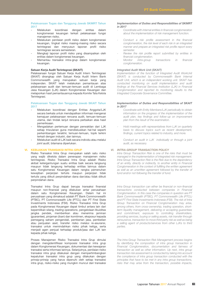#### **Pelaksanaan Tugas dan Tanggung Jawab SKMRT Tahun 2017**

- Melakukan koordinasi dengan entitas dalam konglomerasi keuangan terkait pelaksanaan fungsi manajemen risiko.
- Melakukan penilaian profil risiko dalam konglomerasi keuangan, tingkat risiko masing-masing risiko secara terintegrasi dan menyusun laporan profil risiko terintegrasi secara semesteran.
- Mengkaji laporan profil risiko yang disampaikan oleh entitas dalam konglomerasi keuangan.
- Memantau transaksi intra-grup dalam konglomerasi keuangan.

#### **Satuan Kerja Audit Terintegrasi (SKAIT)**

Pelaksanaan fungsi Satuan Kerja Audit Intern Terintegrasi (SKAIT) dirangkap oleh Satuan Kerja Audit Intern Bank Commonwealth yang merupakan satuan kerja yang independen. SKAIT telah melakukan pemantauan atas pelaksanaan audit dan temuan-temuan audit di Lembaga Jasa Keuangan (LJK) dalam Konglomerasi Keuangan dan melaporkan hasil pemantauannya kepada Komite Tata Kelola Terintegrasi.

#### **Pelaksanaan Tugas dan Tanggung Jawab SKAIT Tahun 2017**

- Melakukan koordinasi dengan Entitas Anggota/LJK secara berkala untuk mendapatkan informasi mengenai kemajuan pelaksanaan rencana audit, temuan-temuan utama, dan tindak lanjut rencana perbaikan atas hasil pemeriksaan.
- Mengadakan pertemuan dengan perwakilan dari LJK setiap triwulanan guna mendiskusikan hal-hal seperti perkembangan terakhir, temuan-temuan, topik terkini terkait dengan industri, dan lainnya.
- Melakukan audit di LJK baik secara individu atau melalui *joint audit*, bilamana diperlukan.

#### **VI. KEBIJAKAN TRANSAKSI INTRA-GRUP**

Risiko Transaksi Intra Grup merupakan salah satu risiko yang wajib dikelola dalam penerapan manajemen risiko terintegrasi. Risiko Transaksi Intra Grup adalah Risiko akibat ketergantungan suatu entitas baik secara langsung maupun tidak langsung terhadap entitas lainnya dalam satu Konglomerasi Keuangan dalam rangka pemenuhan kewajiban perjanjian tertulis maupun perjanjian tidak tertulis yang diikuti perpindahan dana dan/atau tidak diikuti perpindahan dana.

Transaksi Intra Grup dapat berupa transaksi finansial maupun non-finansial yang dilakukan antar perusahaan dalam satu Konglomerasi Keuangan. Dalam hal ini perusahaan yang dimaksud adalah PT Bank Commonwealth (PTBC), PT Commonwealth Life (PTCL) dan PT First State Investments Indonesia (FSII). Risiko Transaksi Intra Grup pada Konglomerasi Keuangan dapat timbul antara lain dari kepemilikan silang, *trading operations*, pengelolaan likuiditas jangka pendek, memberikan atau menerima jaminan (*guarantee*), pinjaman (*loan*) dan komitmen, eksposur kepada pemegang saham pengendali, pemberian jasa, pembelian atau penjualan aset, transfer risiko melalui re-asuransi, transaksi untuk memindahkan risiko pihak ketiga, serta menjadi agen penjual terhadap produk/jasa dari LJK lain kepada pihak ketiga.

Proses Manajemen Risiko Transaksi Intra Grup dimulai dengan mengidentifikasi komposisi transaksi intra grup dalam Konglomerasi Keuangan, dokumentasi dan kewajaran transaksi serta informasi lainnya. Selanjutnya, penilaian risiko transaksi intra grup dilakukan dengan mempertimbangkan kepatuhan transaksi intra grup yang dilakukan dengan prinsip-prinsip yang harus dipenuhi oleh setiap transaksi intra grup, risiko-risiko yang mungkin muncul dari transaksi

#### *Implementation of Duties and Responsibilities of SKMRT in 2017*

- *- Coordinate with internal entities in financial conglomeration about the implementation of risk management function.*
- *Conduct a risk profile assessment in the financial conglomeration, the risk level of each risk in an integrated manner and prepare an integrated risk profile report every semester.*
- *Review the risk profile report submitted by entities in financial conglomeration.*
- *Monitor intra-group transactions in financial conglomeration.*

#### *Integrated Audit Work Unit (SKAIT)*

*Implementation of the function of Integrated Audit WorkUnit (SKAIT) is conducted by Commonwealth Bank Internal Audit Unit, which is an independent working unit. SKAIT has conducted monitoring on audit implementation and audit findings at the Financial Services Institution (LJK) in Financial Conglomeration and reported its monitoring results to the Integrated Corporate Governance Committee.*

#### *Implementation of Duties and Responsibilities of SKAIT in 2017*

- *- Coordinate with Entity Members/LJK periodically to obtain information on the progress of the implementation of the audit plan, key findings and follow-up on improvement plan from the result of the examination.*
- *Hold meetings with representatives from LJK on quarterly basis to discuss topics such as recent development, findings, current topics related to industry, and more.*
- *Conduct an audit in LJK individually or through a joint audit, as necessary.*

#### *VI. Intra-Group Transaction Policy*

*Intra Group Transaction Risk is one of the risks that must be managed in the implementation of integrated risk management. Intra Group Transaction Risk is the Risk due to the dependency of an entity, directly or indirectly, to another entity in Financial Conglomeration in the context of fulfilling the written agreement as well as an unwritten agreement followed by the transfer of fund and/or not following the transfer of fund.*

*Intra Group transaction can either be financial or non-financial transactions conducted between companies in Financial Conglomeration. In this case the companies in question are PT Bank Commonwealth (PTBC), PT Commonwealth Life (PTCL) and PT First State Investments Indonesia (FSII). The risk of Intra Group Transaction on Financial Conglomeration may arise, among others, from cross-ownership, trading operation, shortterm liquidity management, delivering or accepting guarantees and commitment, exposure to controlling shareholders, providing services, buying or selling assets, risk transfer through reinsurance, transaction to move third party risk as well as being a selling agent of products/services from other LJKs to third parties.*

*The Intra Group Transaction Risk Management process begins by identifying the composition of intra group transaction in Financial Conglomeration, documentation and fairness of transaction as well as other information. Up next, intra group transaction risk assessment is conducted by taking into account the compliance of intra group transaction conducted with the principles that have to be met in any intra group transactions, risks that may arise from the transaction, possible impacts,*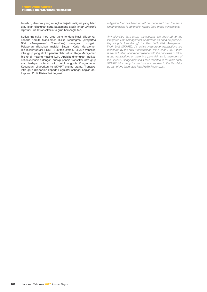tersebut, dampak yang mungkin terjadi, mitigasi yang telah atau akan dilakukan serta bagaimana *arm's length principle* dipatuhi untuk transaksi intra grup bersangkutan.

Setiap transaksi intra grup yang teridentifikasi, dilaporkan kepada Komite Manajemen Risiko Terintegrasi (*Integrated Risk Management Committee*) sesegera mungkin. Pelaporan dilakukan melalui Satuan Kerja Manajemen RisikoTerintegrasi (SKMRT) Entitas Utama. Seluruh transaksi intra grup yang aktif dipantau oleh Satuan Kerja Manajemen Risiko di masing-masing LJK. Apabila ditemukan indikasi ketidaksesuaian dengan prinsip-prinsip transaksi intra grup atau terdapat potensi risiko untuk anggota Konglomerasi Keuangan, dilaporkan ke SKMRT entitas utama. Transaksi intra grup dilaporkan kepada Regulator sebagai bagian dari Laporan Profil Risiko Terintegrasi.

*mitigation that has been or will be made and how the arm's length principle is adhered in related intra-group transactions.*

*Any identified intra-group transactions are reported to the Integrated Risk Management Committee as soon as possible. Reporting is done through the Main Entity Risk Management Work Unit (SKMRT). All active intra-group transactions are monitored by the Risk Management Unit in each LJK. If there is any indication of non-compliance with the principles of intragroup transactions or there is a potential risk to members of the Financial Conglomeration It then reported to the main entity SKMRT. Intra group transactions are reported to the Regulator as part of the Integrated Risk Profile Report LJK.*